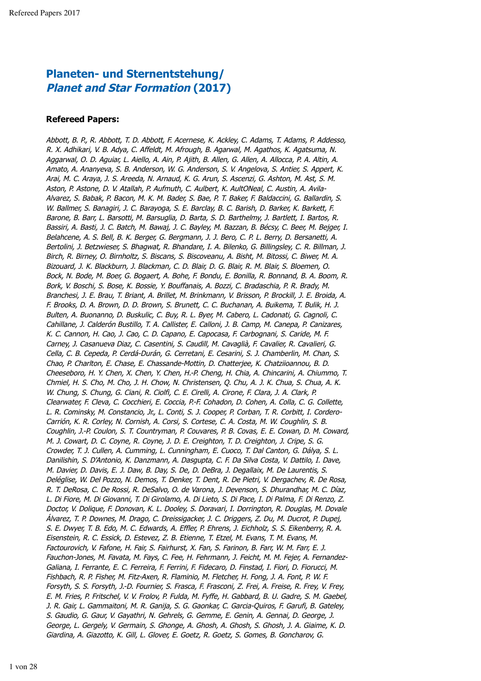## **Planeten- und Sternentstehung/ Planet and Star Formation (2017)**

### **Refereed Papers:**

Abbott, B. P., R. Abbott, T. D. Abbott, F. Acernese, K. Ackley, C. Adams, T. Adams, P. Addesso, R. X. Adhikari, V. B. Adya, C. Affeldt, M. Afrough, B. Agarwal, M. Agathos, K. Agatsuma, N. Aggarwal, O. D. Aguiar, L. Aiello, A. Ain, P. Ajith, B. Allen, G. Allen, A. Allocca, P. A. Altin, A. Amato, A. Ananyeva, S. B. Anderson, W. G. Anderson, S. V. Angelova, S. Antier, S. Appert, K. Arai, M. C. Araya, J. S. Areeda, N. Arnaud, K. G. Arun, S. Ascenzi, G. Ashton, M. Ast, S. M. Aston, P. Astone, D. V. Atallah, P. Aufmuth, C. Aulbert, K. AultONeal, C. Austin, A. Avila-Alvarez, S. Babak, P. Bacon, M. K. M. Bader, S. Bae, P. T. Baker, F. Baldaccini, G. Ballardin, S. W. Ballmer, S. Banagiri, J. C. Barayoga, S. E. Barclay, B. C. Barish, D. Barker, K. Barkett, F. Barone, B. Barr, L. Barsotti, M. Barsuglia, D. Barta, S. D. Barthelmy, J. Bartlett, I. Bartos, R. Bassiri, A. Basti, J. C. Batch, M. Bawaj, J. C. Bayley, M. Bazzan, B. Bécsy, C. Beer, M. Bejger, I. Belahcene, A. S. Bell, B. K. Berger, G. Bergmann, J. J. Bero, C. P. L. Berry, D. Bersanetti, A. Bertolini, J. Betzwieser, S. Bhagwat, R. Bhandare, I. A. Bilenko, G. Billingsley, C. R. Billman, J. Birch, R. Birney, O. Birnholtz, S. Biscans, S. Biscoveanu, A. Bisht, M. Bitossi, C. Biwer, M. A. Bizouard, J. K. Blackburn, J. Blackman, C. D. Blair, D. G. Blair, R. M. Blair, S. Bloemen, O. Bock, N. Bode, M. Boer, G. Bogaert, A. Bohe, F. Bondu, E. Bonilla, R. Bonnand, B. A. Boom, R. Bork, V. Boschi, S. Bose, K. Bossie, Y. Bouffanais, A. Bozzi, C. Bradaschia, P. R. Brady, M. Branchesi, J. E. Brau, T. Briant, A. Brillet, M. Brinkmann, V. Brisson, P. Brockill, J. E. Broida, A. F. Brooks, D. A. Brown, D. D. Brown, S. Brunett, C. C. Buchanan, A. Buikema, T. Bulik, H. J. Bulten, A. Buonanno, D. Buskulic, C. Buy, R. L. Byer, M. Cabero, L. Cadonati, G. Cagnoli, C. Cahillane, J. Calderón Bustillo, T. A. Callister, E. Calloni, J. B. Camp, M. Canepa, P. Canizares, K. C. Cannon, H. Cao, J. Cao, C. D. Capano, E. Capocasa, F. Carbognani, S. Caride, M. F. Carney, J. Casanueva Diaz, C. Casentini, S. Caudill, M. Cavaglià, F. Cavalier, R. Cavalieri, G. Cella, C. B. Cepeda, P. Cerdá-Durán, G. Cerretani, E. Cesarini, S. J. Chamberlin, M. Chan, S. Chao, P. Charlton, E. Chase, E. Chassande-Mottin, D. Chatterjee, K. Chatziioannou, B. D. Cheeseboro, H. Y. Chen, X. Chen, Y. Chen, H.-P. Cheng, H. Chia, A. Chincarini, A. Chiummo, T. Chmiel, H. S. Cho, M. Cho, J. H. Chow, N. Christensen, Q. Chu, A. J. K. Chua, S. Chua, A. K. W. Chung, S. Chung, G. Ciani, R. Ciolfi, C. E. Cirelli, A. Cirone, F. Clara, J. A. Clark, P. Clearwater, F. Cleva, C. Cocchieri, E. Coccia, P.-F. Cohadon, D. Cohen, A. Colla, C. G. Collette, L. R. Cominsky, M. Constancio, Jr., L. Conti, S. J. Cooper, P. Corban, T. R. Corbitt, I. Cordero-Carrión, K. R. Corley, N. Cornish, A. Corsi, S. Cortese, C. A. Costa, M. W. Coughlin, S. B. Coughlin, J.-P. Coulon, S. T. Countryman, P. Couvares, P. B. Covas, E. E. Cowan, D. M. Coward, M. J. Cowart, D. C. Coyne, R. Coyne, J. D. E. Creighton, T. D. Creighton, J. Cripe, S. G. Crowder, T. J. Cullen, A. Cumming, L. Cunningham, E. Cuoco, T. Dal Canton, G. Dálya, S. L. Danilishin, S. D'Antonio, K. Danzmann, A. Dasgupta, C. F. Da Silva Costa, V. Dattilo, I. Dave, M. Davier, D. Davis, E. J. Daw, B. Day, S. De, D. DeBra, J. Degallaix, M. De Laurentis, S. Deléglise, W. Del Pozzo, N. Demos, T. Denker, T. Dent, R. De Pietri, V. Dergachev, R. De Rosa, R. T. DeRosa, C. De Rossi, R. DeSalvo, O. de Varona, J. Devenson, S. Dhurandhar, M. C. Díaz, L. Di Fiore, M. Di Giovanni, T. Di Girolamo, A. Di Lieto, S. Di Pace, I. Di Palma, F. Di Renzo, Z. Doctor, V. Dolique, F. Donovan, K. L. Dooley, S. Doravari, I. Dorrington, R. Douglas, M. Dovale Álvarez, T. P. Downes, M. Drago, C. Dreissigacker, J. C. Driggers, Z. Du, M. Ducrot, P. Dupej, S. E. Dwyer, T. B. Edo, M. C. Edwards, A. Effler, P. Ehrens, J. Eichholz, S. S. Eikenberry, R. A. Eisenstein, R. C. Essick, D. Estevez, Z. B. Etienne, T. Etzel, M. Evans, T. M. Evans, M. Factourovich, V. Fafone, H. Fair, S. Fairhurst, X. Fan, S. Farinon, B. Farr, W. M. Farr, E. J. Fauchon-Jones, M. Favata, M. Fays, C. Fee, H. Fehrmann, J. Feicht, M. M. Fejer, A. Fernandez-Galiana, I. Ferrante, E. C. Ferreira, F. Ferrini, F. Fidecaro, D. Finstad, I. Fiori, D. Fiorucci, M. Fishbach, R. P. Fisher, M. Fitz-Axen, R. Flaminio, M. Fletcher, H. Fong, J. A. Font, P. W. F. Forsyth, S. S. Forsyth, J.-D. Fournier, S. Frasca, F. Frasconi, Z. Frei, A. Freise, R. Frey, V. Frey, E. M. Fries, P. Fritschel, V. V. Frolov, P. Fulda, M. Fyffe, H. Gabbard, B. U. Gadre, S. M. Gaebel, J. R. Gair, L. Gammaitoni, M. R. Ganija, S. G. Gaonkar, C. Garcia-Quiros, F. Garufi, B. Gateley, S. Gaudio, G. Gaur, V. Gayathri, N. Gehrels, G. Gemme, E. Genin, A. Gennai, D. George, J. George, L. Gergely, V. Germain, S. Ghonge, A. Ghosh, A. Ghosh, S. Ghosh, J. A. Giaime, K. D. Giardina, A. Giazotto, K. Gill, L. Glover, E. Goetz, R. Goetz, S. Gomes, B. Goncharov, G.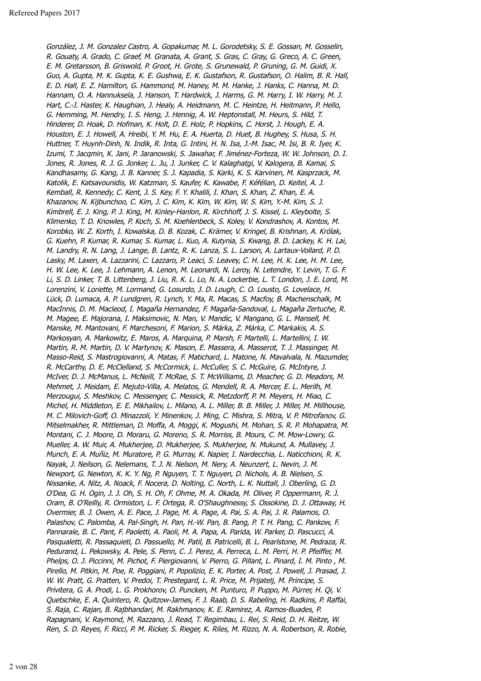González, J. M. Gonzalez Castro, A. Gopakumar, M. L. Gorodetsky, S. E. Gossan, M. Gosselin, R. Gouaty, A. Grado, C. Graef, M. Granata, A. Grant, S. Gras, C. Gray, G. Greco, A. C. Green, E. M. Gretarsson, B. Griswold, P. Groot, H. Grote, S. Grunewald, P. Gruning, G. M. Guidi, X. Guo, A. Gupta, M. K. Gupta, K. E. Gushwa, E. K. Gustafson, R. Gustafson, O. Halim, B. R. Hall, E. D. Hall, E. Z. Hamilton, G. Hammond, M. Haney, M. M. Hanke, J. Hanks, C. Hanna, M. D. Hannam, O. A. Hannuksela, J. Hanson, T. Hardwick, J. Harms, G. M. Harry, I. W. Harry, M. J. Hart, C.-J. Haster, K. Haughian, J. Healy, A. Heidmann, M. C. Heintze, H. Heitmann, P. Hello, G. Hemming, M. Hendry, I. S. Heng, J. Hennig, A. W. Heptonstall, M. Heurs, S. Hild, T. Hinderer, D. Hoak, D. Hofman, K. Holt, D. E. Holz, P. Hopkins, C. Horst, J. Hough, E. A. Houston, E. J. Howell, A. Hreibi, Y. M. Hu, E. A. Huerta, D. Huet, B. Hughey, S. Husa, S. H. Huttner, T. Huynh-Dinh, N. Indik, R. Inta, G. Intini, H. N. Isa, J.-M. Isac, M. Isi, B. R. Iyer, K. Izumi, T. Jacqmin, K. Jani, P. Jaranowski, S. Jawahar, F. Jiménez-Forteza, W. W. Johnson, D. I. Jones, R. Jones, R. J. G. Jonker, L. Ju, J. Junker, C. V. Kalaghatgi, V. Kalogera, B. Kamai, S. Kandhasamy, G. Kang, J. B. Kanner, S. J. Kapadia, S. Karki, K. S. Karvinen, M. Kasprzack, M. Katolik, E. Katsavounidis, W. Katzman, S. Kaufer, K. Kawabe, F. Kéfélian, D. Keitel, A. J. Kemball, R. Kennedy, C. Kent, J. S. Key, F. Y. Khalili, I. Khan, S. Khan, Z. Khan, E. A. Khazanov, N. Kijbunchoo, C. Kim, J. C. Kim, K. Kim, W. Kim, W. S. Kim, Y.-M. Kim, S. J. Kimbrell, E. J. King, P. J. King, M. Kinley-Hanlon, R. Kirchhoff, J. S. Kissel, L. Kleybolte, S. Klimenko, T. D. Knowles, P. Koch, S. M. Koehlenbeck, S. Koley, V. Kondrashov, A. Kontos, M. Korobko, W. Z. Korth, I. Kowalska, D. B. Kozak, C. Krämer, V. Kringel, B. Krishnan, A. Królak, G. Kuehn, P. Kumar, R. Kumar, S. Kumar, L. Kuo, A. Kutynia, S. Kwang, B. D. Lackey, K. H. Lai, M. Landry, R. N. Lang, J. Lange, B. Lantz, R. K. Lanza, S. L. Larson, A. Lartaux-Vollard, P. D. Lasky, M. Laxen, A. Lazzarini, C. Lazzaro, P. Leaci, S. Leavey, C. H. Lee, H. K. Lee, H. M. Lee, H. W. Lee, K. Lee, J. Lehmann, A. Lenon, M. Leonardi, N. Leroy, N. Letendre, Y. Levin, T. G. F. Li, S. D. Linker, T. B. Littenberg, J. Liu, R. K. L. Lo, N. A. Lockerbie, L. T. London, J. E. Lord, M. Lorenzini, V. Loriette, M. Lormand, G. Losurdo, J. D. Lough, C. O. Lousto, G. Lovelace, H. Lück, D. Lumaca, A. P. Lundgren, R. Lynch, Y. Ma, R. Macas, S. Macfoy, B. Machenschalk, M. MacInnis, D. M. Macleod, I. Magaña Hernandez, F. Magaña-Sandoval, L. Magaña Zertuche, R. M. Magee, E. Majorana, I. Maksimovic, N. Man, V. Mandic, V. Mangano, G. L. Mansell, M. Manske, M. Mantovani, F. Marchesoni, F. Marion, S. Márka, Z. Márka, C. Markakis, A. S. Markosyan, A. Markowitz, E. Maros, A. Marquina, P. Marsh, F. Martelli, L. Martellini, I. W. Martin, R. M. Martin, D. V. Martynov, K. Mason, E. Massera, A. Masserot, T. J. Massinger, M. Masso-Reid, S. Mastrogiovanni, A. Matas, F. Matichard, L. Matone, N. Mavalvala, N. Mazumder, R. McCarthy, D. E. McClelland, S. McCormick, L. McCuller, S. C. McGuire, G. McIntyre, J. McIver, D. J. McManus, L. McNeill, T. McRae, S. T. McWilliams, D. Meacher, G. D. Meadors, M. Mehmet, J. Meidam, E. Mejuto-Villa, A. Melatos, G. Mendell, R. A. Mercer, E. L. Merilh, M. Merzougui, S. Meshkov, C. Messenger, C. Messick, R. Metzdorff, P. M. Meyers, H. Miao, C. Michel, H. Middleton, E. E. Mikhailov, L. Milano, A. L. Miller, B. B. Miller, J. Miller, M. Millhouse, M. C. Milovich-Goff, O. Minazzoli, Y. Minenkov, J. Ming, C. Mishra, S. Mitra, V. P. Mitrofanov, G. Mitselmakher, R. Mittleman, D. Moffa, A. Moggi, K. Mogushi, M. Mohan, S. R. P. Mohapatra, M. Montani, C. J. Moore, D. Moraru, G. Moreno, S. R. Morriss, B. Mours, C. M. Mow-Lowry, G. Mueller, A. W. Muir, A. Mukherjee, D. Mukherjee, S. Mukherjee, N. Mukund, A. Mullavey, J. Munch, E. A. Muñiz, M. Muratore, P. G. Murray, K. Napier, I. Nardecchia, L. Naticchioni, R. K. Nayak, J. Neilson, G. Nelemans, T. J. N. Nelson, M. Nery, A. Neunzert, L. Nevin, J. M. Newport, G. Newton, K. K. Y. Ng, P. Nguyen, T. T. Nguyen, D. Nichols, A. B. Nielsen, S. Nissanke, A. Nitz, A. Noack, F. Nocera, D. Nolting, C. North, L. K. Nuttall, J. Oberling, G. D. O'Dea, G. H. Ogin, J. J. Oh, S. H. Oh, F. Ohme, M. A. Okada, M. Oliver, P. Oppermann, R. J. Oram, B. O'Reilly, R. Ormiston, L. F. Ortega, R. O'Shaughnessy, S. Ossokine, D. J. Ottaway, H. Overmier, B. J. Owen, A. E. Pace, J. Page, M. A. Page, A. Pai, S. A. Pai, J. R. Palamos, O. Palashov, C. Palomba, A. Pal-Singh, H. Pan, H.-W. Pan, B. Pang, P. T. H. Pang, C. Pankow, F. Pannarale, B. C. Pant, F. Paoletti, A. Paoli, M. A. Papa, A. Parida, W. Parker, D. Pascucci, A. Pasqualetti, R. Passaquieti, D. Passuello, M. Patil, B. Patricelli, B. L. Pearlstone, M. Pedraza, R. Pedurand, L. Pekowsky, A. Pele, S. Penn, C. J. Perez, A. Perreca, L. M. Perri, H. P. Pfeiffer, M. Phelps, O. J. Piccinni, M. Pichot, F. Piergiovanni, V. Pierro, G. Pillant, L. Pinard, I. M. Pinto , M. Pirello, M. Pitkin, M. Poe, R. Poggiani, P. Popolizio, E. K. Porter, A. Post, J. Powell, J. Prasad, J. W. W. Pratt, G. Pratten, V. Predoi, T. Prestegard, L. R. Price, M. Prijatelj, M. Principe, S. Privitera, G. A. Prodi, L. G. Prokhorov, O. Puncken, M. Punturo, P. Puppo, M. Pürrer, H. Qi, V. Quetschke, E. A. Quintero, R. Quitzow-James, F. J. Raab, D. S. Rabeling, H. Radkins, P. Raffai, S. Raja, C. Rajan, B. Rajbhandari, M. Rakhmanov, K. E. Ramirez, A. Ramos-Buades, P. Rapagnani, V. Raymond, M. Razzano, J. Read, T. Regimbau, L. Rei, S. Reid, D. H. Reitze, W. Ren, S. D. Reyes, F. Ricci, P. M. Ricker, S. Rieger, K. Riles, M. Rizzo, N. A. Robertson, R. Robie,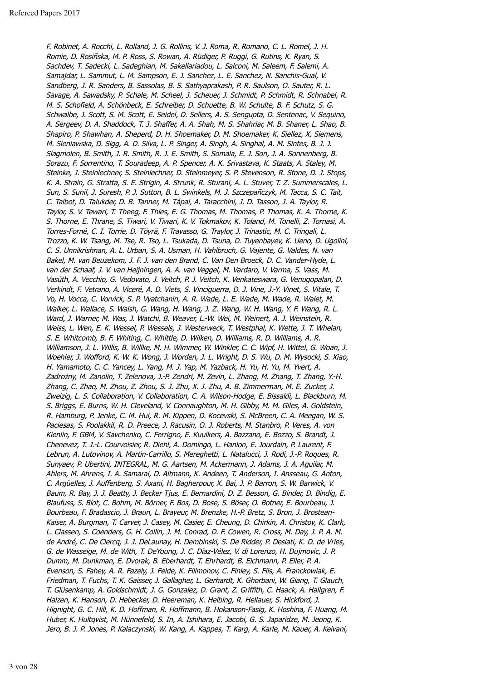F. Robinet, A. Rocchi, L. Rolland, J. G. Rollins, V. J. Roma, R. Romano, C. L. Romel, J. H. Romie, D. Rosiñska, M. P. Ross, S. Rowan, A. Rüdiger, P. Ruggi, G. Rutins, K. Ryan, S. Sachdev, T. Sadecki, L. Sadeghian, M. Sakellariadou, L. Salconi, M. Saleem, F. Salemi, A. Samajdar, L. Sammut, L. M. Sampson, E. J. Sanchez, L. E. Sanchez, N. Sanchis-Gual, V. Sandberg, J. R. Sanders, B. Sassolas, B. S. Sathyaprakash, P. R. Saulson, O. Sauter, R. L. Savage, A. Sawadsky, P. Schale, M. Scheel, J. Scheuer, J. Schmidt, P. Schmidt, R. Schnabel, R. M. S. Schofield, A. Schönbeck, E. Schreiber, D. Schuette, B. W. Schulte, B. F. Schutz, S. G. Schwalbe, J. Scott, S. M. Scott, E. Seidel, D. Sellers, A. S. Sengupta, D. Sentenac, V. Sequino, A. Sergeev, D. A. Shaddock, T. J. Shaffer, A. A. Shah, M. S. Shahriar, M. B. Shaner, L. Shao, B. Shapiro, P. Shawhan, A. Sheperd, D. H. Shoemaker, D. M. Shoemaker, K. Siellez, X. Siemens, M. Sieniawska, D. Sigg, A. D. Silva, L. P. Singer, A. Singh, A. Singhal, A. M. Sintes, B. J. J. Slagmolen, B. Smith, J. R. Smith, R. J. E. Smith, S. Somala, E. J. Son, J. A. Sonnenberg, B. Sorazu, F. Sorrentino, T. Souradeep, A. P. Spencer, A. K. Srivastava, K. Staats, A. Staley, M. Steinke, J. Steinlechner, S. Steinlechner, D. Steinmeyer, S. P. Stevenson, R. Stone, D. J. Stops, K. A. Strain, G. Stratta, S. E. Strigin, A. Strunk, R. Sturani, A. L. Stuver, T. Z. Summerscales, L. Sun, S. Sunil, J. Suresh, P. J. Sutton, B. L. Swinkels, M. J. Szczepañczyk, M. Tacca, S. C. Tait, C. Talbot, D. Talukder, D. B. Tanner, M. Tápai, A. Taracchini, J. D. Tasson, J. A. Taylor, R. Taylor, S. V. Tewari, T. Theeg, F. Thies, E. G. Thomas, M. Thomas, P. Thomas, K. A. Thorne, K. S. Thorne, E. Thrane, S. Tiwari, V. Tiwari, K. V. Tokmakov, K. Toland, M. Tonelli, Z. Tornasi, A. Torres-Forné, C. I. Torrie, D. Töyrä, F. Travasso, G. Traylor, J. Trinastic, M. C. Tringali, L. Trozzo, K. W. Tsang, M. Tse, R. Tso, L. Tsukada, D. Tsuna, D. Tuyenbayev, K. Ueno, D. Ugolini, C. S. Unnikrishnan, A. L. Urban, S. A. Usman, H. Vahlbruch, G. Vajente, G. Valdes, N. van Bakel, M. van Beuzekom, J. F. J. van den Brand, C. Van Den Broeck, D. C. Vander-Hyde, L. van der Schaaf, J. V. van Heijningen, A. A. van Veggel, M. Vardaro, V. Varma, S. Vass, M. Vasúth, A. Vecchio, G. Vedovato, J. Veitch, P. J. Veitch, K. Venkateswara, G. Venugopalan, D. Verkindt, F. Vetrano, A. Viceré, A. D. Viets, S. Vinciguerra, D. J. Vine, J.-Y. Vinet, S. Vitale, T. Vo, H. Vocca, C. Vorvick, S. P. Vyatchanin, A. R. Wade, L. E. Wade, M. Wade, R. Walet, M. Walker, L. Wallace, S. Walsh, G. Wang, H. Wang, J. Z. Wang, W. H. Wang, Y. F. Wang, R. L. Ward, J. Warner, M. Was, J. Watchi, B. Weaver, L.-W. Wei, M. Weinert, A. J. Weinstein, R. Weiss, L. Wen, E. K. Wessel, P. Wessels, J. Westerweck, T. Westphal, K. Wette, J. T. Whelan, S. E. Whitcomb, B. F. Whiting, C. Whittle, D. Wilken, D. Williams, R. D. Williams, A. R. Williamson, J. L. Willis, B. Willke, M. H. Wimmer, W. Winkler, C. C. Wipf, H. Wittel, G. Woan, J. Woehler, J. Wofford, K. W. K. Wong, J. Worden, J. L. Wright, D. S. Wu, D. M. Wysocki, S. Xiao, H. Yamamoto, C. C. Yancey, L. Yang, M. J. Yap, M. Yazback, H. Yu, H. Yu, M. Yvert, A. Zadrożny, M. Zanolin, T. Zelenova, J.-P. Zendri, M. Zevin, L. Zhang, M. Zhang, T. Zhang, Y.-H. Zhang, C. Zhao, M. Zhou, Z. Zhou, S. J. Zhu, X. J. Zhu, A. B. Zimmerman, M. E. Zucker, J. Zweizig, L. S. Collaboration, V. Collaboration, C. A. Wilson-Hodge, E. Bissaldi, L. Blackburn, M. S. Briggs, E. Burns, W. H. Cleveland, V. Connaughton, M. H. Gibby, M. M. Giles, A. Goldstein, R. Hamburg, P. Jenke, C. M. Hui, R. M. Kippen, D. Kocevski, S. McBreen, C. A. Meegan, W. S. Paciesas, S. Poolakkil, R. D. Preece, J. Racusin, O. J. Roberts, M. Stanbro, P. Veres, A. von Kienlin, F. GBM, V. Savchenko, C. Ferrigno, E. Kuulkers, A. Bazzano, E. Bozzo, S. Brandt, J. Chenevez, T. J.-L. Courvoisier, R. Diehl, A. Domingo, L. Hanlon, E. Jourdain, P. Laurent, F. Lebrun, A. Lutovinov, A. Martin-Carrillo, S. Mereghetti, L. Natalucci, J. Rodi, J.-P. Roques, R. Sunyaev, P. Ubertini, INTEGRAL, M. G. Aartsen, M. Ackermann, J. Adams, J. A. Aguilar, M. Ahlers, M. Ahrens, I. A. Samarai, D. Altmann, K. Andeen, T. Anderson, I. Ansseau, G. Anton, C. Argüelles, J. Auffenberg, S. Axani, H. Bagherpour, X. Bai, J. P. Barron, S. W. Barwick, V. Baum, R. Bay, J. J. Beatty, J. Becker Tjus, E. Bernardini, D. Z. Besson, G. Binder, D. Bindig, E. Blaufuss, S. Blot, C. Bohm, M. Börner, F. Bos, D. Bose, S. Böser, O. Botner, E. Bourbeau, J. Bourbeau, F. Bradascio, J. Braun, L. Brayeur, M. Brenzke, H.-P. Bretz, S. Bron, J. Brostean-Kaiser, A. Burgman, T. Carver, J. Casey, M. Casier, E. Cheung, D. Chirkin, A. Christov, K. Clark, L. Classen, S. Coenders, G. H. Collin, J. M. Conrad, D. F. Cowen, R. Cross, M. Day, J. P. A. M. de André, C. De Clercq, J. J. DeLaunay, H. Dembinski, S. De Ridder, P. Desiati, K. D. de Vries, G. de Wasseige, M. de With, T. DeYoung, J. C. Díaz-Vélez, V. di Lorenzo, H. Dujmovic, J. P. Dumm, M. Dunkman, E. Dvorak, B. Eberhardt, T. Ehrhardt, B. Eichmann, P. Eller, P. A. Evenson, S. Fahey, A. R. Fazely, J. Felde, K. Filimonov, C. Finley, S. Flis, A. Franckowiak, E. Friedman, T. Fuchs, T. K. Gaisser, J. Gallagher, L. Gerhardt, K. Ghorbani, W. Giang, T. Glauch, T. Glüsenkamp, A. Goldschmidt, J. G. Gonzalez, D. Grant, Z. Griffith, C. Haack, A. Hallgren, F. Halzen, K. Hanson, D. Hebecker, D. Heereman, K. Helbing, R. Hellauer, S. Hickford, J. Hignight, G. C. Hill, K. D. Hoffman, R. Hoffmann, B. Hokanson-Fasig, K. Hoshina, F. Huang, M. Huber, K. Hultqvist, M. Hünnefeld, S. In, A. Ishihara, E. Jacobi, G. S. Japaridze, M. Jeong, K. Jero, B. J. P. Jones, P. Kalaczynski, W. Kang, A. Kappes, T. Karg, A. Karle, M. Kauer, A. Keivani,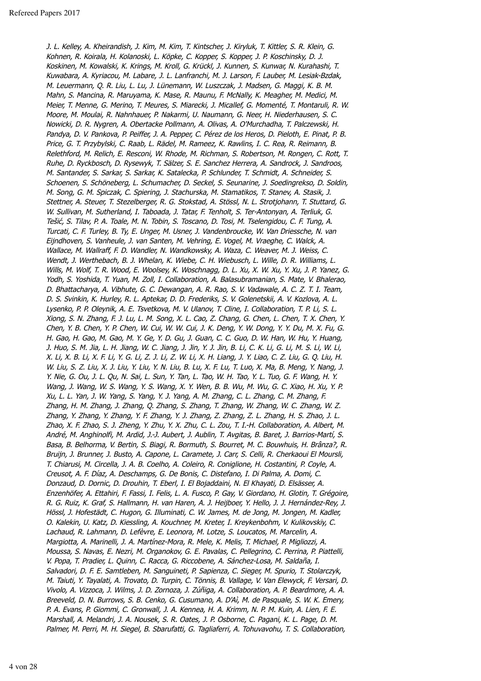J. L. Kelley, A. Kheirandish, J. Kim, M. Kim, T. Kintscher, J. Kiryluk, T. Kittler, S. R. Klein, G. Kohnen, R. Koirala, H. Kolanoski, L. Köpke, C. Kopper, S. Kopper, J. P. Koschinsky, D. J. Koskinen, M. Kowalski, K. Krings, M. Kroll, G. Krückl, J. Kunnen, S. Kunwar, N. Kurahashi, T. Kuwabara, A. Kyriacou, M. Labare, J. L. Lanfranchi, M. J. Larson, F. Lauber, M. Lesiak-Bzdak, M. Leuermann, Q. R. Liu, L. Lu, J. Lünemann, W. Luszczak, J. Madsen, G. Maggi, K. B. M. Mahn, S. Mancina, R. Maruyama, K. Mase, R. Maunu, F. McNally, K. Meagher, M. Medici, M. Meier, T. Menne, G. Merino, T. Meures, S. Miarecki, J. Micallef, G. Momenté, T. Montaruli, R. W. Moore, M. Moulai, R. Nahnhauer, P. Nakarmi, U. Naumann, G. Neer, H. Niederhausen, S. C. Nowicki, D. R. Nygren, A. Obertacke Pollmann, A. Olivas, A. O'Murchadha, T. Palczewski, H. Pandya, D. V. Pankova, P. Peiffer, J. A. Pepper, C. Pérez de los Heros, D. Pieloth, E. Pinat, P. B. Price, G. T. Przybylski, C. Raab, L. Rädel, M. Rameez, K. Rawlins, I. C. Rea, R. Reimann, B. Relethford, M. Relich, E. Resconi, W. Rhode, M. Richman, S. Robertson, M. Rongen, C. Rott, T. Ruhe, D. Ryckbosch, D. Rysewyk, T. Sälzer, S. E. Sanchez Herrera, A. Sandrock, J. Sandroos, M. Santander, S. Sarkar, S. Sarkar, K. Satalecka, P. Schlunder, T. Schmidt, A. Schneider, S. Schoenen, S. Schöneberg, L. Schumacher, D. Seckel, S. Seunarine, J. Soedingrekso, D. Soldin, M. Song, G. M. Spiczak, C. Spiering, J. Stachurska, M. Stamatikos, T. Stanev, A. Stasik, J. Stettner, A. Steuer, T. Stezelberger, R. G. Stokstad, A. Stössl, N. L. Strotjohann, T. Stuttard, G. W. Sullivan, M. Sutherland, I. Taboada, J. Tatar, F. Tenholt, S. Ter-Antonyan, A. Terliuk, G. Tešić, S. Tilav, P. A. Toale, M. N. Tobin, S. Toscano, D. Tosi, M. Tselengidou, C. F. Tung, A. Turcati, C. F. Turley, B. Ty, E. Unger, M. Usner, J. Vandenbroucke, W. Van Driessche, N. van Eijndhoven, S. Vanheule, J. van Santen, M. Vehring, E. Vogel, M. Vraeghe, C. Walck, A. Wallace, M. Wallraff, F. D. Wandler, N. Wandkowsky, A. Waza, C. Weaver, M. J. Weiss, C. Wendt, J. Werthebach, B. J. Whelan, K. Wiebe, C. H. Wiebusch, L. Wille, D. R. Williams, L. Wills, M. Wolf, T. R. Wood, E. Woolsey, K. Woschnagg, D. L. Xu, X. W. Xu, Y. Xu, J. P. Yanez, G. Yodh, S. Yoshida, T. Yuan, M. Zoll, I. Collaboration, A. Balasubramanian, S. Mate, V. Bhalerao, D. Bhattacharya, A. Vibhute, G. C. Dewangan, A. R. Rao, S. V. Vadawale, A. C. Z. T. I. Team, D. S. Svinkin, K. Hurley, R. L. Aptekar, D. D. Frederiks, S. V. Golenetskii, A. V. Kozlova, A. L. Lysenko, P. P. Oleynik, A. E. Tsvetkova, M. V. Ulanov, T. Cline, I. Collaboration, T. P. Li, S. L. Xiong, S. N. Zhang, F. J. Lu, L. M. Song, X. L. Cao, Z. Chang, G. Chen, L. Chen, T. X. Chen, Y. Chen, Y. B. Chen, Y. P. Chen, W. Cui, W. W. Cui, J. K. Deng, Y. W. Dong, Y. Y. Du, M. X. Fu, G. H. Gao, H. Gao, M. Gao, M. Y. Ge, Y. D. Gu, J. Guan, C. C. Guo, D. W. Han, W. Hu, Y. Huang, J. Huo, S. M. Jia, L. H. Jiang, W. C. Jiang, J. Jin, Y. J. Jin, B. Li, C. K. Li, G. Li, M. S. Li, W. Li, X. Li, X. B. Li, X. F. Li, Y. G. Li, Z. J. Li, Z. W. Li, X. H. Liang, J. Y. Liao, C. Z. Liu, G. Q. Liu, H. W. Liu, S. Z. Liu, X. J. Liu, Y. Liu, Y. N. Liu, B. Lu, X. F. Lu, T. Luo, X. Ma, B. Meng, Y. Nang, J. Y. Nie, G. Ou, J. L. Qu, N. Sai, L. Sun, Y. Tan, L. Tao, W. H. Tao, Y. L. Tuo, G. F. Wang, H. Y. Wang, J. Wang, W. S. Wang, Y. S. Wang, X. Y. Wen, B. B. Wu, M. Wu, G. C. Xiao, H. Xu, Y. P. Xu, L. L. Yan, J. W. Yang, S. Yang, Y. J. Yang, A. M. Zhang, C. L. Zhang, C. M. Zhang, F. Zhang, H. M. Zhang, J. Zhang, Q. Zhang, S. Zhang, T. Zhang, W. Zhang, W. C. Zhang, W. Z. Zhang, Y. Zhang, Y. Zhang, Y. F. Zhang, Y. J. Zhang, Z. Zhang, Z. L. Zhang, H. S. Zhao, J. L. Zhao, X. F. Zhao, S. J. Zheng, Y. Zhu, Y. X. Zhu, C. L. Zou, T. I.-H. Collaboration, A. Albert, M. André, M. Anghinolfi, M. Ardid, J.-J. Aubert, J. Aublin, T. Avgitas, B. Baret, J. Barrios-Martí, S. Basa, B. Belhorma, V. Bertin, S. Biagi, R. Bormuth, S. Bourret, M. C. Bouwhuis, H. Brânza?, R. Bruijn, J. Brunner, J. Busto, A. Capone, L. Caramete, J. Carr, S. Celli, R. Cherkaoui El Moursli, T. Chiarusi, M. Circella, J. A. B. Coelho, A. Coleiro, R. Coniglione, H. Costantini, P. Coyle, A. Creusot, A. F. Díaz, A. Deschamps, G. De Bonis, C. Distefano, I. Di Palma, A. Domi, C. Donzaud, D. Dornic, D. Drouhin, T. Eberl, I. El Bojaddaini, N. El Khayati, D. Elsässer, A. Enzenhöfer, A. Ettahiri, F. Fassi, I. Felis, L. A. Fusco, P. Gay, V. Giordano, H. Glotin, T. Grégoire, R. G. Ruiz, K. Graf, S. Hallmann, H. van Haren, A. J. Heijboer, Y. Hello, J. J. Hernández-Rey, J. Hössl, J. Hofestädt, C. Hugon, G. Illuminati, C. W. James, M. de Jong, M. Jongen, M. Kadler, O. Kalekin, U. Katz, D. Kiessling, A. Kouchner, M. Kreter, I. Kreykenbohm, V. Kulikovskiy, C. Lachaud, R. Lahmann, D. Lefèvre, E. Leonora, M. Lotze, S. Loucatos, M. Marcelin, A. Margiotta, A. Marinelli, J. A. Martínez-Mora, R. Mele, K. Melis, T. Michael, P. Migliozzi, A. Moussa, S. Navas, E. Nezri, M. Organokov, G. E. Pavalas, C. Pellegrino, C. Perrina, P. Piattelli, V. Popa, T. Pradier, L. Quinn, C. Racca, G. Riccobene, A. Sánchez-Losa, M. Saldaña, I. Salvadori, D. F. E. Samtleben, M. Sanguineti, P. Sapienza, C. Sieger, M. Spurio, T. Stolarczyk, M. Taiuti, Y. Tayalati, A. Trovato, D. Turpin, C. Tönnis, B. Vallage, V. Van Elewyck, F. Versari, D. Vivolo, A. Vizzoca, J. Wilms, J. D. Zornoza, J. Zúñiga, A. Collaboration, A. P. Beardmore, A. A. Breeveld, D. N. Burrows, S. B. Cenko, G. Cusumano, A. D'Aì, M. de Pasquale, S. W. K. Emery, P. A. Evans, P. Giommi, C. Gronwall, J. A. Kennea, H. A. Krimm, N. P. M. Kuin, A. Lien, F. E. Marshall, A. Melandri, J. A. Nousek, S. R. Oates, J. P. Osborne, C. Pagani, K. L. Page, D. M. Palmer, M. Perri, M. H. Siegel, B. Sbarufatti, G. Tagliaferri, A. Tohuvavohu, T. S. Collaboration,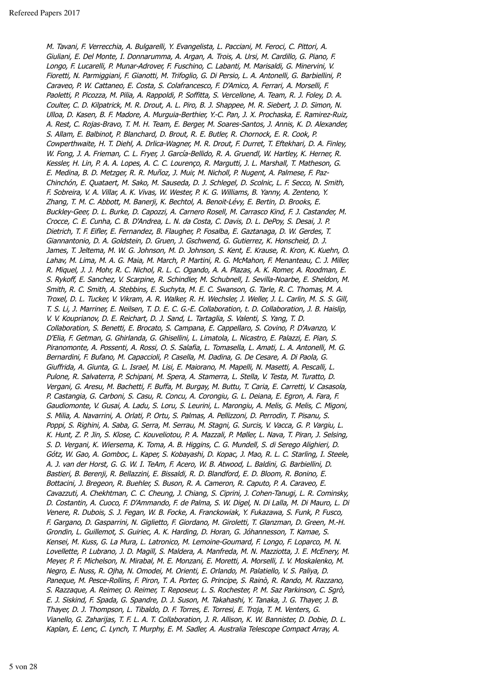M. Tavani, F. Verrecchia, A. Bulgarelli, Y. Evangelista, L. Pacciani, M. Feroci, C. Pittori, A. Giuliani, E. Del Monte, I. Donnarumma, A. Argan, A. Trois, A. Ursi, M. Cardillo, G. Piano, F. Longo, F. Lucarelli, P. Munar-Adrover, F. Fuschino, C. Labanti, M. Marisaldi, G. Minervini, V. Fioretti, N. Parmiggiani, F. Gianotti, M. Trifoglio, G. Di Persio, L. A. Antonelli, G. Barbiellini, P. Caraveo, P. W. Cattaneo, E. Costa, S. Colafrancesco, F. D'Amico, A. Ferrari, A. Morselli, F. Paoletti, P. Picozza, M. Pilia, A. Rappoldi, P. Soffitta, S. Vercellone, A. Team, R. J. Foley, D. A. Coulter, C. D. Kilpatrick, M. R. Drout, A. L. Piro, B. J. Shappee, M. R. Siebert, J. D. Simon, N. Ulloa, D. Kasen, B. F. Madore, A. Murguia-Berthier, Y.-C. Pan, J. X. Prochaska, E. Ramirez-Ruiz, A. Rest, C. Rojas-Bravo, T. M. H. Team, E. Berger, M. Soares-Santos, J. Annis, K. D. Alexander, S. Allam, E. Balbinot, P. Blanchard, D. Brout, R. E. Butler, R. Chornock, E. R. Cook, P. Cowperthwaite, H. T. Diehl, A. Drlica-Wagner, M. R. Drout, F. Durret, T. Eftekhari, D. A. Finley, W. Fong, J. A. Frieman, C. L. Fryer, J. García-Bellido, R. A. Gruendl, W. Hartley, K. Herner, R. Kessler, H. Lin, P. A. A. Lopes, A. C. C. Lourenço, R. Margutti, J. L. Marshall, T. Matheson, G. E. Medina, B. D. Metzger, R. R. Muñoz, J. Muir, M. Nicholl, P. Nugent, A. Palmese, F. Paz-Chinchón, E. Quataert, M. Sako, M. Sauseda, D. J. Schlegel, D. Scolnic, L. F. Secco, N. Smith, F. Sobreira, V. A. Villar, A. K. Vivas, W. Wester, P. K. G. Williams, B. Yanny, A. Zenteno, Y. Zhang, T. M. C. Abbott, M. Banerji, K. Bechtol, A. Benoit-Lévy, E. Bertin, D. Brooks, E. Buckley-Geer, D. L. Burke, D. Capozzi, A. Carnero Rosell, M. Carrasco Kind, F. J. Castander, M. Crocce, C. E. Cunha, C. B. D'Andrea, L. N. da Costa, C. Davis, D. L. DePoy, S. Desai, J. P. Dietrich, T. F. Eifler, E. Fernandez, B. Flaugher, P. Fosalba, E. Gaztanaga, D. W. Gerdes, T. Giannantonio, D. A. Goldstein, D. Gruen, J. Gschwend, G. Gutierrez, K. Honscheid, D. J. James, T. Jeltema, M. W. G. Johnson, M. D. Johnson, S. Kent, E. Krause, R. Kron, K. Kuehn, O. Lahav, M. Lima, M. A. G. Maia, M. March, P. Martini, R. G. McMahon, F. Menanteau, C. J. Miller, R. Miquel, J. J. Mohr, R. C. Nichol, R. L. C. Ogando, A. A. Plazas, A. K. Romer, A. Roodman, E. S. Rykoff, E. Sanchez, V. Scarpine, R. Schindler, M. Schubnell, I. Sevilla-Noarbe, E. Sheldon, M. Smith, R. C. Smith, A. Stebbins, E. Suchyta, M. E. C. Swanson, G. Tarle, R. C. Thomas, M. A. Troxel, D. L. Tucker, V. Vikram, A. R. Walker, R. H. Wechsler, J. Weller, J. L. Carlin, M. S. S. Gill, T. S. Li, J. Marriner, E. Neilsen, T. D. E. C. G.-E. Collaboration, t. D. Collaboration, J. B. Haislip, V. V. Kouprianov, D. E. Reichart, D. J. Sand, L. Tartaglia, S. Valenti, S. Yang, T. D. Collaboration, S. Benetti, E. Brocato, S. Campana, E. Cappellaro, S. Covino, P. D'Avanzo, V. D'Elia, F. Getman, G. Ghirlanda, G. Ghisellini, L. Limatola, L. Nicastro, E. Palazzi, E. Pian, S. Piranomonte, A. Possenti, A. Rossi, O. S. Salafia, L. Tomasella, L. Amati, L. A. Antonelli, M. G. Bernardini, F. Bufano, M. Capaccioli, P. Casella, M. Dadina, G. De Cesare, A. Di Paola, G. Giuffrida, A. Giunta, G. L. Israel, M. Lisi, E. Maiorano, M. Mapelli, N. Masetti, A. Pescalli, L. Pulone, R. Salvaterra, P. Schipani, M. Spera, A. Stamerra, L. Stella, V. Testa, M. Turatto, D. Vergani, G. Aresu, M. Bachetti, F. Buffa, M. Burgay, M. Buttu, T. Caria, E. Carretti, V. Casasola, P. Castangia, G. Carboni, S. Casu, R. Concu, A. Corongiu, G. L. Deiana, E. Egron, A. Fara, F. Gaudiomonte, V. Gusai, A. Ladu, S. Loru, S. Leurini, L. Marongiu, A. Melis, G. Melis, C. Migoni, S. Milia, A. Navarrini, A. Orlati, P. Ortu, S. Palmas, A. Pellizzoni, D. Perrodin, T. Pisanu, S. Poppi, S. Righini, A. Saba, G. Serra, M. Serrau, M. Stagni, G. Surcis, V. Vacca, G. P. Vargiu, L. K. Hunt, Z. P. Jin, S. Klose, C. Kouveliotou, P. A. Mazzali, P. Møller, L. Nava, T. Piran, J. Selsing, S. D. Vergani, K. Wiersema, K. Toma, A. B. Higgins, C. G. Mundell, S. di Serego Alighieri, D. Gótz, W. Gao, A. Gomboc, L. Kaper, S. Kobayashi, D. Kopac, J. Mao, R. L. C. Starling, I. Steele, A. J. van der Horst, G. G. W. I. TeAm, F. Acero, W. B. Atwood, L. Baldini, G. Barbiellini, D. Bastieri, B. Berenji, R. Bellazzini, E. Bissaldi, R. D. Blandford, E. D. Bloom, R. Bonino, E. Bottacini, J. Bregeon, R. Buehler, S. Buson, R. A. Cameron, R. Caputo, P. A. Caraveo, E. Cavazzuti, A. Chekhtman, C. C. Cheung, J. Chiang, S. Ciprini, J. Cohen-Tanugi, L. R. Cominsky, D. Costantin, A. Cuoco, F. D'Ammando, F. de Palma, S. W. Digel, N. Di Lalla, M. Di Mauro, L. Di Venere, R. Dubois, S. J. Fegan, W. B. Focke, A. Franckowiak, Y. Fukazawa, S. Funk, P. Fusco, F. Gargano, D. Gasparrini, N. Giglietto, F. Giordano, M. Giroletti, T. Glanzman, D. Green, M.-H. Grondin, L. Guillemot, S. Guiriec, A. K. Harding, D. Horan, G. Jóhannesson, T. Kamae, S. Kensei, M. Kuss, G. La Mura, L. Latronico, M. Lemoine-Goumard, F. Longo, F. Loparco, M. N. Lovellette, P. Lubrano, J. D. Magill, S. Maldera, A. Manfreda, M. N. Mazziotta, J. E. McEnery, M. Meyer, P. F. Michelson, N. Mirabal, M. E. Monzani, E. Moretti, A. Morselli, I. V. Moskalenko, M. Negro, E. Nuss, R. Ojha, N. Omodei, M. Orienti, E. Orlando, M. Palatiello, V. S. Paliya, D. Paneque, M. Pesce-Rollins, F. Piron, T. A. Porter, G. Principe, S. Rainò, R. Rando, M. Razzano, S. Razzaque, A. Reimer, O. Reimer, T. Reposeur, L. S. Rochester, P. M. Saz Parkinson, C. Sgrò, E. J. Siskind, F. Spada, G. Spandre, D. J. Suson, M. Takahashi, Y. Tanaka, J. G. Thayer, J. B. Thayer, D. J. Thompson, L. Tibaldo, D. F. Torres, E. Torresi, E. Troja, T. M. Venters, G. Vianello, G. Zaharijas, T. F. L. A. T. Collaboration, J. R. Allison, K. W. Bannister, D. Dobie, D. L. Kaplan, E. Lenc, C. Lynch, T. Murphy, E. M. Sadler, A. Australia Telescope Compact Array, A.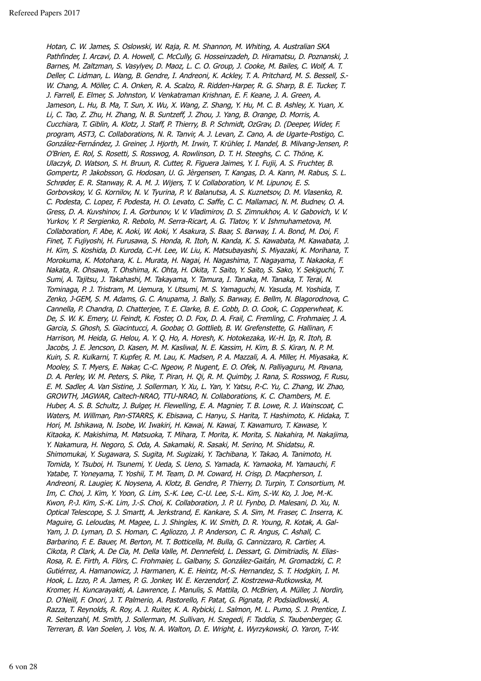Hotan, C. W. James, S. Oslowski, W. Raja, R. M. Shannon, M. Whiting, A. Australian SKA Pathfinder, I. Arcavi, D. A. Howell, C. McCully, G. Hosseinzadeh, D. Hiramatsu, D. Poznanski, J. Barnes, M. Zaltzman, S. Vasylyev, D. Maoz, L. C. O. Group, J. Cooke, M. Bailes, C. Wolf, A. T. Deller, C. Lidman, L. Wang, B. Gendre, I. Andreoni, K. Ackley, T. A. Pritchard, M. S. Bessell, S.- W. Chang, A. Möller, C. A. Onken, R. A. Scalzo, R. Ridden-Harper, R. G. Sharp, B. E. Tucker, T. J. Farrell, E. Elmer, S. Johnston, V. Venkatraman Krishnan, E. F. Keane, J. A. Green, A. Jameson, L. Hu, B. Ma, T. Sun, X. Wu, X. Wang, Z. Shang, Y. Hu, M. C. B. Ashley, X. Yuan, X. Li, C. Tao, Z. Zhu, H. Zhang, N. B. Suntzeff, J. Zhou, J. Yang, B. Orange, D. Morris, A. Cucchiara, T. Giblin, A. Klotz, J. Staff, P. Thierry, B. P. Schmidt, OzGrav, D. (Deeper, Wider, F. program, AST3, C. Collaborations, N. R. Tanvir, A. J. Levan, Z. Cano, A. de Ugarte-Postigo, C. González-Fernández, J. Greiner, J. Hjorth, M. Irwin, T. Krühler, I. Mandel, B. Milvang-Jensen, P. O'Brien, E. Rol, S. Rosetti, S. Rosswog, A. Rowlinson, D. T. H. Steeghs, C. C. Thöne, K. Ulaczyk, D. Watson, S. H. Bruun, R. Cutter, R. Figuera Jaimes, Y. I. Fujii, A. S. Fruchter, B. Gompertz, P. Jakobsson, G. Hodosan, U. G. Jèrgensen, T. Kangas, D. A. Kann, M. Rabus, S. L. Schrøder, E. R. Stanway, R. A. M. J. Wijers, T. V. Collaboration, V. M. Lipunov, E. S. Gorbovskoy, V. G. Kornilov, N. V. Tyurina, P. V. Balanutsa, A. S. Kuznetsov, D. M. Vlasenko, R. C. Podesta, C. Lopez, F. Podesta, H. O. Levato, C. Saffe, C. C. Mallamaci, N. M. Budnev, O. A. Gress, D. A. Kuvshinov, I. A. Gorbunov, V. V. Vladimirov, D. S. Zimnukhov, A. V. Gabovich, V. V. Yurkov, Y. P. Sergienko, R. Rebolo, M. Serra-Ricart, A. G. Tlatov, Y. V. Ishmuhametova, M. Collaboration, F. Abe, K. Aoki, W. Aoki, Y. Asakura, S. Baar, S. Barway, I. A. Bond, M. Doi, F. Finet, T. Fujiyoshi, H. Furusawa, S. Honda, R. Itoh, N. Kanda, K. S. Kawabata, M. Kawabata, J. H. Kim, S. Koshida, D. Kuroda, C.-H. Lee, W. Liu, K. Matsubayashi, S. Miyazaki, K. Morihana, T. Morokuma, K. Motohara, K. L. Murata, H. Nagai, H. Nagashima, T. Nagayama, T. Nakaoka, F. Nakata, R. Ohsawa, T. Ohshima, K. Ohta, H. Okita, T. Saito, Y. Saito, S. Sako, Y. Sekiguchi, T. Sumi, A. Tajitsu, J. Takahashi, M. Takayama, Y. Tamura, I. Tanaka, M. Tanaka, T. Terai, N. Tominaga, P. J. Tristram, M. Uemura, Y. Utsumi, M. S. Yamaguchi, N. Yasuda, M. Yoshida, T. Zenko, J-GEM, S. M. Adams, G. C. Anupama, J. Bally, S. Barway, E. Bellm, N. Blagorodnova, C. Cannella, P. Chandra, D. Chatterjee, T. E. Clarke, B. E. Cobb, D. O. Cook, C. Copperwheat, K. De, S. W. K. Emery, U. Feindt, K. Foster, O. D. Fox, D. A. Frail, C. Fremling, C. Frohmaier, J. A. Garcia, S. Ghosh, S. Giacintucci, A. Goobar, O. Gottlieb, B. W. Grefenstette, G. Hallinan, F. Harrison, M. Heida, G. Helou, A. Y. Q. Ho, A. Horesh, K. Hotokezaka, W.-H. Ip, R. Itoh, B. Jacobs, J. E. Jencson, D. Kasen, M. M. Kasliwal, N. E. Kassim, H. Kim, B. S. Kiran, N. P. M. Kuin, S. R. Kulkarni, T. Kupfer, R. M. Lau, K. Madsen, P. A. Mazzali, A. A. Miller, H. Miyasaka, K. Mooley, S. T. Myers, E. Nakar, C.-C. Ngeow, P. Nugent, E. O. Ofek, N. Palliyaguru, M. Pavana, D. A. Perley, W. M. Peters, S. Pike, T. Piran, H. Qi, R. M. Quimby, J. Rana, S. Rosswog, F. Rusu, E. M. Sadler, A. Van Sistine, J. Sollerman, Y. Xu, L. Yan, Y. Yatsu, P.-C. Yu, C. Zhang, W. Zhao, GROWTH, JAGWAR, Caltech-NRAO, TTU-NRAO, N. Collaborations, K. C. Chambers, M. E. Huber, A. S. B. Schultz, J. Bulger, H. Flewelling, E. A. Magnier, T. B. Lowe, R. J. Wainscoat, C. Waters, M. Willman, Pan-STARRS, K. Ebisawa, C. Hanyu, S. Harita, T. Hashimoto, K. Hidaka, T. Hori, M. Ishikawa, N. Isobe, W. Iwakiri, H. Kawai, N. Kawai, T. Kawamuro, T. Kawase, Y. Kitaoka, K. Makishima, M. Matsuoka, T. Mihara, T. Morita, K. Morita, S. Nakahira, M. Nakajima, Y. Nakamura, H. Negoro, S. Oda, A. Sakamaki, R. Sasaki, M. Serino, M. Shidatsu, R. Shimomukai, Y. Sugawara, S. Sugita, M. Sugizaki, Y. Tachibana, Y. Takao, A. Tanimoto, H. Tomida, Y. Tsuboi, H. Tsunemi, Y. Ueda, S. Ueno, S. Yamada, K. Yamaoka, M. Yamauchi, F. Yatabe, T. Yoneyama, T. Yoshii, T. M. Team, D. M. Coward, H. Crisp, D. Macpherson, I. Andreoni, R. Laugier, K. Noysena, A. Klotz, B. Gendre, P. Thierry, D. Turpin, T. Consortium, M. Im, C. Choi, J. Kim, Y. Yoon, G. Lim, S.-K. Lee, C.-U. Lee, S.-L. Kim, S.-W. Ko, J. Joe, M.-K. Kwon, P.-J. Kim, S.-K. Lim, J.-S. Choi, K. Collaboration, J. P. U. Fynbo, D. Malesani, D. Xu, N. Optical Telescope, S. J. Smartt, A. Jerkstrand, E. Kankare, S. A. Sim, M. Fraser, C. Inserra, K. Maguire, G. Leloudas, M. Magee, L. J. Shingles, K. W. Smith, D. R. Young, R. Kotak, A. Gal-Yam, J. D. Lyman, D. S. Homan, C. Agliozzo, J. P. Anderson, C. R. Angus, C. Ashall, C. Barbarino, F. E. Bauer, M. Berton, M. T. Botticella, M. Bulla, G. Cannizzaro, R. Cartier, A. Cikota, P. Clark, A. De Cia, M. Della Valle, M. Dennefeld, L. Dessart, G. Dimitriadis, N. Elias-Rosa, R. E. Firth, A. Flörs, C. Frohmaier, L. Galbany, S. González-Gaitán, M. Gromadzki, C. P. Gutiérrez, A. Hamanowicz, J. Harmanen, K. E. Heintz, M.-S. Hernandez, S. T. Hodgkin, I. M. Hook, L. Izzo, P. A. James, P. G. Jonker, W. E. Kerzendorf, Z. Kostrzewa-Rutkowska, M. Kromer, H. Kuncarayakti, A. Lawrence, I. Manulis, S. Mattila, O. McBrien, A. Müller, J. Nordin, D. O'Neill, F. Onori, J. T. Palmerio, A. Pastorello, F. Patat, G. Pignata, P. Podsiadlowski, A. Razza, T. Reynolds, R. Roy, A. J. Ruiter, K. A. Rybicki, L. Salmon, M. L. Pumo, S. J. Prentice, I. R. Seitenzahl, M. Smith, J. Sollerman, M. Sullivan, H. Szegedi, F. Taddia, S. Taubenberger, G. Terreran, B. Van Soelen, J. Vos, N. A. Walton, D. E. Wright, Ł. Wyrzykowski, O. Yaron, T.-W.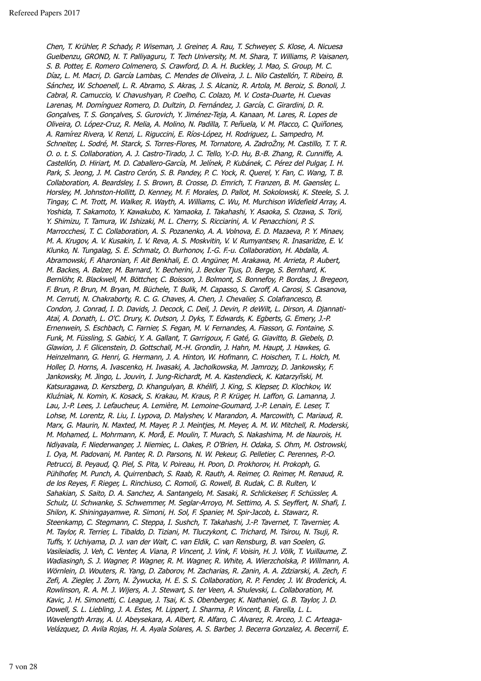Chen, T. Krühler, P. Schady, P. Wiseman, J. Greiner, A. Rau, T. Schweyer, S. Klose, A. Nicuesa Guelbenzu, GROND, N. T. Palliyaguru, T. Tech University, M. M. Shara, T. Williams, P. Vaisanen, S. B. Potter, E. Romero Colmenero, S. Crawford, D. A. H. Buckley, J. Mao, S. Group, M. C. Díaz, L. M. Macri, D. García Lambas, C. Mendes de Oliveira, J. L. Nilo Castellón, T. Ribeiro, B. Sánchez, W. Schoenell, L. R. Abramo, S. Akras, J. S. Alcaniz, R. Artola, M. Beroiz, S. Bonoli, J. Cabral, R. Camuccio, V. Chavushyan, P. Coelho, C. Colazo, M. V. Costa-Duarte, H. Cuevas Larenas, M. Domínguez Romero, D. Dultzin, D. Fernández, J. García, C. Girardini, D. R. Gonçalves, T. S. Gonçalves, S. Gurovich, Y. Jiménez-Teja, A. Kanaan, M. Lares, R. Lopes de Oliveira, O. López-Cruz, R. Melia, A. Molino, N. Padilla, T. Peñuela, V. M. Placco, C. Quiñones, A. Ramírez Rivera, V. Renzi, L. Riguccini, E. Ríos-López, H. Rodriguez, L. Sampedro, M. Schneiter, L. Sodré, M. Starck, S. Torres-Flores, M. Tornatore, A. ZadroŻny, M. Castillo, T. T. R. O. o. t. S. Collaboration, A. J. Castro-Tirado, J. C. Tello, Y.-D. Hu, B.-B. Zhang, R. Cunniffe, A. Castellón, D. Hiriart, M. D. Caballero-García, M. Jelínek, P. Kubánek, C. Pérez del Pulgar, I. H. Park, S. Jeong, J. M. Castro Cerón, S. B. Pandey, P. C. Yock, R. Querel, Y. Fan, C. Wang, T. B. Collaboration, A. Beardsley, I. S. Brown, B. Crosse, D. Emrich, T. Franzen, B. M. Gaensler, L. Horsley, M. Johnston-Hollitt, D. Kenney, M. F. Morales, D. Pallot, M. Sokolowski, K. Steele, S. J. Tingay, C. M. Trott, M. Walker, R. Wayth, A. Williams, C. Wu, M. Murchison Widefield Array, A. Yoshida, T. Sakamoto, Y. Kawakubo, K. Yamaoka, I. Takahashi, Y. Asaoka, S. Ozawa, S. Torii, Y. Shimizu, T. Tamura, W. Ishizaki, M. L. Cherry, S. Ricciarini, A. V. Penacchioni, P. S. Marrocchesi, T. C. Collaboration, A. S. Pozanenko, A. A. Volnova, E. D. Mazaeva, P. Y. Minaev, M. A. Krugov, A. V. Kusakin, I. V. Reva, A. S. Moskvitin, V. V. Rumyantsev, R. Inasaridze, E. V. Klunko, N. Tungalag, S. E. Schmalz, O. Burhonov, I.-G. F.-u. Collaboration, H. Abdalla, A. Abramowski, F. Aharonian, F. Ait Benkhali, E. O. Angüner, M. Arakawa, M. Arrieta, P. Aubert, M. Backes, A. Balzer, M. Barnard, Y. Becherini, J. Becker Tjus, D. Berge, S. Bernhard, K. Bernlöhr, R. Blackwell, M. Böttcher, C. Boisson, J. Bolmont, S. Bonnefoy, P. Bordas, J. Bregeon, F. Brun, P. Brun, M. Bryan, M. Büchele, T. Bulik, M. Capasso, S. Caroff, A. Carosi, S. Casanova, M. Cerruti, N. Chakraborty, R. C. G. Chaves, A. Chen, J. Chevalier, S. Colafrancesco, B. Condon, J. Conrad, I. D. Davids, J. Decock, C. Deil, J. Devin, P. deWilt, L. Dirson, A. Djannati-Ataï, A. Donath, L. O'C. Drury, K. Dutson, J. Dyks, T. Edwards, K. Egberts, G. Emery, J.-P. Ernenwein, S. Eschbach, C. Farnier, S. Fegan, M. V. Fernandes, A. Fiasson, G. Fontaine, S. Funk, M. Füssling, S. Gabici, Y. A. Gallant, T. Garrigoux, F. Gaté, G. Giavitto, B. Giebels, D. Glawion, J. F. Glicenstein, D. Gottschall, M.-H. Grondin, J. Hahn, M. Haupt, J. Hawkes, G. Heinzelmann, G. Henri, G. Hermann, J. A. Hinton, W. Hofmann, C. Hoischen, T. L. Holch, M. Holler, D. Horns, A. Ivascenko, H. Iwasaki, A. Jacholkowska, M. Jamrozy, D. Jankowsky, F. Jankowsky, M. Jingo, L. Jouvin, I. Jung-Richardt, M. A. Kastendieck, K. Katarzyñski, M. Katsuragawa, D. Kerszberg, D. Khangulyan, B. Khélifi, J. King, S. Klepser, D. Klochkov, W. Kluźniak, N. Komin, K. Kosack, S. Krakau, M. Kraus, P. P. Krüger, H. Laffon, G. Lamanna, J. Lau, J.-P. Lees, J. Lefaucheur, A. Lemière, M. Lemoine-Goumard, J.-P. Lenain, E. Leser, T. Lohse, M. Lorentz, R. Liu, I. Lypova, D. Malyshev, V. Marandon, A. Marcowith, C. Mariaud, R. Marx, G. Maurin, N. Maxted, M. Mayer, P. J. Meintjes, M. Meyer, A. M. W. Mitchell, R. Moderski, M. Mohamed, L. Mohrmann, K. Morå, E. Moulin, T. Murach, S. Nakashima, M. de Naurois, H. Ndiyavala, F. Niederwanger, J. Niemiec, L. Oakes, P. O'Brien, H. Odaka, S. Ohm, M. Ostrowski, I. Oya, M. Padovani, M. Panter, R. D. Parsons, N. W. Pekeur, G. Pelletier, C. Perennes, P.-O. Petrucci, B. Peyaud, Q. Piel, S. Pita, V. Poireau, H. Poon, D. Prokhorov, H. Prokoph, G. Pühlhofer, M. Punch, A. Quirrenbach, S. Raab, R. Rauth, A. Reimer, O. Reimer, M. Renaud, R. de los Reyes, F. Rieger, L. Rinchiuso, C. Romoli, G. Rowell, B. Rudak, C. B. Rulten, V. Sahakian, S. Saito, D. A. Sanchez, A. Santangelo, M. Sasaki, R. Schlickeiser, F. Schüssler, A. Schulz, U. Schwanke, S. Schwemmer, M. Seglar-Arroyo, M. Settimo, A. S. Seyffert, N. Shafi, I. Shilon, K. Shiningayamwe, R. Simoni, H. Sol, F. Spanier, M. Spir-Jacob, Ł. Stawarz, R. Steenkamp, C. Stegmann, C. Steppa, I. Sushch, T. Takahashi, J.-P. Tavernet, T. Tavernier, A. M. Taylor, R. Terrier, L. Tibaldo, D. Tiziani, M. Tluczykont, C. Trichard, M. Tsirou, N. Tsuji, R. Tuffs, Y. Uchiyama, D. J. van der Walt, C. van Eldik, C. van Rensburg, B. van Soelen, G. Vasileiadis, J. Veh, C. Venter, A. Viana, P. Vincent, J. Vink, F. Voisin, H. J. Völk, T. Vuillaume, Z. Wadiasingh, S. J. Wagner, P. Wagner, R. M. Wagner, R. White, A. Wierzcholska, P. Willmann, A. Wörnlein, D. Wouters, R. Yang, D. Zaborov, M. Zacharias, R. Zanin, A. A. Zdziarski, A. Zech, F. Zefi, A. Ziegler, J. Zorn, N. Żywucka, H. E. S. S. Collaboration, R. P. Fender, J. W. Broderick, A. Rowlinson, R. A. M. J. Wijers, A. J. Stewart, S. ter Veen, A. Shulevski, L. Collaboration, M. Kavic, J. H. Simonetti, C. League, J. Tsai, K. S. Obenberger, K. Nathaniel, G. B. Taylor, J. D. Dowell, S. L. Liebling, J. A. Estes, M. Lippert, I. Sharma, P. Vincent, B. Farella, L. L. Wavelength Array, A. U. Abeysekara, A. Albert, R. Alfaro, C. Alvarez, R. Arceo, J. C. Arteaga-Velázquez, D. Avila Rojas, H. A. Ayala Solares, A. S. Barber, J. Becerra Gonzalez, A. Becerril, E.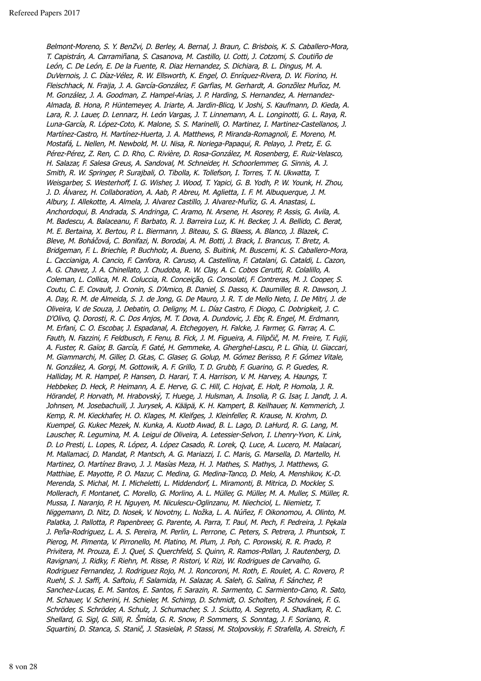Belmont-Moreno, S. Y. BenZvi, D. Berley, A. Bernal, J. Braun, C. Brisbois, K. S. Caballero-Mora, T. Capistrán, A. Carramiñana, S. Casanova, M. Castillo, U. Cotti, J. Cotzomi, S. Coutiño de León, C. De León, E. De la Fuente, R. Diaz Hernandez, S. Dichiara, B. L. Dingus, M. A. DuVernois, J. C. Díaz-Vélez, R. W. Ellsworth, K. Engel, O. Enríquez-Rivera, D. W. Fiorino, H. Fleischhack, N. Fraija, J. A. García-González, F. Garfias, M. Gerhardt, A. Gonzõlez Muñoz, M. M. González, J. A. Goodman, Z. Hampel-Arias, J. P. Harding, S. Hernandez, A. Hernandez-Almada, B. Hona, P. Hüntemeyer, A. Iriarte, A. Jardin-Blicq, V. Joshi, S. Kaufmann, D. Kieda, A. Lara, R. J. Lauer, D. Lennarz, H. León Vargas, J. T. Linnemann, A. L. Longinotti, G. L. Raya, R. Luna-García, R. López-Coto, K. Malone, S. S. Marinelli, O. Martinez, I. Martinez-Castellanos, J. Martínez-Castro, H. Martínez-Huerta, J. A. Matthews, P. Miranda-Romagnoli, E. Moreno, M. Mostafá, L. Nellen, M. Newbold, M. U. Nisa, R. Noriega-Papaqui, R. Pelayo, J. Pretz, E. G. Pérez-Pérez, Z. Ren, C. D. Rho, C. Rivière, D. Rosa-González, M. Rosenberg, E. Ruiz-Velasco, H. Salazar, F. Salesa Greus, A. Sandoval, M. Schneider, H. Schoorlemmer, G. Sinnis, A. J. Smith, R. W. Springer, P. Surajbali, O. Tibolla, K. Tollefson, I. Torres, T. N. Ukwatta, T. Weisgarber, S. Westerhoff, I. G. Wisher, J. Wood, T. Yapici, G. B. Yodh, P. W. Younk, H. Zhou, J. D. Álvarez, H. Collaboration, A. Aab, P. Abreu, M. Aglietta, I. F. M. Albuquerque, J. M. Albury, I. Allekotte, A. Almela, J. Alvarez Castillo, J. Alvarez-Muñiz, G. A. Anastasi, L. Anchordoqui, B. Andrada, S. Andringa, C. Aramo, N. Arsene, H. Asorey, P. Assis, G. Avila, A. M. Badescu, A. Balaceanu, F. Barbato, R. J. Barreira Luz, K. H. Becker, J. A. Bellido, C. Berat, M. E. Bertaina, X. Bertou, P. L. Biermann, J. Biteau, S. G. Blaess, A. Blanco, J. Blazek, C. Bleve, M. Boháčová, C. Bonifazi, N. Borodai, A. M. Botti, J. Brack, I. Brancus, T. Bretz, A. Bridgeman, F. L. Briechle, P. Buchholz, A. Bueno, S. Buitink, M. Buscemi, K. S. Caballero-Mora, L. Caccianiga, A. Cancio, F. Canfora, R. Caruso, A. Castellina, F. Catalani, G. Cataldi, L. Cazon, A. G. Chavez, J. A. Chinellato, J. Chudoba, R. W. Clay, A. C. Cobos Cerutti, R. Colalillo, A. Coleman, L. Collica, M. R. Coluccia, R. Conceição, G. Consolati, F. Contreras, M. J. Cooper, S. Coutu, C. E. Covault, J. Cronin, S. D'Amico, B. Daniel, S. Dasso, K. Daumiller, B. R. Dawson, J. A. Day, R. M. de Almeida, S. J. de Jong, G. De Mauro, J. R. T. de Mello Neto, I. De Mitri, J. de Oliveira, V. de Souza, J. Debatin, O. Deligny, M. L. Díaz Castro, F. Diogo, C. Dobrigkeit, J. C. D'Olivo, Q. Dorosti, R. C. Dos Anjos, M. T. Dova, A. Dundovic, J. Ebr, R. Engel, M. Erdmann, M. Erfani, C. O. Escobar, J. Espadanal, A. Etchegoyen, H. Falcke, J. Farmer, G. Farrar, A. C. Fauth, N. Fazzini, F. Feldbusch, F. Fenu, B. Fick, J. M. Figueira, A. Filipčič, M. M. Freire, T. Fujii, A. Fuster, R. Gaïor, B. García, F. Gaté, H. Gemmeke, A. Gherghel-Lascu, P. L. Ghia, U. Giaccari, M. Giammarchi, M. Giller, D. GŁas, C. Glaser, G. Golup, M. Gómez Berisso, P. F. Gómez Vitale, N. González, A. Gorgi, M. Gottowik, A. F. Grillo, T. D. Grubb, F. Guarino, G. P. Guedes, R. Halliday, M. R. Hampel, P. Hansen, D. Harari, T. A. Harrison, V. M. Harvey, A. Haungs, T. Hebbeker, D. Heck, P. Heimann, A. E. Herve, G. C. Hill, C. Hojvat, E. Holt, P. Homola, J. R. Hörandel, P. Horvath, M. Hrabovský, T. Huege, J. Hulsman, A. Insolia, P. G. Isar, I. Jandt, J. A. Johnsen, M. Josebachuili, J. Jurysek, A. Kääpä, K. H. Kampert, B. Keilhauer, N. Kemmerich, J. Kemp, R. M. Kieckhafer, H. O. Klages, M. Kleifges, J. Kleinfeller, R. Krause, N. Krohm, D. Kuempel, G. Kukec Mezek, N. Kunka, A. Kuotb Awad, B. L. Lago, D. LaHurd, R. G. Lang, M. Lauscher, R. Legumina, M. A. Leigui de Oliveira, A. Letessier-Selvon, I. Lhenry-Yvon, K. Link, D. Lo Presti, L. Lopes, R. López, A. López Casado, R. Lorek, Q. Luce, A. Lucero, M. Malacari, M. Mallamaci, D. Mandat, P. Mantsch, A. G. Mariazzi, I. C. Maris, G. Marsella, D. Martello, H. Martinez, O. Martínez Bravo, J. J. Masías Meza, H. J. Mathes, S. Mathys, J. Matthews, G. Matthiae, E. Mayotte, P. O. Mazur, C. Medina, G. Medina-Tanco, D. Melo, A. Menshikov, K.-D. Merenda, S. Michal, M. I. Micheletti, L. Middendorf, L. Miramonti, B. Mitrica, D. Mockler, S. Mollerach, F. Montanet, C. Morello, G. Morlino, A. L. Müller, G. Müller, M. A. Muller, S. Müller, R. Mussa, I. Naranjo, P. H. Nguyen, M. Niculescu-Oglinzanu, M. Niechciol, L. Niemietz, T. Niggemann, D. Nitz, D. Nosek, V. Novotny, L. Nožka, L. A. Núñez, F. Oikonomou, A. Olinto, M. Palatka, J. Pallotta, P. Papenbreer, G. Parente, A. Parra, T. Paul, M. Pech, F. Pedreira, J. Pękala J. Peña-Rodriguez, L. A. S. Pereira, M. Perlin, L. Perrone, C. Peters, S. Petrera, J. Phuntsok, T. Pierog, M. Pimenta, V. Pirronello, M. Platino, M. Plum, J. Poh, C. Porowski, R. R. Prado, P. Privitera, M. Prouza, E. J. Quel, S. Querchfeld, S. Quinn, R. Ramos-Pollan, J. Rautenberg, D. Ravignani, J. Ridky, F. Riehn, M. Risse, P. Ristori, V. Rizi, W. Rodrigues de Carvalho, G. Rodriguez Fernandez, J. Rodriguez Rojo, M. J. Roncoroni, M. Roth, E. Roulet, A. C. Rovero, P. Ruehl, S. J. Saffi, A. Saftoiu, F. Salamida, H. Salazar, A. Saleh, G. Salina, F. Sánchez, P. Sanchez-Lucas, E. M. Santos, E. Santos, F. Sarazin, R. Sarmento, C. Sarmiento-Cano, R. Sato, M. Schauer, V. Scherini, H. Schieler, M. Schimp, D. Schmidt, O. Scholten, P. Schovánek, F. G. Schröder, S. Schröder, A. Schulz, J. Schumacher, S. J. Sciutto, A. Segreto, A. Shadkam, R. C. Shellard, G. Sigl, G. Silli, R. Šmída, G. R. Snow, P. Sommers, S. Sonntag, J. F. Soriano, R. Squartini, D. Stanca, S. Stanič, J. Stasielak, P. Stassi, M. Stolpovskiy, F. Strafella, A. Streich, F.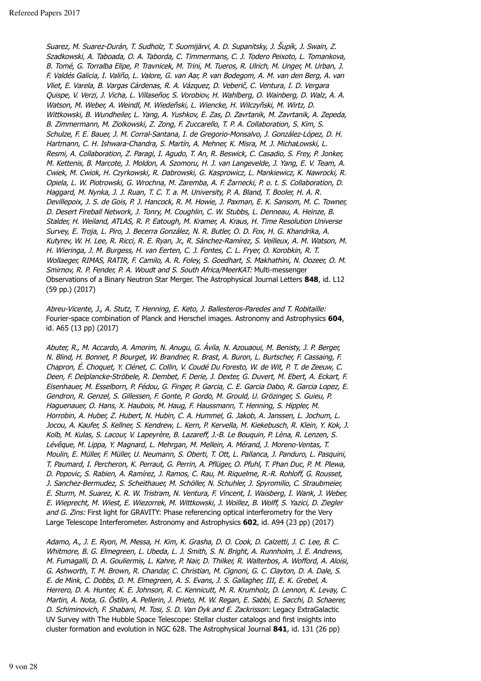Suarez, M. Suarez-Durán, T. Sudholz, T. Suomijärvi, A. D. Supanitsky, J. Šupík, J. Swain, Z. Szadkowski, A. Taboada, O. A. Taborda, C. Timmermans, C. J. Todero Peixoto, L. Tomankova, B. Tomé, G. Torralba Elipe, P. Travnicek, M. Trini, M. Tueros, R. Ulrich, M. Unger, M. Urban, J. F. Valdés Galicia, I. Valiño, L. Valore, G. van Aar, P. van Bodegom, A. M. van den Berg, A. van Vliet, E. Varela, B. Vargas Cárdenas, R. A. Vázquez, D. Veberič, C. Ventura, I. D. Vergara Quispe, V. Verzi, J. Vicha, L. Villaseñor, S. Vorobiov, H. Wahlberg, O. Wainberg, D. Walz, A. A. Watson, M. Weber, A. Weindl, M. Wiedeñski, L. Wiencke, H. Wilczyñski, M. Wirtz, D. Wittkowski, B. Wundheiler, L. Yang, A. Yushkov, E. Zas, D. Zavrtanik, M. Zavrtanik, A. Zepeda, B. Zimmermann, M. Ziolkowski, Z. Zong, F. Zuccarello, T. P. A. Collaboration, S. Kim, S. Schulze, F. E. Bauer, J. M. Corral-Santana, I. de Gregorio-Monsalvo, J. González-López, D. H. Hartmann, C. H. Ishwara-Chandra, S. Martín, A. Mehner, K. Misra, M. J. MichaŁowski, L. Resmi, A. Collaboration, Z. Paragi, I. Agudo, T. An, R. Beswick, C. Casadio, S. Frey, P. Jonker, M. Kettenis, B. Marcote, J. Moldon, A. Szomoru, H. J. van Langevelde, J. Yang, E. V. Team, A. Cwiek, M. Cwiok, H. Czyrkowski, R. Dabrowski, G. Kasprowicz, L. Mankiewicz, K. Nawrocki, R. Opiela, L. W. Piotrowski, G. Wrochna, M. Zaremba, A. F. Żarnecki, P. o. t. S. Collaboration, D. Haggard, M. Nynka, J. J. Ruan, T. C. T. a. M. University, P. A. Bland, T. Booler, H. A. R. Devillepoix, J. S. de Gois, P. J. Hancock, R. M. Howie, J. Paxman, E. K. Sansom, M. C. Towner, D. Desert Fireball Network, J. Tonry, M. Coughlin, C. W. Stubbs, L. Denneau, A. Heinze, B. Stalder, H. Weiland, ATLAS, R. P. Eatough, M. Kramer, A. Kraus, H. Time Resolution Universe Survey, E. Troja, L. Piro, J. Becerra González, N. R. Butler, O. D. Fox, H. G. Khandrika, A. Kutyrev, W. H. Lee, R. Ricci, R. E. Ryan, Jr., R. Sánchez-Ramírez, S. Veilleux, A. M. Watson, M. H. Wieringa, J. M. Burgess, H. van Eerten, C. J. Fontes, C. L. Fryer, O. Korobkin, R. T. Wollaeger, RIMAS, RATIR, F. Camilo, A. R. Foley, S. Goedhart, S. Makhathini, N. Oozeer, O. M. Smirnov, R. P. Fender, P. A. Woudt and S. South Africa/MeerKAT: Multi-messenger Observations of a Binary Neutron Star Merger. The Astrophysical Journal Letters **848**, id. L12 (59 pp.) (2017)

Abreu-Vicente, J., A. Stutz, T. Henning, E. Keto, J. Ballesteros-Paredes and T. Robitaille: Fourier-space combination of Planck and Herschel images. Astronomy and Astrophysics **604**, id. A65 (13 pp) (2017)

Abuter, R., M. Accardo, A. Amorim, N. Anugu, G. Ávila, N. Azouaoui, M. Benisty, J. P. Berger, N. Blind, H. Bonnet, P. Bourget, W. Brandner, R. Brast, A. Buron, L. Burtscher, F. Cassaing, F. Chapron, É. Choquet, Y. Clénet, C. Collin, V. Coudé Du Foresto, W. de Wit, P. T. de Zeeuw, C. Deen, F. Delplancke-Ströbele, R. Dembet, F. Derie, J. Dexter, G. Duvert, M. Ebert, A. Eckart, F. Eisenhauer, M. Esselborn, P. Fédou, G. Finger, P. Garcia, C. E. Garcia Dabo, R. Garcia Lopez, E. Gendron, R. Genzel, S. Gillessen, F. Gonte, P. Gordo, M. Grould, U. Grözinger, S. Guieu, P. Haguenauer, O. Hans, X. Haubois, M. Haug, F. Haussmann, T. Henning, S. Hippler, M. Horrobin, A. Huber, Z. Hubert, N. Hubin, C. A. Hummel, G. Jakob, A. Janssen, L. Jochum, L. Jocou, A. Kaufer, S. Kellner, S. Kendrew, L. Kern, P. Kervella, M. Kiekebusch, R. Klein, Y. Kok, J. Kolb, M. Kulas, S. Lacour, V. Lapeyrère, B. Lazareff, J.-B. Le Bouquin, P. Lèna, R. Lenzen, S. Lévêque, M. Lippa, Y. Magnard, L. Mehrgan, M. Mellein, A. Mérand, J. Moreno-Ventas, T. Moulin, E. Müller, F. Müller, U. Neumann, S. Oberti, T. Ott, L. Pallanca, J. Panduro, L. Pasquini, T. Paumard, I. Percheron, K. Perraut, G. Perrin, A. Pflüger, O. Pfuhl, T. Phan Duc, P. M. Plewa, D. Popovic, S. Rabien, A. Ramírez, J. Ramos, C. Rau, M. Riquelme, R.-R. Rohloff, G. Rousset, J. Sanchez-Bermudez, S. Scheithauer, M. Schöller, N. Schuhler, J. Spyromilio, C. Straubmeier, E. Sturm, M. Suarez, K. R. W. Tristram, N. Ventura, F. Vincent, I. Waisberg, I. Wank, J. Weber, E. Wieprecht, M. Wiest, E. Wiezorrek, M. Wittkowski, J. Woillez, B. Wolff, S. Yazici, D. Ziegler and G. Zins: First light for GRAVITY: Phase referencing optical interferometry for the Very Large Telescope Interferometer. Astronomy and Astrophysics **602**, id. A94 (23 pp) (2017)

Adamo, A., J. E. Ryon, M. Messa, H. Kim, K. Grasha, D. O. Cook, D. Calzetti, J. C. Lee, B. C. Whitmore, B. G. Elmegreen, L. Ubeda, L. J. Smith, S. N. Bright, A. Runnholm, J. E. Andrews, M. Fumagalli, D. A. Gouliermis, L. Kahre, P. Nair, D. Thilker, R. Walterbos, A. Wofford, A. Aloisi, G. Ashworth, T. M. Brown, R. Chandar, C. Christian, M. Cignoni, G. C. Clayton, D. A. Dale, S. E. de Mink, C. Dobbs, D. M. Elmegreen, A. S. Evans, J. S. Gallagher, III, E. K. Grebel, A. Herrero, D. A. Hunter, K. E. Johnson, R. C. Kennicutt, M. R. Krumholz, D. Lennon, K. Levay, C. Martin, A. Nota, G. Östlin, A. Pellerin, J. Prieto, M. W. Regan, E. Sabbi, E. Sacchi, D. Schaerer, D. Schiminovich, F. Shabani, M. Tosi, S. D. Van Dyk and E. Zackrisson: Legacy ExtraGalactic UV Survey with The Hubble Space Telescope: Stellar cluster catalogs and first insights into cluster formation and evolution in NGC 628. The Astrophysical Journal **841**, id. 131 (26 pp)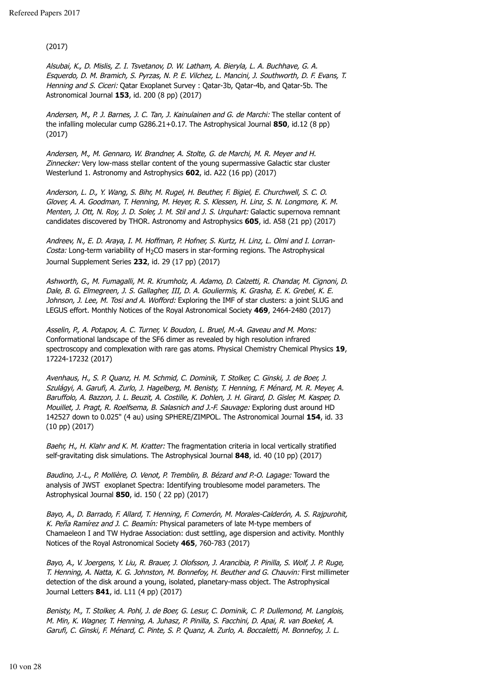(2017)

Alsubai, K., D. Mislis, Z. I. Tsvetanov, D. W. Latham, A. Bieryla, L. A. Buchhave, G. A. Esquerdo, D. M. Bramich, S. Pyrzas, N. P. E. Vilchez, L. Mancini, J. Southworth, D. F. Evans, T. Henning and S. Ciceri: Qatar Exoplanet Survey : Qatar-3b, Qatar-4b, and Qatar-5b. The Astronomical Journal **153**, id. 200 (8 pp) (2017)

Andersen, M., P. J. Barnes, J. C. Tan, J. Kainulainen and G. de Marchi: The stellar content of the infalling molecular cump G286.21+0.17. The Astrophysical Journal **850**, id.12 (8 pp) (2017)

Andersen, M., M. Gennaro, W. Brandner, A. Stolte, G. de Marchi, M. R. Meyer and H. Zinnecker: Very low-mass stellar content of the young supermassive Galactic star cluster Westerlund 1. Astronomy and Astrophysics **602**, id. A22 (16 pp) (2017)

Anderson, L. D., Y. Wang, S. Bihr, M. Rugel, H. Beuther, F. Bigiel, E. Churchwell, S. C. O. Glover, A. A. Goodman, T. Henning, M. Heyer, R. S. Klessen, H. Linz, S. N. Longmore, K. M. Menten, J. Ott, N. Roy, J. D. Soler, J. M. Stil and J. S. Urquhart: Galactic supernova remnant candidates discovered by THOR. Astronomy and Astrophysics **605**, id. A58 (21 pp) (2017)

Andreev, N., E. D. Araya, I. M. Hoffman, P. Hofner, S. Kurtz, H. Linz, L. Olmi and I. Lorran-Costa: Long-term variability of H<sub>2</sub>CO masers in star-forming regions. The Astrophysical Journal Supplement Series **232**, id. 29 (17 pp) (2017)

Ashworth, G., M. Fumagalli, M. R. Krumholz, A. Adamo, D. Calzetti, R. Chandar, M. Cignoni, D. Dale, B. G. Elmegreen, J. S. Gallagher, III, D. A. Gouliermis, K. Grasha, E. K. Grebel, K. E. Johnson, J. Lee, M. Tosi and A. Wofford: Exploring the IMF of star clusters: a joint SLUG and LEGUS effort. Monthly Notices of the Royal Astronomical Society **469**, 2464-2480 (2017)

Asselin, P., A. Potapov, A. C. Turner, V. Boudon, L. Bruel, M.-A. Gaveau and M. Mons: Conformational landscape of the SF6 dimer as revealed by high resolution infrared spectroscopy and complexation with rare gas atoms. Physical Chemistry Chemical Physics **19**, 17224-17232 (2017)

Avenhaus, H., S. P. Quanz, H. M. Schmid, C. Dominik, T. Stolker, C. Ginski, J. de Boer, J. Szulágyi, A. Garufi, A. Zurlo, J. Hagelberg, M. Benisty, T. Henning, F. Ménard, M. R. Meyer, A. Baruffolo, A. Bazzon, J. L. Beuzit, A. Costille, K. Dohlen, J. H. Girard, D. Gisler, M. Kasper, D. Mouillet, J. Pragt, R. Roelfsema, B. Salasnich and J.-F. Sauvage: Exploring dust around HD 142527 down to 0.025" (4 au) using SPHERE/ZIMPOL. The Astronomical Journal **154**, id. 33 (10 pp) (2017)

Baehr, H., H. Klahr and K. M. Kratter: The fragmentation criteria in local vertically stratified self-gravitating disk simulations. The Astrophysical Journal **848**, id. 40 (10 pp) (2017)

Baudino, J.-L., P. Mollière, O. Venot, P. Tremblin, B. Bézard and P.-O. Lagage: Toward the analysis of JWST exoplanet Spectra: Identifying troublesome model parameters. The Astrophysical Journal **850**, id. 150 ( 22 pp) (2017)

Bayo, A., D. Barrado, F. Allard, T. Henning, F. Comerón, M. Morales-Calderón, A. S. Rajpurohit, K. Peña Ramírez and J. C. Beamín: Physical parameters of late M-type members of Chamaeleon I and TW Hydrae Association: dust settling, age dispersion and activity. Monthly Notices of the Royal Astronomical Society **465**, 760-783 (2017)

Bayo, A., V. Joergens, Y. Liu, R. Brauer, J. Olofsson, J. Arancibia, P. Pinilla, S. Wolf, J. P. Ruge, T. Henning, A. Natta, K. G. Johnston, M. Bonnefoy, H. Beuther and G. Chauvin: First millimeter detection of the disk around a young, isolated, planetary-mass object. The Astrophysical Journal Letters **841**, id. L11 (4 pp) (2017)

Benisty, M., T. Stolker, A. Pohl, J. de Boer, G. Lesur, C. Dominik, C. P. Dullemond, M. Langlois, M. Min, K. Wagner, T. Henning, A. Juhasz, P. Pinilla, S. Facchini, D. Apai, R. van Boekel, A. Garufi, C. Ginski, F. Ménard, C. Pinte, S. P. Quanz, A. Zurlo, A. Boccaletti, M. Bonnefoy, J. L.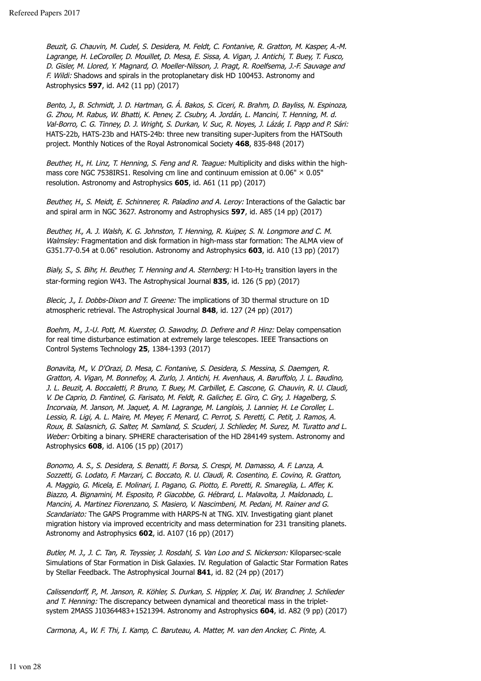Beuzit, G. Chauvin, M. Cudel, S. Desidera, M. Feldt, C. Fontanive, R. Gratton, M. Kasper, A.-M. Lagrange, H. LeCoroller, D. Mouillet, D. Mesa, E. Sissa, A. Vigan, J. Antichi, T. Buey, T. Fusco, D. Gisler, M. Llored, Y. Magnard, O. Moeller-Nilsson, J. Pragt, R. Roelfsema, J.-F. Sauvage and F. Wildi: Shadows and spirals in the protoplanetary disk HD 100453. Astronomy and Astrophysics **597**, id. A42 (11 pp) (2017)

Bento, J., B. Schmidt, J. D. Hartman, G. Á. Bakos, S. Ciceri, R. Brahm, D. Bayliss, N. Espinoza, G. Zhou, M. Rabus, W. Bhatti, K. Penev, Z. Csubry, A. Jordán, L. Mancini, T. Henning, M. d. Val-Borro, C. G. Tinney, D. J. Wright, S. Durkan, V. Suc, R. Noyes, J. Lázár, I. Papp and P. Sári: HATS-22b, HATS-23b and HATS-24b: three new transiting super-Jupiters from the HATSouth project. Monthly Notices of the Royal Astronomical Society **468**, 835-848 (2017)

Beuther, H., H. Linz, T. Henning, S. Feng and R. Teague: Multiplicity and disks within the highmass core NGC 7538IRS1. Resolving cm line and continuum emission at  $0.06" \times 0.05"$ resolution. Astronomy and Astrophysics **605**, id. A61 (11 pp) (2017)

Beuther, H., S. Meidt, E. Schinnerer, R. Paladino and A. Lerov: Interactions of the Galactic bar and spiral arm in NGC 3627. Astronomy and Astrophysics **597**, id. A85 (14 pp) (2017)

Beuther, H., A. J. Walsh, K. G. Johnston, T. Henning, R. Kuiper, S. N. Longmore and C. M. Walmsley: Fragmentation and disk formation in high-mass star formation: The ALMA view of G351.77-0.54 at 0.06" resolution. Astronomy and Astrophysics **603**, id. A10 (13 pp) (2017)

Bialy, S., S. Bihr, H. Beuther, T. Henning and A. Sternberg: H I-to-H<sub>2</sub> transition layers in the star-forming region W43. The Astrophysical Journal **835**, id. 126 (5 pp) (2017)

Blecic, J., I. Dobbs-Dixon and T. Greene: The implications of 3D thermal structure on 1D atmospheric retrieval. The Astrophysical Journal **848**, id. 127 (24 pp) (2017)

Boehm, M., J.-U. Pott, M. Kuerster, O. Sawodny, D. Defrere and P. Hinz: Delay compensation for real time disturbance estimation at extremely large telescopes. IEEE Transactions on Control Systems Technology **25**, 1384-1393 (2017)

Bonavita, M., V. D'Orazi, D. Mesa, C. Fontanive, S. Desidera, S. Messina, S. Daemgen, R. Gratton, A. Vigan, M. Bonnefoy, A. Zurlo, J. Antichi, H. Avenhaus, A. Baruffolo, J. L. Baudino, J. L. Beuzit, A. Boccaletti, P. Bruno, T. Buey, M. Carbillet, E. Cascone, G. Chauvin, R. U. Claudi, V. De Caprio, D. Fantinel, G. Farisato, M. Feldt, R. Galicher, E. Giro, C. Gry, J. Hagelberg, S. Incorvaia, M. Janson, M. Jaquet, A. M. Lagrange, M. Langlois, J. Lannier, H. Le Coroller, L. Lessio, R. Ligi, A. L. Maire, M. Meyer, F. Menard, C. Perrot, S. Peretti, C. Petit, J. Ramos, A. Roux, B. Salasnich, G. Salter, M. Samland, S. Scuderi, J. Schlieder, M. Surez, M. Turatto and L. Weber: Orbiting a binary. SPHERE characterisation of the HD 284149 system. Astronomy and Astrophysics **608**, id. A106 (15 pp) (2017)

Bonomo, A. S., S. Desidera, S. Benatti, F. Borsa, S. Crespi, M. Damasso, A. F. Lanza, A. Sozzetti, G. Lodato, F. Marzari, C. Boccato, R. U. Claudi, R. Cosentino, E. Covino, R. Gratton, A. Maggio, G. Micela, E. Molinari, I. Pagano, G. Piotto, E. Poretti, R. Smareglia, L. Affer, K. Biazzo, A. Bignamini, M. Esposito, P. Giacobbe, G. Hébrard, L. Malavolta, J. Maldonado, L. Mancini, A. Martinez Fiorenzano, S. Masiero, V. Nascimbeni, M. Pedani, M. Rainer and G. Scandariato: The GAPS Programme with HARPS-N at TNG. XIV. Investigating giant planet migration history via improved eccentricity and mass determination for 231 transiting planets. Astronomy and Astrophysics **602**, id. A107 (16 pp) (2017)

Butler, M. J., J. C. Tan, R. Teyssier, J. Rosdahl, S. Van Loo and S. Nickerson: Kiloparsec-scale Simulations of Star Formation in Disk Galaxies. IV. Regulation of Galactic Star Formation Rates by Stellar Feedback. The Astrophysical Journal **841**, id. 82 (24 pp) (2017)

Calissendorff, P., M. Janson, R. Köhler, S. Durkan, S. Hippler, X. Dai, W. Brandner, J. Schlieder and T. Henning: The discrepancy between dynamical and theoretical mass in the tripletsystem 2MASS J10364483+1521394. Astronomy and Astrophysics **604**, id. A82 (9 pp) (2017)

Carmona, A., W. F. Thi, I. Kamp, C. Baruteau, A. Matter, M. van den Ancker, C. Pinte, A.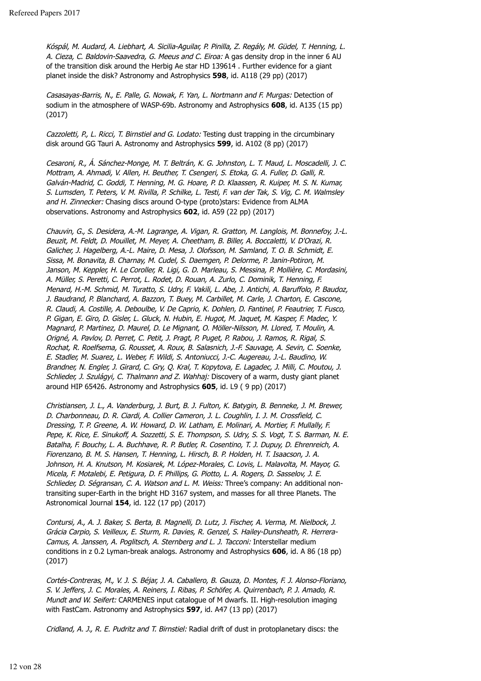Kóspál, M. Audard, A. Liebhart, A. Sicilia-Aguilar, P. Pinilla, Z. Regály, M. Güdel, T. Henning, L. A. Cieza, C. Baldovin-Saavedra, G. Meeus and C. Eiroa: A gas density drop in the inner 6 AU of the transition disk around the Herbig Ae star HD 139614 . Further evidence for a giant planet inside the disk? Astronomy and Astrophysics **598**, id. A118 (29 pp) (2017)

Casasayas-Barris, N., E. Palle, G. Nowak, F. Yan, L. Nortmann and F. Murgas: Detection of sodium in the atmosphere of WASP-69b. Astronomy and Astrophysics **608**, id. A135 (15 pp) (2017)

Cazzoletti, P., L. Ricci, T. Birnstiel and G. Lodato: Testing dust trapping in the circumbinary disk around GG Tauri A. Astronomy and Astrophysics **599**, id. A102 (8 pp) (2017)

Cesaroni, R., Á. Sánchez-Monge, M. T. Beltrán, K. G. Johnston, L. T. Maud, L. Moscadelli, J. C. Mottram, A. Ahmadi, V. Allen, H. Beuther, T. Csengeri, S. Etoka, G. A. Fuller, D. Galli, R. Galván-Madrid, C. Goddi, T. Henning, M. G. Hoare, P. D. Klaassen, R. Kuiper, M. S. N. Kumar, S. Lumsden, T. Peters, V. M. Rivilla, P. Schilke, L. Testi, F. van der Tak, S. Vig, C. M. Walmsley and H. Zinnecker: Chasing discs around O-type (proto)stars: Evidence from ALMA observations. Astronomy and Astrophysics **602**, id. A59 (22 pp) (2017)

Chauvin, G., S. Desidera, A.-M. Lagrange, A. Vigan, R. Gratton, M. Langlois, M. Bonnefoy, J.-L. Beuzit, M. Feldt, D. Mouillet, M. Meyer, A. Cheetham, B. Biller, A. Boccaletti, V. D'Orazi, R. Galicher, J. Hagelberg, A.-L. Maire, D. Mesa, J. Olofsson, M. Samland, T. O. B. Schmidt, E. Sissa, M. Bonavita, B. Charnay, M. Cudel, S. Daemgen, P. Delorme, P. Janin-Potiron, M. Janson, M. Keppler, H. Le Coroller, R. Ligi, G. D. Marleau, S. Messina, P. Mollière, C. Mordasini, A. Müller, S. Peretti, C. Perrot, L. Rodet, D. Rouan, A. Zurlo, C. Dominik, T. Henning, F. Menard, H.-M. Schmid, M. Turatto, S. Udry, F. Vakili, L. Abe, J. Antichi, A. Baruffolo, P. Baudoz, J. Baudrand, P. Blanchard, A. Bazzon, T. Buey, M. Carbillet, M. Carle, J. Charton, E. Cascone, R. Claudi, A. Costille, A. Deboulbe, V. De Caprio, K. Dohlen, D. Fantinel, P. Feautrier, T. Fusco, P. Gigan, E. Giro, D. Gisler, L. Gluck, N. Hubin, E. Hugot, M. Jaquet, M. Kasper, F. Madec, Y. Magnard, P. Martinez, D. Maurel, D. Le Mignant, O. Möller-Nilsson, M. Llored, T. Moulin, A. Origné, A. Pavlov, D. Perret, C. Petit, J. Pragt, P. Puget, P. Rabou, J. Ramos, R. Rigal, S. Rochat, R. Roelfsema, G. Rousset, A. Roux, B. Salasnich, J.-F. Sauvage, A. Sevin, C. Soenke, E. Stadler, M. Suarez, L. Weber, F. Wildi, S. Antoniucci, J.-C. Augereau, J.-L. Baudino, W. Brandner, N. Engler, J. Girard, C. Gry, Q. Kral, T. Kopytova, E. Lagadec, J. Milli, C. Moutou, J. Schlieder, J. Szulágyi, C. Thalmann and Z. Wahhaj: Discovery of a warm, dusty giant planet around HIP 65426. Astronomy and Astrophysics **605**, id. L9 ( 9 pp) (2017)

Christiansen, J. L., A. Vanderburg, J. Burt, B. J. Fulton, K. Batygin, B. Benneke, J. M. Brewer, D. Charbonneau, D. R. Ciardi, A. Collier Cameron, J. L. Coughlin, I. J. M. Crossfield, C. Dressing, T. P. Greene, A. W. Howard, D. W. Latham, E. Molinari, A. Mortier, F. Mullally, F. Pepe, K. Rice, E. Sinukoff, A. Sozzetti, S. E. Thompson, S. Udry, S. S. Vogt, T. S. Barman, N. E. Batalha, F. Bouchy, L. A. Buchhave, R. P. Butler, R. Cosentino, T. J. Dupuy, D. Ehrenreich, A. Fiorenzano, B. M. S. Hansen, T. Henning, L. Hirsch, B. P. Holden, H. T. Isaacson, J. A. Johnson, H. A. Knutson, M. Kosiarek, M. López-Morales, C. Lovis, L. Malavolta, M. Mayor, G. Micela, F. Motalebi, E. Petigura, D. F. Phillips, G. Piotto, L. A. Rogers, D. Sasselov, J. E. Schlieder, D. Ségransan, C. A. Watson and L. M. Weiss: Three's company: An additional nontransiting super-Earth in the bright HD 3167 system, and masses for all three Planets. The Astronomical Journal **154**, id. 122 (17 pp) (2017)

Contursi, A., A. J. Baker, S. Berta, B. Magnelli, D. Lutz, J. Fischer, A. Verma, M. Nielbock, J. Grácia Carpio, S. Veilleux, E. Sturm, R. Davies, R. Genzel, S. Hailey-Dunsheath, R. Herrera-Camus, A. Janssen, A. Poglitsch, A. Sternberg and L. J. Tacconi: Interstellar medium conditions in z 0.2 Lyman-break analogs. Astronomy and Astrophysics **606**, id. A 86 (18 pp) (2017)

Cortés-Contreras, M., V. J. S. Béjar, J. A. Caballero, B. Gauza, D. Montes, F. J. Alonso-Floriano, S. V. Jeffers, J. C. Morales, A. Reiners, I. Ribas, P. Schöfer, A. Quirrenbach, P. J. Amado, R. Mundt and W. Seifert: CARMENES input catalogue of M dwarfs. II. High-resolution imaging with FastCam. Astronomy and Astrophysics **597**, id. A47 (13 pp) (2017)

Cridland, A. J., R. E. Pudritz and T. Birnstiel: Radial drift of dust in protoplanetary discs: the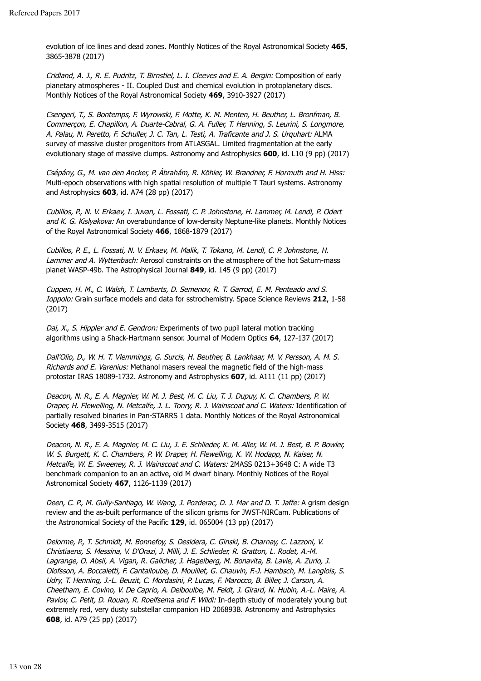evolution of ice lines and dead zones. Monthly Notices of the Royal Astronomical Society **465**, 3865-3878 (2017)

Cridland, A. J., R. E. Pudritz, T. Birnstiel, L. I. Cleeves and E. A. Bergin: Composition of early planetary atmospheres - II. Coupled Dust and chemical evolution in protoplanetary discs. Monthly Notices of the Royal Astronomical Society **469**, 3910-3927 (2017)

Csengeri, T., S. Bontemps, F. Wyrowski, F. Motte, K. M. Menten, H. Beuther, L. Bronfman, B. Commerçon, E. Chapillon, A. Duarte-Cabral, G. A. Fuller, T. Henning, S. Leurini, S. Longmore, A. Palau, N. Peretto, F. Schuller, J. C. Tan, L. Testi, A. Traficante and J. S. Urquhart: ALMA survey of massive cluster progenitors from ATLASGAL. Limited fragmentation at the early evolutionary stage of massive clumps. Astronomy and Astrophysics **600**, id. L10 (9 pp) (2017)

Csépány, G., M. van den Ancker, P. Ábrahám, R. Köhler, W. Brandner, F. Hormuth and H. Hiss: Multi-epoch observations with high spatial resolution of multiple T Tauri systems. Astronomy and Astrophysics **603**, id. A74 (28 pp) (2017)

Cubillos, P., N. V. Erkaev, I. Juvan, L. Fossati, C. P. Johnstone, H. Lammer, M. Lendl, P. Odert and K. G. Kislyakova: An overabundance of low-density Neptune-like planets. Monthly Notices of the Royal Astronomical Society **466**, 1868-1879 (2017)

Cubillos, P. E., L. Fossati, N. V. Erkaev, M. Malik, T. Tokano, M. Lendl, C. P. Johnstone, H. Lammer and A. Wyttenbach: Aerosol constraints on the atmosphere of the hot Saturn-mass planet WASP-49b. The Astrophysical Journal **849**, id. 145 (9 pp) (2017)

Cuppen, H. M., C. Walsh, T. Lamberts, D. Semenov, R. T. Garrod, E. M. Penteado and S. Ioppolo: Grain surface models and data for sstrochemistry. Space Science Reviews **212**, 1-58 (2017)

Dai, X., S. Hippler and E. Gendron: Experiments of two pupil lateral motion tracking algorithms using a Shack-Hartmann sensor. Journal of Modern Optics **64**, 127-137 (2017)

Dall'Olio, D., W. H. T. Vlemmings, G. Surcis, H. Beuther, B. Lankhaar, M. V. Persson, A. M. S. Richards and E. Varenius: Methanol masers reveal the magnetic field of the high-mass protostar IRAS 18089-1732. Astronomy and Astrophysics **607**, id. A111 (11 pp) (2017)

Deacon, N. R., E. A. Magnier, W. M. J. Best, M. C. Liu, T. J. Dupuy, K. C. Chambers, P. W. Draper, H. Flewelling, N. Metcalfe, J. L. Tonry, R. J. Wainscoat and C. Waters: Identification of partially resolved binaries in Pan-STARRS 1 data. Monthly Notices of the Royal Astronomical Society **468**, 3499-3515 (2017)

Deacon, N. R., E. A. Magnier, M. C. Liu, J. E. Schlieder, K. M. Aller, W. M. J. Best, B. P. Bowler, W. S. Burgett, K. C. Chambers, P. W. Draper, H. Flewelling, K. W. Hodapp, N. Kaiser, N. Metcalfe, W. E. Sweeney, R. J. Wainscoat and C. Waters: 2MASS 0213+3648 C: A wide T3 benchmark companion to an an active, old M dwarf binary. Monthly Notices of the Royal Astronomical Society **467**, 1126-1139 (2017)

Deen, C. P., M. Gully-Santiago, W. Wang, J. Pozderac, D. J. Mar and D. T. Jaffe: A grism design review and the as-built performance of the silicon grisms for JWST-NIRCam. Publications of the Astronomical Society of the Pacific **129**, id. 065004 (13 pp) (2017)

Delorme, P., T. Schmidt, M. Bonnefoy, S. Desidera, C. Ginski, B. Charnay, C. Lazzoni, V. Christiaens, S. Messina, V. D'Orazi, J. Milli, J. E. Schlieder, R. Gratton, L. Rodet, A.-M. Lagrange, O. Absil, A. Vigan, R. Galicher, J. Hagelberg, M. Bonavita, B. Lavie, A. Zurlo, J. Olofsson, A. Boccaletti, F. Cantalloube, D. Mouillet, G. Chauvin, F.-J. Hambsch, M. Langlois, S. Udry, T. Henning, J.-L. Beuzit, C. Mordasini, P. Lucas, F. Marocco, B. Biller, J. Carson, A. Cheetham, E. Covino, V. De Caprio, A. Delboulbe, M. Feldt, J. Girard, N. Hubin, A.-L. Maire, A. Pavlov, C. Petit, D. Rouan, R. Roelfsema and F. Wildi: In-depth study of moderately young but extremely red, very dusty substellar companion HD 206893B. Astronomy and Astrophysics **608**, id. A79 (25 pp) (2017)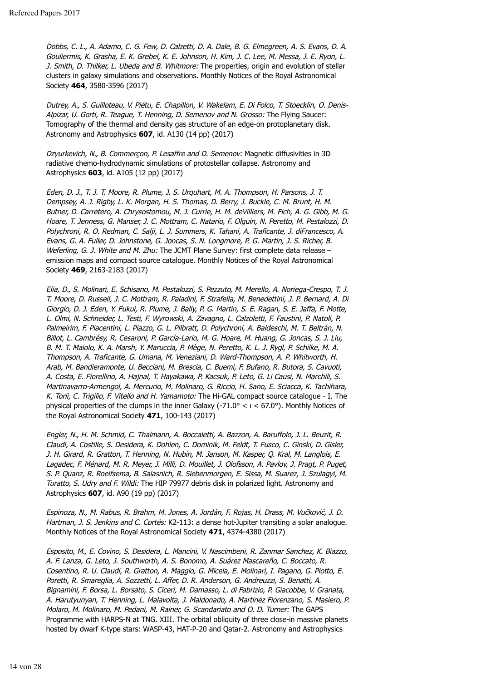Dobbs, C. L., A. Adamo, C. G. Few, D. Calzetti, D. A. Dale, B. G. Elmegreen, A. S. Evans, D. A. Gouliermis, K. Grasha, E. K. Grebel, K. E. Johnson, H. Kim, J. C. Lee, M. Messa, J. E. Ryon, L. J. Smith, D. Thilker, L. Ubeda and B. Whitmore: The properties, origin and evolution of stellar clusters in galaxy simulations and observations. Monthly Notices of the Royal Astronomical Society **464**, 3580-3596 (2017)

Dutrey, A., S. Guilloteau, V. Piétu, E. Chapillon, V. Wakelam, E. Di Folco, T. Stoecklin, O. Denis-Alpizar, U. Gorti, R. Teague, T. Henning, D. Semenov and N. Grosso: The Flying Saucer: Tomography of the thermal and density gas structure of an edge-on protoplanetary disk. Astronomy and Astrophysics **607**, id. A130 (14 pp) (2017)

Dzyurkevich, N., B. Commerçon, P. Lesaffre and D. Semenov: Magnetic diffusivities in 3D radiative chemo-hydrodynamic simulations of protostellar collapse. Astronomy and Astrophysics **603**, id. A105 (12 pp) (2017)

Eden, D. J., T. J. T. Moore, R. Plume, J. S. Urquhart, M. A. Thompson, H. Parsons, J. T. Dempsey, A. J. Rigby, L. K. Morgan, H. S. Thomas, D. Berry, J. Buckle, C. M. Brunt, H. M. Butner, D. Carretero, A. Chrysostomou, M. J. Currie, H. M. deVilliers, M. Fich, A. G. Gibb, M. G. Hoare, T. Jenness, G. Manser, J. C. Mottram, C. Natario, F. Olguin, N. Peretto, M. Pestalozzi, D. Polychroni, R. O. Redman, C. Salji, L. J. Summers, K. Tahani, A. Traficante, J. diFrancesco, A. Evans, G. A. Fuller, D. Johnstone, G. Joncas, S. N. Longmore, P. G. Martin, J. S. Richer, B. Weferling, G. J. White and M. Zhu: The JCMT Plane Survey: first complete data release emission maps and compact source catalogue. Monthly Notices of the Royal Astronomical Society **469**, 2163-2183 (2017)

Elia, D., S. Molinari, E. Schisano, M. Pestalozzi, S. Pezzuto, M. Merello, A. Noriega-Crespo, T. J. T. Moore, D. Russeil, J. C. Mottram, R. Paladini, F. Strafella, M. Benedettini, J. P. Bernard, A. Di Giorgio, D. J. Eden, Y. Fukui, R. Plume, J. Bally, P. G. Martin, S. E. Ragan, S. E. Jaffa, F. Motte, L. Olmi, N. Schneider, L. Testi, F. Wyrowski, A. Zavagno, L. Calzoletti, F. Faustini, P. Natoli, P. Palmeirim, F. Piacentini, L. Piazzo, G. L. Pilbratt, D. Polychroni, A. Baldeschi, M. T. Beltrán, N. Billot, L. Cambrésy, R. Cesaroni, P. García-Lario, M. G. Hoare, M. Huang, G. Joncas, S. J. Liu, B. M. T. Maiolo, K. A. Marsh, Y. Maruccia, P. Mège, N. Peretto, K. L. J. Rygl, P. Schilke, M. A. Thompson, A. Traficante, G. Umana, M. Veneziani, D. Ward-Thompson, A. P. Whitworth, H. Arab, M. Bandieramonte, U. Becciani, M. Brescia, C. Buemi, F. Bufano, R. Butora, S. Cavuoti, A. Costa, E. Fiorellino, A. Hajnal, T. Hayakawa, P. Kacsuk, P. Leto, G. Li Causi, N. Marchili, S. Martinavarro-Armengol, A. Mercurio, M. Molinaro, G. Riccio, H. Sano, E. Sciacca, K. Tachihara, K. Torii, C. Trigilio, F. Vitello and H. Yamamoto: The Hi-GAL compact source catalogue - I. The physical properties of the clumps in the inner Galaxy (-71.0° < ι < 67.0°). Monthly Notices of the Royal Astronomical Society **471**, 100-143 (2017)

Engler, N., H. M. Schmid, C. Thalmann, A. Boccaletti, A. Bazzon, A. Baruffolo, J. L. Beuzit, R. Claudi, A. Costille, S. Desidera, K. Dohlen, C. Dominik, M. Feldt, T. Fusco, C. Ginski, D. Gisler, J. H. Girard, R. Gratton, T. Henning, N. Hubin, M. Janson, M. Kasper, Q. Kral, M. Langlois, E. Lagadec, F. Ménard, M. R. Meyer, J. Milli, D. Mouillet, J. Olofsson, A. Pavlov, J. Pragt, P. Puget, S. P. Quanz, R. Roelfsema, B. Salasnich, R. Siebenmorgen, E. Sissa, M. Suarez, J. Szulagyi, M. Turatto, S. Udry and F. Wildi: The HIP 79977 debris disk in polarized light. Astronomy and Astrophysics **607**, id. A90 (19 pp) (2017)

Espinoza, N., M. Rabus, R. Brahm, M. Jones, A. Jordán, F. Rojas, H. Drass, M. Vučković, J. D. Hartman, J. S. Jenkins and C. Cortés: K2-113: a dense hot-Jupiter transiting a solar analogue. Monthly Notices of the Royal Astronomical Society **471**, 4374-4380 (2017)

Esposito, M., E. Covino, S. Desidera, L. Mancini, V. Nascimbeni, R. Zanmar Sanchez, K. Biazzo, A. F. Lanza, G. Leto, J. Southworth, A. S. Bonomo, A. Suárez Mascareño, C. Boccato, R. Cosentino, R. U. Claudi, R. Gratton, A. Maggio, G. Micela, E. Molinari, I. Pagano, G. Piotto, E. Poretti, R. Smareglia, A. Sozzetti, L. Affer, D. R. Anderson, G. Andreuzzi, S. Benatti, A. Bignamini, F. Borsa, L. Borsato, S. Ciceri, M. Damasso, L. di Fabrizio, P. Giacobbe, V. Granata, A. Harutyunyan, T. Henning, L. Malavolta, J. Maldonado, A. Martinez Fiorenzano, S. Masiero, P. Molaro, M. Molinaro, M. Pedani, M. Rainer, G. Scandariato and O. D. Turner: The GAPS Programme with HARPS-N at TNG. XIII. The orbital obliquity of three close-in massive planets hosted by dwarf K-type stars: WASP-43, HAT-P-20 and Qatar-2. Astronomy and Astrophysics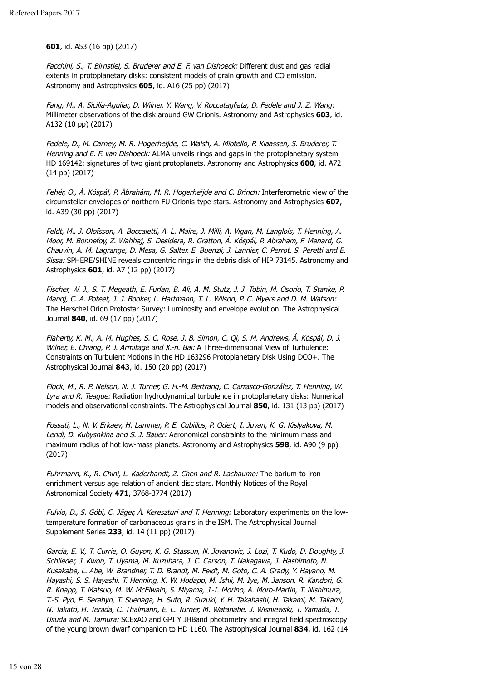**601**, id. A53 (16 pp) (2017)

Facchini, S., T. Birnstiel, S. Bruderer and E. F. van Dishoeck: Different dust and gas radial extents in protoplanetary disks: consistent models of grain growth and CO emission. Astronomy and Astrophysics **605**, id. A16 (25 pp) (2017)

Fang, M., A. Sicilia-Aguilar, D. Wilner, Y. Wang, V. Roccatagliata, D. Fedele and J. Z. Wang: Millimeter observations of the disk around GW Orionis. Astronomy and Astrophysics **603**, id. A132 (10 pp) (2017)

Fedele, D., M. Carney, M. R. Hogerheijde, C. Walsh, A. Miotello, P. Klaassen, S. Bruderer, T. Henning and E. F. van Dishoeck: ALMA unveils rings and gaps in the protoplanetary system HD 169142: signatures of two giant protoplanets. Astronomy and Astrophysics **600**, id. A72 (14 pp) (2017)

Fehér, O., Á. Kóspál, P. Ábrahám, M. R. Hogerheijde and C. Brinch: Interferometric view of the circumstellar envelopes of northern FU Orionis-type stars. Astronomy and Astrophysics **607**, id. A39 (30 pp) (2017)

Feldt, M., J. Olofsson, A. Boccaletti, A. L. Maire, J. Milli, A. Vigan, M. Langlois, T. Henning, A. Moor, M. Bonnefoy, Z. Wahhaj, S. Desidera, R. Gratton, Á. Kóspál, P. Abraham, F. Menard, G. Chauvin, A. M. Lagrange, D. Mesa, G. Salter, E. Buenzli, J. Lannier, C. Perrot, S. Peretti and E. Sissa: SPHERE/SHINE reveals concentric rings in the debris disk of HIP 73145. Astronomy and Astrophysics **601**, id. A7 (12 pp) (2017)

Fischer, W. J., S. T. Megeath, E. Furlan, B. Ali, A. M. Stutz, J. J. Tobin, M. Osorio, T. Stanke, P. Manoj, C. A. Poteet, J. J. Booker, L. Hartmann, T. L. Wilson, P. C. Myers and D. M. Watson: The Herschel Orion Protostar Survey: Luminosity and envelope evolution. The Astrophysical Journal **840**, id. 69 (17 pp) (2017)

Flaherty, K. M., A. M. Hughes, S. C. Rose, J. B. Simon, C. Qi, S. M. Andrews, Á. Kóspál, D. J. Wilner, E. Chiang, P. J. Armitage and X.-n. Bai: A Three-dimensional View of Turbulence: Constraints on Turbulent Motions in the HD 163296 Protoplanetary Disk Using DCO+. The Astrophysical Journal **843**, id. 150 (20 pp) (2017)

Flock, M., R. P. Nelson, N. J. Turner, G. H.-M. Bertrang, C. Carrasco-González, T. Henning, W. Lyra and R. Teague: Radiation hydrodynamical turbulence in protoplanetary disks: Numerical models and observational constraints. The Astrophysical Journal **850**, id. 131 (13 pp) (2017)

Fossati, L., N. V. Erkaev, H. Lammer, P. E. Cubillos, P. Odert, I. Juvan, K. G. Kislyakova, M. Lendl, D. Kubyshkina and S. J. Bauer: Aeronomical constraints to the minimum mass and maximum radius of hot low-mass planets. Astronomy and Astrophysics **598**, id. A90 (9 pp) (2017)

Fuhrmann, K., R. Chini, L. Kaderhandt, Z. Chen and R. Lachaume: The barium-to-iron enrichment versus age relation of ancient disc stars. Monthly Notices of the Royal Astronomical Society **471**, 3768-3774 (2017)

Fulvio, D., S. Góbi, C. Jäger, Á. Kereszturi and T. Henning: Laboratory experiments on the lowtemperature formation of carbonaceous grains in the ISM. The Astrophysical Journal Supplement Series **233**, id. 14 (11 pp) (2017)

Garcia, E. V., T. Currie, O. Guyon, K. G. Stassun, N. Jovanovic, J. Lozi, T. Kudo, D. Doughty, J. Schlieder, J. Kwon, T. Uyama, M. Kuzuhara, J. C. Carson, T. Nakagawa, J. Hashimoto, N. Kusakabe, L. Abe, W. Brandner, T. D. Brandt, M. Feldt, M. Goto, C. A. Grady, Y. Hayano, M. Hayashi, S. S. Hayashi, T. Henning, K. W. Hodapp, M. Ishii, M. Iye, M. Janson, R. Kandori, G. R. Knapp, T. Matsuo, M. W. McElwain, S. Miyama, J.-I. Morino, A. Moro-Martin, T. Nishimura, T.-S. Pyo, E. Serabyn, T. Suenaga, H. Suto, R. Suzuki, Y. H. Takahashi, H. Takami, M. Takami, N. Takato, H. Terada, C. Thalmann, E. L. Turner, M. Watanabe, J. Wisniewski, T. Yamada, T. Usuda and M. Tamura: SCExAO and GPI Y JHBand photometry and integral field spectroscopy of the young brown dwarf companion to HD 1160. The Astrophysical Journal **834**, id. 162 (14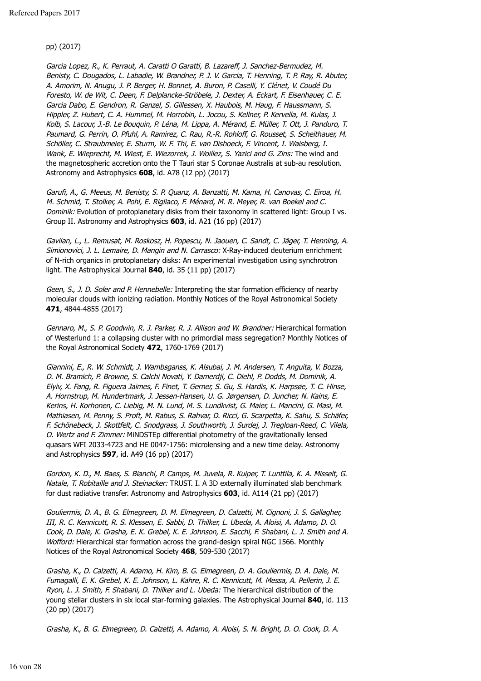pp) (2017)

Garcia Lopez, R., K. Perraut, A. Caratti O Garatti, B. Lazareff, J. Sanchez-Bermudez, M. Benisty, C. Dougados, L. Labadie, W. Brandner, P. J. V. Garcia, T. Henning, T. P. Ray, R. Abuter, A. Amorim, N. Anugu, J. P. Berger, H. Bonnet, A. Buron, P. Caselli, Y. Clénet, V. Coudé Du Foresto, W. de Wit, C. Deen, F. Delplancke-Ströbele, J. Dexter, A. Eckart, F. Eisenhauer, C. E. Garcia Dabo, E. Gendron, R. Genzel, S. Gillessen, X. Haubois, M. Haug, F. Haussmann, S. Hippler, Z. Hubert, C. A. Hummel, M. Horrobin, L. Jocou, S. Kellner, P. Kervella, M. Kulas, J. Kolb, S. Lacour, J.-B. Le Bouquin, P. Léna, M. Lippa, A. Mérand, E. Müller, T. Ott, J. Panduro, T. Paumard, G. Perrin, O. Pfuhl, A. Ramirez, C. Rau, R.-R. Rohloff, G. Rousset, S. Scheithauer, M. Schöller, C. Straubmeier, E. Sturm, W. F. Thi, E. van Dishoeck, F. Vincent, I. Waisberg, I. Wank, E. Wieprecht, M. Wiest, E. Wiezorrek, J. Woillez, S. Yazici and G. Zins: The wind and the magnetospheric accretion onto the T Tauri star S Coronae Australis at sub-au resolution. Astronomy and Astrophysics **608**, id. A78 (12 pp) (2017)

Garufi, A., G. Meeus, M. Benisty, S. P. Quanz, A. Banzatti, M. Kama, H. Canovas, C. Eiroa, H. M. Schmid, T. Stolker, A. Pohl, E. Rigliaco, F. Ménard, M. R. Meyer, R. van Boekel and C. Dominik: Evolution of protoplanetary disks from their taxonomy in scattered light: Group I vs. Group II. Astronomy and Astrophysics **603**, id. A21 (16 pp) (2017)

Gavilan, L., L. Remusat, M. Roskosz, H. Popescu, N. Jaouen, C. Sandt, C. Jäger, T. Henning, A. Simionovici, J. L. Lemaire, D. Mangin and N. Carrasco: X-Ray-induced deuterium enrichment of N-rich organics in protoplanetary disks: An experimental investigation using synchrotron light. The Astrophysical Journal **840**, id. 35 (11 pp) (2017)

Geen, S., J. D. Soler and P. Hennebelle: Interpreting the star formation efficiency of nearby molecular clouds with ionizing radiation. Monthly Notices of the Royal Astronomical Society **471**, 4844-4855 (2017)

Gennaro, M., S. P. Goodwin, R. J. Parker, R. J. Allison and W. Brandner: Hierarchical formation of Westerlund 1: a collapsing cluster with no primordial mass segregation? Monthly Notices of the Royal Astronomical Society **472**, 1760-1769 (2017)

Giannini, E., R. W. Schmidt, J. Wambsganss, K. Alsubai, J. M. Andersen, T. Anguita, V. Bozza, D. M. Bramich, P. Browne, S. Calchi Novati, Y. Damerdji, C. Diehl, P. Dodds, M. Dominik, A. Elyiv, X. Fang, R. Figuera Jaimes, F. Finet, T. Gerner, S. Gu, S. Hardis, K. Harpsøe, T. C. Hinse, A. Hornstrup, M. Hundertmark, J. Jessen-Hansen, U. G. Jørgensen, D. Juncher, N. Kains, E. Kerins, H. Korhonen, C. Liebig, M. N. Lund, M. S. Lundkvist, G. Maier, L. Mancini, G. Masi, M. Mathiasen, M. Penny, S. Proft, M. Rabus, S. Rahvar, D. Ricci, G. Scarpetta, K. Sahu, S. Schäfer, F. Schönebeck, J. Skottfelt, C. Snodgrass, J. Southworth, J. Surdej, J. Tregloan-Reed, C. Vilela, O. Wertz and F. Zimmer: MINDSTEp differential photometry of the gravitationally lensed quasars WFI 2033-4723 and HE 0047-1756: microlensing and a new time delay. Astronomy and Astrophysics **597**, id. A49 (16 pp) (2017)

Gordon, K. D., M. Baes, S. Bianchi, P. Camps, M. Juvela, R. Kuiper, T. Lunttila, K. A. Misselt, G. Natale, T. Robitaille and J. Steinacker: TRUST. I. A 3D externally illuminated slab benchmark for dust radiative transfer. Astronomy and Astrophysics **603**, id. A114 (21 pp) (2017)

Gouliermis, D. A., B. G. Elmegreen, D. M. Elmegreen, D. Calzetti, M. Cignoni, J. S. Gallagher, III, R. C. Kennicutt, R. S. Klessen, E. Sabbi, D. Thilker, L. Ubeda, A. Aloisi, A. Adamo, D. O. Cook, D. Dale, K. Grasha, E. K. Grebel, K. E. Johnson, E. Sacchi, F. Shabani, L. J. Smith and A. Wofford: Hierarchical star formation across the grand-design spiral NGC 1566. Monthly Notices of the Royal Astronomical Society **468**, 509-530 (2017)

Grasha, K., D. Calzetti, A. Adamo, H. Kim, B. G. Elmegreen, D. A. Gouliermis, D. A. Dale, M. Fumagalli, E. K. Grebel, K. E. Johnson, L. Kahre, R. C. Kennicutt, M. Messa, A. Pellerin, J. E. Ryon, L. J. Smith, F. Shabani, D. Thilker and L. Ubeda: The hierarchical distribution of the young stellar clusters in six local star-forming galaxies. The Astrophysical Journal **840**, id. 113 (20 pp) (2017)

Grasha, K., B. G. Elmegreen, D. Calzetti, A. Adamo, A. Aloisi, S. N. Bright, D. O. Cook, D. A.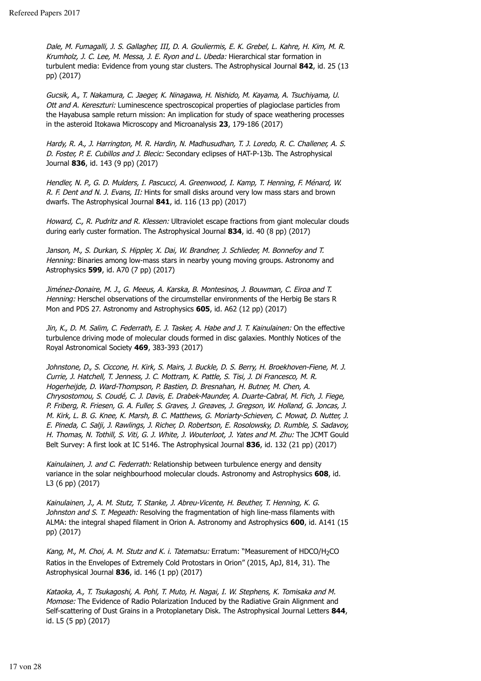Dale, M. Fumagalli, J. S. Gallagher, III, D. A. Gouliermis, E. K. Grebel, L. Kahre, H. Kim, M. R. Krumholz, J. C. Lee, M. Messa, J. E. Ryon and L. Ubeda: Hierarchical star formation in turbulent media: Evidence from young star clusters. The Astrophysical Journal **842**, id. 25 (13 pp) (2017)

Gucsik, A., T. Nakamura, C. Jaeger, K. Ninagawa, H. Nishido, M. Kayama, A. Tsuchiyama, U. Ott and A. Kereszturi: Luminescence spectroscopical properties of plagioclase particles from the Hayabusa sample return mission: An implication for study of space weathering processes in the asteroid Itokawa Microscopy and Microanalysis **23**, 179-186 (2017)

Hardy, R. A., J. Harrington, M. R. Hardin, N. Madhusudhan, T. J. Loredo, R. C. Challener, A. S. D. Foster, P. E. Cubillos and J. Blecic: Secondary eclipses of HAT-P-13b. The Astrophysical Journal **836**, id. 143 (9 pp) (2017)

Hendler, N. P., G. D. Mulders, I. Pascucci, A. Greenwood, I. Kamp, T. Henning, F. Ménard, W. R. F. Dent and N. J. Evans, II: Hints for small disks around very low mass stars and brown dwarfs. The Astrophysical Journal **841**, id. 116 (13 pp) (2017)

Howard, C., R. Pudritz and R. Klessen: Ultraviolet escape fractions from giant molecular clouds during early custer formation. The Astrophysical Journal **834**, id. 40 (8 pp) (2017)

Janson, M., S. Durkan, S. Hippler, X. Dai, W. Brandner, J. Schlieder, M. Bonnefoy and T. Henning: Binaries among low-mass stars in nearby young moving groups. Astronomy and Astrophysics **599**, id. A70 (7 pp) (2017)

Jiménez-Donaire, M. J., G. Meeus, A. Karska, B. Montesinos, J. Bouwman, C. Eiroa and T. Henning: Herschel observations of the circumstellar environments of the Herbig Be stars R Mon and PDS 27. Astronomy and Astrophysics **605**, id. A62 (12 pp) (2017)

Jin, K., D. M. Salim, C. Federrath, E. J. Tasker, A. Habe and J. T. Kainulainen: On the effective turbulence driving mode of molecular clouds formed in disc galaxies. Monthly Notices of the Royal Astronomical Society **469**, 383-393 (2017)

Johnstone, D., S. Ciccone, H. Kirk, S. Mairs, J. Buckle, D. S. Berry, H. Broekhoven-Fiene, M. J. Currie, J. Hatchell, T. Jenness, J. C. Mottram, K. Pattle, S. Tisi, J. Di Francesco, M. R. Hogerheijde, D. Ward-Thompson, P. Bastien, D. Bresnahan, H. Butner, M. Chen, A. Chrysostomou, S. Coudé, C. J. Davis, E. Drabek-Maunder, A. Duarte-Cabral, M. Fich, J. Fiege, P. Friberg, R. Friesen, G. A. Fuller, S. Graves, J. Greaves, J. Gregson, W. Holland, G. Joncas, J. M. Kirk, L. B. G. Knee, K. Marsh, B. C. Matthews, G. Moriarty-Schieven, C. Mowat, D. Nutter, J. E. Pineda, C. Salji, J. Rawlings, J. Richer, D. Robertson, E. Rosolowsky, D. Rumble, S. Sadavoy, H. Thomas, N. Tothill, S. Viti, G. J. White, J. Wouterloot, J. Yates and M. Zhu: The JCMT Gould Belt Survey: A first look at IC 5146. The Astrophysical Journal **836**, id. 132 (21 pp) (2017)

Kainulainen, J. and C. Federrath: Relationship between turbulence energy and density variance in the solar neighbourhood molecular clouds. Astronomy and Astrophysics **608**, id. L3 (6 pp) (2017)

Kainulainen, J., A. M. Stutz, T. Stanke, J. Abreu-Vicente, H. Beuther, T. Henning, K. G. Johnston and S. T. Megeath: Resolving the fragmentation of high line-mass filaments with ALMA: the integral shaped filament in Orion A. Astronomy and Astrophysics **600**, id. A141 (15 pp) (2017)

Kang, M., M. Choi, A. M. Stutz and K. i. Tatematsu: Erratum: "Measurement of HDCO/H<sub>2</sub>CO Ratios in the Envelopes of Extremely Cold Protostars in Orion" (2015, ApJ, 814, 31). The Astrophysical Journal **836**, id. 146 (1 pp) (2017)

Kataoka, A., T. Tsukagoshi, A. Pohl, T. Muto, H. Nagai, I. W. Stephens, K. Tomisaka and M. Momose: The Evidence of Radio Polarization Induced by the Radiative Grain Alignment and Self-scattering of Dust Grains in a Protoplanetary Disk. The Astrophysical Journal Letters **844**, id. L5 (5 pp) (2017)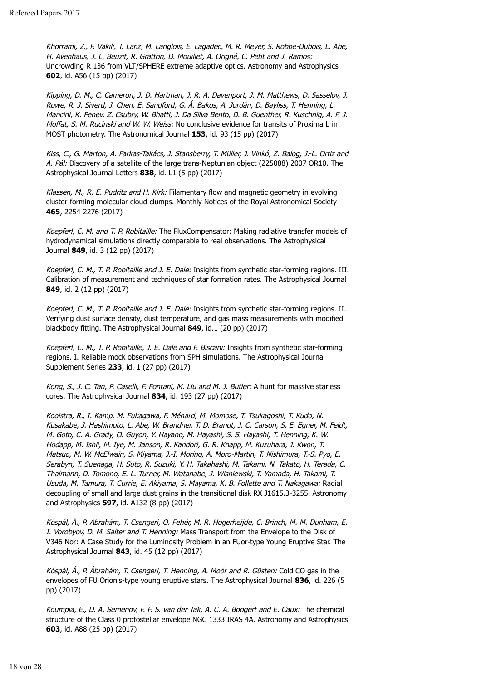Khorrami, Z., F. Vakili, T. Lanz, M. Langlois, E. Lagadec, M. R. Meyer, S. Robbe-Dubois, L. Abe, H. Avenhaus, J. L. Beuzit, R. Gratton, D. Mouillet, A. Origné, C. Petit and J. Ramos: Uncrowding R 136 from VLT/SPHERE extreme adaptive optics. Astronomy and Astrophysics **602**, id. A56 (15 pp) (2017)

Kipping, D. M., C. Cameron, J. D. Hartman, J. R. A. Davenport, J. M. Matthews, D. Sasselov, J. Rowe, R. J. Siverd, J. Chen, E. Sandford, G. Á. Bakos, A. Jordán, D. Bayliss, T. Henning, L. Mancini, K. Penev, Z. Csubry, W. Bhatti, J. Da Silva Bento, D. B. Guenther, R. Kuschnig, A. F. J. Moffat, S. M. Rucinski and W. W. Weiss: No conclusive evidence for transits of Proxima b in MOST photometry. The Astronomical Journal **153**, id. 93 (15 pp) (2017)

Kiss, C., G. Marton, A. Farkas-Takács, J. Stansberry, T. Müller, J. Vinkó, Z. Balog, J.-L. Ortiz and A. Pál: Discovery of a satellite of the large trans-Neptunian object (225088) 2007 OR10. The Astrophysical Journal Letters **838**, id. L1 (5 pp) (2017)

Klassen, M., R. E. Pudritz and H. Kirk: Filamentary flow and magnetic geometry in evolving cluster-forming molecular cloud clumps. Monthly Notices of the Royal Astronomical Society **465**, 2254-2276 (2017)

Koepferl, C. M. and T. P. Robitaille: The FluxCompensator: Making radiative transfer models of hydrodynamical simulations directly comparable to real observations. The Astrophysical Journal **849**, id. 3 (12 pp) (2017)

Koepferl, C. M., T. P. Robitaille and J. E. Dale: Insights from synthetic star-forming regions. III. Calibration of measurement and techniques of star formation rates. The Astrophysical Journal **849**, id. 2 (12 pp) (2017)

Koepferl, C. M., T. P. Robitaille and J. E. Dale: Insights from synthetic star-forming regions. II. Verifying dust surface density, dust temperature, and gas mass measurements with modified blackbody fitting. The Astrophysical Journal **849**, id.1 (20 pp) (2017)

Koepferl, C. M., T. P. Robitaille, J. E. Dale and F. Biscani: Insights from synthetic star-forming regions. I. Reliable mock observations from SPH simulations. The Astrophysical Journal Supplement Series **233**, id. 1 (27 pp) (2017)

Kong, S., J. C. Tan, P. Caselli, F. Fontani, M. Liu and M. J. Butler: A hunt for massive starless cores. The Astrophysical Journal **834**, id. 193 (27 pp) (2017)

Kooistra, R., I. Kamp, M. Fukagawa, F. Ménard, M. Momose, T. Tsukagoshi, T. Kudo, N. Kusakabe, J. Hashimoto, L. Abe, W. Brandner, T. D. Brandt, J. C. Carson, S. E. Egner, M. Feldt, M. Goto, C. A. Grady, O. Guyon, Y. Hayano, M. Hayashi, S. S. Hayashi, T. Henning, K. W. Hodapp, M. Ishii, M. Iye, M. Janson, R. Kandori, G. R. Knapp, M. Kuzuhara, J. Kwon, T. Matsuo, M. W. McElwain, S. Miyama, J.-I. Morino, A. Moro-Martin, T. Nishimura, T.-S. Pyo, E. Serabyn, T. Suenaga, H. Suto, R. Suzuki, Y. H. Takahashi, M. Takami, N. Takato, H. Terada, C. Thalmann, D. Tomono, E. L. Turner, M. Watanabe, J. Wisniewski, T. Yamada, H. Takami, T. Usuda, M. Tamura, T. Currie, E. Akiyama, S. Mayama, K. B. Follette and T. Nakagawa: Radial decoupling of small and large dust grains in the transitional disk RX J1615.3-3255. Astronomy and Astrophysics **597**, id. A132 (8 pp) (2017)

Kóspál, Á., P. Ábrahám, T. Csengeri, O. Fehér, M. R. Hogerheijde, C. Brinch, M. M. Dunham, E. I. Vorobyov, D. M. Salter and T. Henning: Mass Transport from the Envelope to the Disk of V346 Nor: A Case Study for the Luminosity Problem in an FUor-type Young Eruptive Star. The Astrophysical Journal **843**, id. 45 (12 pp) (2017)

Kóspál, Á., P. Ábrahám, T. Csengeri, T. Henning, A. Moór and R. Güsten: Cold CO gas in the envelopes of FU Orionis-type young eruptive stars. The Astrophysical Journal **836**, id. 226 (5 pp) (2017)

Koumpia, E., D. A. Semenov, F. F. S. van der Tak, A. C. A. Boogert and E. Caux: The chemical structure of the Class 0 protostellar envelope NGC 1333 IRAS 4A. Astronomy and Astrophysics **603**, id. A88 (25 pp) (2017)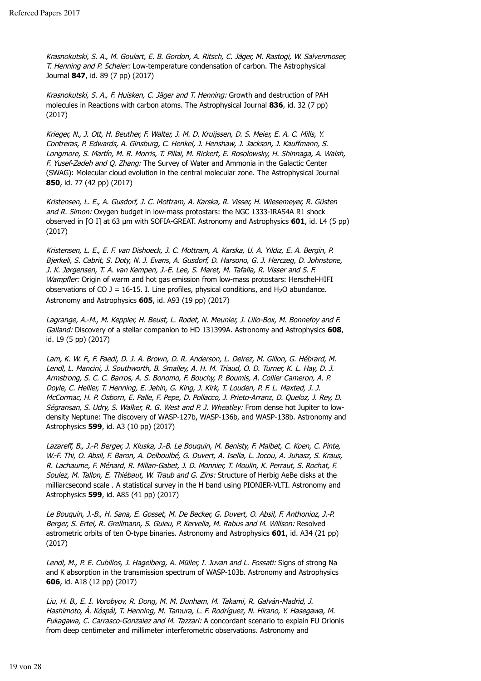Krasnokutski, S. A., M. Goulart, E. B. Gordon, A. Ritsch, C. Jäger, M. Rastogi, W. Salvenmoser, T. Henning and P. Scheier: Low-temperature condensation of carbon. The Astrophysical Journal **847**, id. 89 (7 pp) (2017)

Krasnokutski, S. A., F. Huisken, C. Jäger and T. Henning: Growth and destruction of PAH molecules in Reactions with carbon atoms. The Astrophysical Journal **836**, id. 32 (7 pp) (2017)

Krieger, N., J. Ott, H. Beuther, F. Walter, J. M. D. Kruijssen, D. S. Meier, E. A. C. Mills, Y. Contreras, P. Edwards, A. Ginsburg, C. Henkel, J. Henshaw, J. Jackson, J. Kauffmann, S. Longmore, S. Martín, M. R. Morris, T. Pillai, M. Rickert, E. Rosolowsky, H. Shinnaga, A. Walsh, F. Yusef-Zadeh and Q. Zhang: The Survey of Water and Ammonia in the Galactic Center (SWAG): Molecular cloud evolution in the central molecular zone. The Astrophysical Journal **850**, id. 77 (42 pp) (2017)

Kristensen, L. E., A. Gusdorf, J. C. Mottram, A. Karska, R. Visser, H. Wiesemeyer, R. Güsten and R. Simon: Oxygen budget in low-mass protostars: the NGC 1333-IRAS4A R1 shock observed in [O I] at 63 µm with SOFIA-GREAT. Astronomy and Astrophysics **601**, id. L4 (5 pp) (2017)

Kristensen, L. E., E. F. van Dishoeck, J. C. Mottram, A. Karska, U. A. Yıldız, E. A. Bergin, P. Bjerkeli, S. Cabrit, S. Doty, N. J. Evans, A. Gusdorf, D. Harsono, G. J. Herczeg, D. Johnstone, J. K. Jørgensen, T. A. van Kempen, J.-E. Lee, S. Maret, M. Tafalla, R. Visser and S. F. Wampfler: Origin of warm and hot gas emission from low-mass protostars: Herschel-HIFI observations of CO J = 16-15. I. Line profiles, physical conditions, and  $H_2O$  abundance. Astronomy and Astrophysics **605**, id. A93 (19 pp) (2017)

Lagrange, A.-M., M. Keppler, H. Beust, L. Rodet, N. Meunier, J. Lillo-Box, M. Bonnefoy and F. Galland: Discovery of a stellar companion to HD 131399A. Astronomy and Astrophysics **608**, id. L9 (5 pp) (2017)

Lam, K. W. F., F. Faedi, D. J. A. Brown, D. R. Anderson, L. Delrez, M. Gillon, G. Hébrard, M. Lendl, L. Mancini, J. Southworth, B. Smalley, A. H. M. Triaud, O. D. Turner, K. L. Hay, D. J. Armstrong, S. C. C. Barros, A. S. Bonomo, F. Bouchy, P. Boumis, A. Collier Cameron, A. P. Doyle, C. Hellier, T. Henning, E. Jehin, G. King, J. Kirk, T. Louden, P. F. L. Maxted, J. J. McCormac, H. P. Osborn, E. Palle, F. Pepe, D. Pollacco, J. Prieto-Arranz, D. Queloz, J. Rey, D. Ségransan, S. Udry, S. Walker, R. G. West and P. J. Wheatley: From dense hot Jupiter to lowdensity Neptune: The discovery of WASP-127b, WASP-136b, and WASP-138b. Astronomy and Astrophysics **599**, id. A3 (10 pp) (2017)

Lazareff, B., J.-P. Berger, J. Kluska, J.-B. Le Bouquin, M. Benisty, F. Malbet, C. Koen, C. Pinte, W.-F. Thi, O. Absil, F. Baron, A. Delboulbé, G. Duvert, A. Isella, L. Jocou, A. Juhasz, S. Kraus, R. Lachaume, F. Ménard, R. Millan-Gabet, J. D. Monnier, T. Moulin, K. Perraut, S. Rochat, F. Soulez, M. Tallon, E. Thiébaut, W. Traub and G. Zins: Structure of Herbig AeBe disks at the milliarcsecond scale . A statistical survey in the H band using PIONIER-VLTI. Astronomy and Astrophysics **599**, id. A85 (41 pp) (2017)

Le Bouquin, J.-B., H. Sana, E. Gosset, M. De Becker, G. Duvert, O. Absil, F. Anthonioz, J.-P. Berger, S. Ertel, R. Grellmann, S. Guieu, P. Kervella, M. Rabus and M. Willson: Resolved astrometric orbits of ten O-type binaries. Astronomy and Astrophysics **601**, id. A34 (21 pp) (2017)

Lendl, M., P. E. Cubillos, J. Hagelberg, A. Müller, I. Juvan and L. Fossati: Signs of strong Na and K absorption in the transmission spectrum of WASP-103b. Astronomy and Astrophysics **606**, id. A18 (12 pp) (2017)

Liu, H. B., E. I. Vorobyov, R. Dong, M. M. Dunham, M. Takami, R. Galván-Madrid, J. Hashimoto, Á. Kóspál, T. Henning, M. Tamura, L. F. Rodríguez, N. Hirano, Y. Hasegawa, M. Fukagawa, C. Carrasco-Gonzalez and M. Tazzari: A concordant scenario to explain FU Orionis from deep centimeter and millimeter interferometric observations. Astronomy and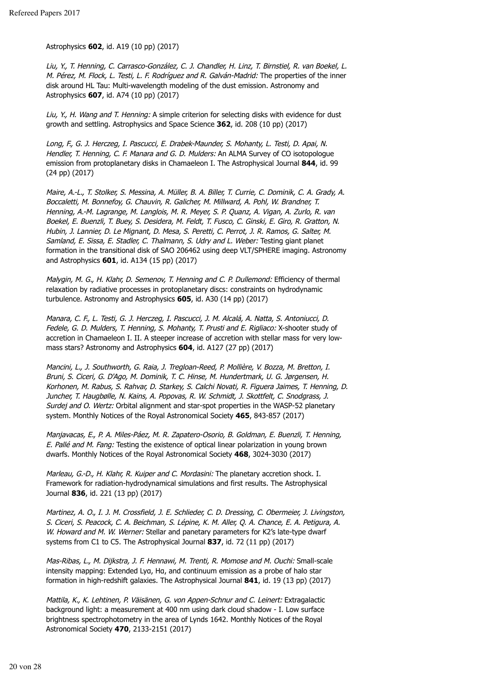Astrophysics **602**, id. A19 (10 pp) (2017)

Liu, Y., T. Henning, C. Carrasco-González, C. J. Chandler, H. Linz, T. Birnstiel, R. van Boekel, L. M. Pérez, M. Flock, L. Testi, L. F. Rodríguez and R. Galván-Madrid: The properties of the inner disk around HL Tau: Multi-wavelength modeling of the dust emission. Astronomy and Astrophysics **607**, id. A74 (10 pp) (2017)

Liu, Y., H. Wang and T. Henning: A simple criterion for selecting disks with evidence for dust growth and settling. Astrophysics and Space Science **362**, id. 208 (10 pp) (2017)

Long, F., G. J. Herczeg, I. Pascucci, E. Drabek-Maunder, S. Mohanty, L. Testi, D. Apai, N. Hendler, T. Henning, C. F. Manara and G. D. Mulders: An ALMA Survey of CO isotopologue emission from protoplanetary disks in Chamaeleon I. The Astrophysical Journal **844**, id. 99 (24 pp) (2017)

Maire, A.-L., T. Stolker, S. Messina, A. Müller, B. A. Biller, T. Currie, C. Dominik, C. A. Grady, A. Boccaletti, M. Bonnefoy, G. Chauvin, R. Galicher, M. Millward, A. Pohl, W. Brandner, T. Henning, A.-M. Lagrange, M. Langlois, M. R. Meyer, S. P. Quanz, A. Vigan, A. Zurlo, R. van Boekel, E. Buenzli, T. Buey, S. Desidera, M. Feldt, T. Fusco, C. Ginski, E. Giro, R. Gratton, N. Hubin, J. Lannier, D. Le Mignant, D. Mesa, S. Peretti, C. Perrot, J. R. Ramos, G. Salter, M. Samland, E. Sissa, E. Stadler, C. Thalmann, S. Udry and L. Weber: Testing giant planet formation in the transitional disk of SAO 206462 using deep VLT/SPHERE imaging. Astronomy and Astrophysics **601**, id. A134 (15 pp) (2017)

Malygin, M. G., H. Klahr, D. Semenov, T. Henning and C. P. Dullemond: Efficiency of thermal relaxation by radiative processes in protoplanetary discs: constraints on hydrodynamic turbulence. Astronomy and Astrophysics **605**, id. A30 (14 pp) (2017)

Manara, C. F., L. Testi, G. J. Herczeg, I. Pascucci, J. M. Alcalá, A. Natta, S. Antoniucci, D. Fedele, G. D. Mulders, T. Henning, S. Mohanty, T. Prusti and E. Rigliaco: X-shooter study of accretion in Chamaeleon I. II. A steeper increase of accretion with stellar mass for very lowmass stars? Astronomy and Astrophysics **604**, id. A127 (27 pp) (2017)

Mancini, L., J. Southworth, G. Raia, J. Tregloan-Reed, P. Mollière, V. Bozza, M. Bretton, I. Bruni, S. Ciceri, G. D'Ago, M. Dominik, T. C. Hinse, M. Hundertmark, U. G. Jørgensen, H. Korhonen, M. Rabus, S. Rahvar, D. Starkey, S. Calchi Novati, R. Figuera Jaimes, T. Henning, D. Juncher, T. Haugbølle, N. Kains, A. Popovas, R. W. Schmidt, J. Skottfelt, C. Snodgrass, J. Surdej and O. Wertz: Orbital alignment and star-spot properties in the WASP-52 planetary system. Monthly Notices of the Royal Astronomical Society **465**, 843-857 (2017)

Manjavacas, E., P. A. Miles-Páez, M. R. Zapatero-Osorio, B. Goldman, E. Buenzli, T. Henning, E. Pallé and M. Fang: Testing the existence of optical linear polarization in young brown dwarfs. Monthly Notices of the Royal Astronomical Society **468**, 3024-3030 (2017)

Marleau, G.-D., H. Klahr, R. Kuiper and C. Mordasini: The planetary accretion shock. I. Framework for radiation-hydrodynamical simulations and first results. The Astrophysical Journal **836**, id. 221 (13 pp) (2017)

Martinez, A. O., I. J. M. Crossfield, J. E. Schlieder, C. D. Dressing, C. Obermeier, J. Livingston, S. Ciceri, S. Peacock, C. A. Beichman, S. Lépine, K. M. Aller, Q. A. Chance, E. A. Petigura, A. W. Howard and M. W. Werner: Stellar and panetary parameters for K2's late-type dwarf systems from C1 to C5. The Astrophysical Journal **837**, id. 72 (11 pp) (2017)

Mas-Ribas, L., M. Dijkstra, J. F. Hennawi, M. Trenti, R. Momose and M. Ouchi: Small-scale intensity mapping: Extended Lyα, Hα, and continuum emission as a probe of halo star formation in high-redshift galaxies. The Astrophysical Journal **841**, id. 19 (13 pp) (2017)

Mattila, K., K. Lehtinen, P. Väisänen, G. von Appen-Schnur and C. Leinert: Extragalactic background light: a measurement at 400 nm using dark cloud shadow - I. Low surface brightness spectrophotometry in the area of Lynds 1642. Monthly Notices of the Royal Astronomical Society **470**, 2133-2151 (2017)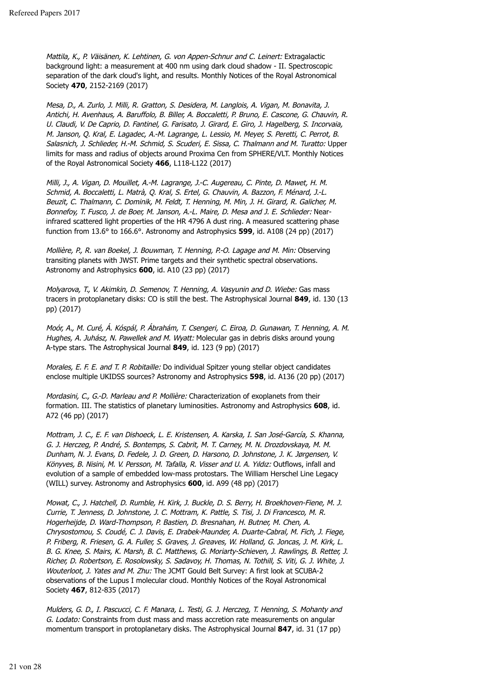Mattila, K., P. Väisänen, K. Lehtinen, G. von Appen-Schnur and C. Leinert: Extragalactic background light: a measurement at 400 nm using dark cloud shadow - II. Spectroscopic separation of the dark cloud's light, and results. Monthly Notices of the Royal Astronomical Society **470**, 2152-2169 (2017)

Mesa, D., A. Zurlo, J. Milli, R. Gratton, S. Desidera, M. Langlois, A. Vigan, M. Bonavita, J. Antichi, H. Avenhaus, A. Baruffolo, B. Biller, A. Boccaletti, P. Bruno, E. Cascone, G. Chauvin, R. U. Claudi, V. De Caprio, D. Fantinel, G. Farisato, J. Girard, E. Giro, J. Hagelberg, S. Incorvaia, M. Janson, Q. Kral, E. Lagadec, A.-M. Lagrange, L. Lessio, M. Meyer, S. Peretti, C. Perrot, B. Salasnich, J. Schlieder, H.-M. Schmid, S. Scuderi, E. Sissa, C. Thalmann and M. Turatto: Upper limits for mass and radius of objects around Proxima Cen from SPHERE/VLT. Monthly Notices of the Royal Astronomical Society **466**, L118-L122 (2017)

Milli, J., A. Vigan, D. Mouillet, A.-M. Lagrange, J.-C. Augereau, C. Pinte, D. Mawet, H. M. Schmid, A. Boccaletti, L. Matrà, Q. Kral, S. Ertel, G. Chauvin, A. Bazzon, F. Ménard, J.-L. Beuzit, C. Thalmann, C. Dominik, M. Feldt, T. Henning, M. Min, J. H. Girard, R. Galicher, M. Bonnefoy, T. Fusco, J. de Boer, M. Janson, A.-L. Maire, D. Mesa and J. E. Schlieder: Nearinfrared scattered light properties of the HR 4796 A dust ring. A measured scattering phase function from 13.6° to 166.6°. Astronomy and Astrophysics **599**, id. A108 (24 pp) (2017)

Mollière, P., R. van Boekel, J. Bouwman, T. Henning, P.-O. Lagage and M. Min: Observing transiting planets with JWST. Prime targets and their synthetic spectral observations. Astronomy and Astrophysics **600**, id. A10 (23 pp) (2017)

Molyarova, T., V. Akimkin, D. Semenov, T. Henning, A. Vasyunin and D. Wiebe: Gas mass tracers in protoplanetary disks: CO is still the best. The Astrophysical Journal **849**, id. 130 (13 pp) (2017)

Moór, A., M. Curé, Á. Kóspál, P. Ábrahám, T. Csengeri, C. Eiroa, D. Gunawan, T. Henning, A. M. Hughes, A. Juhász, N. Pawellek and M. Wyatt: Molecular gas in debris disks around young A-type stars. The Astrophysical Journal **849**, id. 123 (9 pp) (2017)

Morales, E. F. E. and T. P. Robitaille: Do individual Spitzer young stellar object candidates enclose multiple UKIDSS sources? Astronomy and Astrophysics **598**, id. A136 (20 pp) (2017)

Mordasini, C., G.-D. Marleau and P. Mollière: Characterization of exoplanets from their formation. III. The statistics of planetary luminosities. Astronomy and Astrophysics **608**, id. A72 (46 pp) (2017)

Mottram, J. C., E. F. van Dishoeck, L. E. Kristensen, A. Karska, I. San José-García, S. Khanna, G. J. Herczeg, P. André, S. Bontemps, S. Cabrit, M. T. Carney, M. N. Drozdovskaya, M. M. Dunham, N. J. Evans, D. Fedele, J. D. Green, D. Harsono, D. Johnstone, J. K. Jørgensen, V. Könyves, B. Nisini, M. V. Persson, M. Tafalla, R. Visser and U. A. Yıldız: Outflows, infall and evolution of a sample of embedded low-mass protostars. The William Herschel Line Legacy (WILL) survey. Astronomy and Astrophysics **600**, id. A99 (48 pp) (2017)

Mowat, C., J. Hatchell, D. Rumble, H. Kirk, J. Buckle, D. S. Berry, H. Broekhoven-Fiene, M. J. Currie, T. Jenness, D. Johnstone, J. C. Mottram, K. Pattle, S. Tisi, J. Di Francesco, M. R. Hogerheijde, D. Ward-Thompson, P. Bastien, D. Bresnahan, H. Butner, M. Chen, A. Chrysostomou, S. Coudé, C. J. Davis, E. Drabek-Maunder, A. Duarte-Cabral, M. Fich, J. Fiege, P. Friberg, R. Friesen, G. A. Fuller, S. Graves, J. Greaves, W. Holland, G. Joncas, J. M. Kirk, L. B. G. Knee, S. Mairs, K. Marsh, B. C. Matthews, G. Moriarty-Schieven, J. Rawlings, B. Retter, J. Richer, D. Robertson, E. Rosolowsky, S. Sadavoy, H. Thomas, N. Tothill, S. Viti, G. J. White, J. Wouterloot, J. Yates and M. Zhu: The JCMT Gould Belt Survey: A first look at SCUBA-2 observations of the Lupus I molecular cloud. Monthly Notices of the Royal Astronomical Society **467**, 812-835 (2017)

Mulders, G. D., I. Pascucci, C. F. Manara, L. Testi, G. J. Herczeg, T. Henning, S. Mohanty and G. Lodato: Constraints from dust mass and mass accretion rate measurements on angular momentum transport in protoplanetary disks. The Astrophysical Journal **847**, id. 31 (17 pp)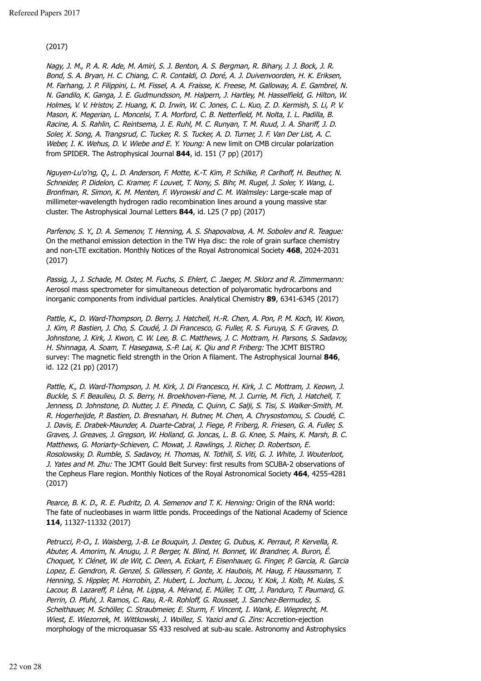#### (2017)

Nagy, J. M., P. A. R. Ade, M. Amiri, S. J. Benton, A. S. Bergman, R. Bihary, J. J. Bock, J. R. Bond, S. A. Bryan, H. C. Chiang, C. R. Contaldi, O. Doré, A. J. Duivenvoorden, H. K. Eriksen, M. Farhang, J. P. Filippini, L. M. Fissel, A. A. Fraisse, K. Freese, M. Galloway, A. E. Gambrel, N. N. Gandilo, K. Ganga, J. E. Gudmundsson, M. Halpern, J. Hartley, M. Hasselfield, G. Hilton, W. Holmes, V. V. Hristov, Z. Huang, K. D. Irwin, W. C. Jones, C. L. Kuo, Z. D. Kermish, S. Li, P. V. Mason, K. Megerian, L. Moncelsi, T. A. Morford, C. B. Netterfield, M. Nolta, I. L. Padilla, B. Racine, A. S. Rahlin, C. Reintsema, J. E. Ruhl, M. C. Runyan, T. M. Ruud, J. A. Shariff, J. D. Soler, X. Song, A. Trangsrud, C. Tucker, R. S. Tucker, A. D. Turner, J. F. Van Der List, A. C. Weber, I. K. Wehus, D. V. Wiebe and E. Y. Young: A new limit on CMB circular polarization from SPIDER. The Astrophysical Journal **844**, id. 151 (7 pp) (2017)

Nguyen-Lu'o'ng, Q., L. D. Anderson, F. Motte, K.-T. Kim, P. Schilke, P. Carlhoff, H. Beuther, N. Schneider, P. Didelon, C. Kramer, F. Louvet, T. Nony, S. Bihr, M. Rugel, J. Soler, Y. Wang, L. Bronfman, R. Simon, K. M. Menten, F. Wyrowski and C. M. Walmsley: Large-scale map of millimeter-wavelength hydrogen radio recombination lines around a young massive star cluster. The Astrophysical Journal Letters **844**, id. L25 (7 pp) (2017)

Parfenov, S. Y., D. A. Semenov, T. Henning, A. S. Shapovalova, A. M. Sobolev and R. Teague: On the methanol emission detection in the TW Hya disc: the role of grain surface chemistry and non-LTE excitation. Monthly Notices of the Royal Astronomical Society **468**, 2024-2031 (2017)

Passig, J., J. Schade, M. Oster, M. Fuchs, S. Ehlert, C. Jaeger, M. Sklorz and R. Zimmermann: Aerosol mass spectrometer for simultaneous detection of polyaromatic hydrocarbons and inorganic components from individual particles. Analytical Chemistry **89**, 6341-6345 (2017)

Pattle, K., D. Ward-Thompson, D. Berry, J. Hatchell, H.-R. Chen, A. Pon, P. M. Koch, W. Kwon, J. Kim, P. Bastien, J. Cho, S. Coudé, J. Di Francesco, G. Fuller, R. S. Furuya, S. F. Graves, D. Johnstone, J. Kirk, J. Kwon, C. W. Lee, B. C. Matthews, J. C. Mottram, H. Parsons, S. Sadavoy, H. Shinnaga, A. Soam, T. Hasegawa, S.-P. Lai, K. Qiu and P. Friberg: The JCMT BISTRO survey: The magnetic field strength in the Orion A filament. The Astrophysical Journal **846**, id. 122 (21 pp) (2017)

Pattle, K., D. Ward-Thompson, J. M. Kirk, J. Di Francesco, H. Kirk, J. C. Mottram, J. Keown, J. Buckle, S. F. Beaulieu, D. S. Berry, H. Broekhoven-Fiene, M. J. Currie, M. Fich, J. Hatchell, T. Jenness, D. Johnstone, D. Nutter, J. E. Pineda, C. Quinn, C. Salji, S. Tisi, S. Walker-Smith, M. R. Hogerheijde, P. Bastien, D. Bresnahan, H. Butner, M. Chen, A. Chrysostomou, S. Coudé, C. J. Davis, E. Drabek-Maunder, A. Duarte-Cabral, J. Fiege, P. Friberg, R. Friesen, G. A. Fuller, S. Graves, J. Greaves, J. Gregson, W. Holland, G. Joncas, L. B. G. Knee, S. Mairs, K. Marsh, B. C. Matthews, G. Moriarty-Schieven, C. Mowat, J. Rawlings, J. Richer, D. Robertson, E. Rosolowsky, D. Rumble, S. Sadavoy, H. Thomas, N. Tothill, S. Viti, G. J. White, J. Wouterloot, J. Yates and M. Zhu: The JCMT Gould Belt Survey: first results from SCUBA-2 observations of the Cepheus Flare region. Monthly Notices of the Royal Astronomical Society **464**, 4255-4281 (2017)

Pearce, B. K. D., R. E. Pudritz, D. A. Semenov and T. K. Henning: Origin of the RNA world: The fate of nucleobases in warm little ponds. Proceedings of the National Academy of Science **114**, 11327-11332 (2017)

Petrucci, P.-O., I. Waisberg, J.-B. Le Bouquin, J. Dexter, G. Dubus, K. Perraut, P. Kervella, R. Abuter, A. Amorim, N. Anugu, J. P. Berger, N. Blind, H. Bonnet, W. Brandner, A. Buron, É. Choquet, Y. Clénet, W. de Wit, C. Deen, A. Eckart, F. Eisenhauer, G. Finger, P. Garcia, R. Garcia Lopez, E. Gendron, R. Genzel, S. Gillessen, F. Gonte, X. Haubois, M. Haug, F. Haussmann, T. Henning, S. Hippler, M. Horrobin, Z. Hubert, L. Jochum, L. Jocou, Y. Kok, J. Kolb, M. Kulas, S. Lacour, B. Lazareff, P. Lèna, M. Lippa, A. Mérand, E. Müller, T. Ott, J. Panduro, T. Paumard, G. Perrin, O. Pfuhl, J. Ramos, C. Rau, R.-R. Rohloff, G. Rousset, J. Sanchez-Bermudez, S. Scheithauer, M. Schöller, C. Straubmeier, E. Sturm, F. Vincent, I. Wank, E. Wieprecht, M. Wiest, E. Wiezorrek, M. Wittkowski, J. Woillez, S. Yazici and G. Zins: Accretion-ejection morphology of the microquasar SS 433 resolved at sub-au scale. Astronomy and Astrophysics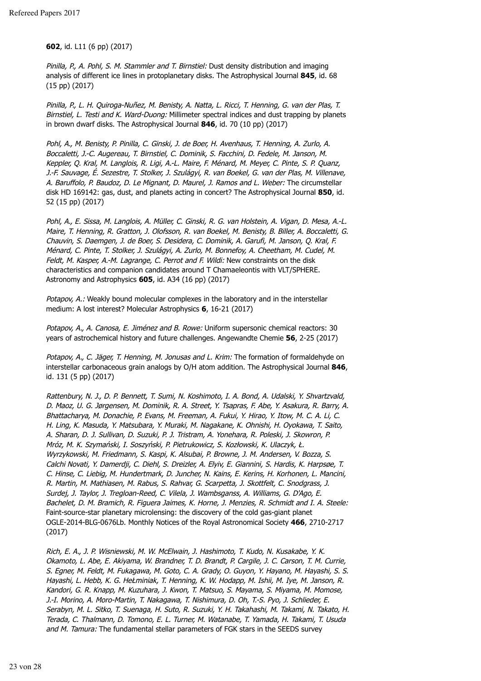**602**, id. L11 (6 pp) (2017)

Pinilla, P., A. Pohl, S. M. Stammler and T. Birnstiel: Dust density distribution and imaging analysis of different ice lines in protoplanetary disks. The Astrophysical Journal **845**, id. 68 (15 pp) (2017)

Pinilla, P., L. H. Quiroga-Nuñez, M. Benisty, A. Natta, L. Ricci, T. Henning, G. van der Plas, T. Birnstiel, L. Testi and K. Ward-Duong: Millimeter spectral indices and dust trapping by planets in brown dwarf disks. The Astrophysical Journal **846**, id. 70 (10 pp) (2017)

Pohl, A., M. Benisty, P. Pinilla, C. Ginski, J. de Boer, H. Avenhaus, T. Henning, A. Zurlo, A. Boccaletti, J.-C. Augereau, T. Birnstiel, C. Dominik, S. Facchini, D. Fedele, M. Janson, M. Keppler, Q. Kral, M. Langlois, R. Ligi, A.-L. Maire, F. Ménard, M. Meyer, C. Pinte, S. P. Quanz, J.-F. Sauvage, É. Sezestre, T. Stolker, J. Szulágyi, R. van Boekel, G. van der Plas, M. Villenave, A. Baruffolo, P. Baudoz, D. Le Mignant, D. Maurel, J. Ramos and L. Weber: The circumstellar disk HD 169142: gas, dust, and planets acting in concert? The Astrophysical Journal **850**, id. 52 (15 pp) (2017)

Pohl, A., E. Sissa, M. Langlois, A. Müller, C. Ginski, R. G. van Holstein, A. Vigan, D. Mesa, A.-L. Maire, T. Henning, R. Gratton, J. Olofsson, R. van Boekel, M. Benisty, B. Biller, A. Boccaletti, G. Chauvin, S. Daemgen, J. de Boer, S. Desidera, C. Dominik, A. Garufi, M. Janson, Q. Kral, F. Ménard, C. Pinte, T. Stolker, J. Szulágyi, A. Zurlo, M. Bonnefoy, A. Cheetham, M. Cudel, M. Feldt, M. Kasper, A.-M. Lagrange, C. Perrot and F. Wildi: New constraints on the disk characteristics and companion candidates around T Chamaeleontis with VLT/SPHERE. Astronomy and Astrophysics **605**, id. A34 (16 pp) (2017)

Potapov, A.: Weakly bound molecular complexes in the laboratory and in the interstellar medium: A lost interest? Molecular Astrophysics **6**, 16-21 (2017)

Potapov, A., A. Canosa, E. Jiménez and B. Rowe: Uniform supersonic chemical reactors: 30 years of astrochemical history and future challenges. Angewandte Chemie **56**, 2-25 (2017)

Potapov, A., C. Jäger, T. Henning, M. Jonusas and L. Krim: The formation of formaldehyde on interstellar carbonaceous grain analogs by O/H atom addition. The Astrophysical Journal **846**, id. 131 (5 pp) (2017)

Rattenbury, N. J., D. P. Bennett, T. Sumi, N. Koshimoto, I. A. Bond, A. Udalski, Y. Shvartzvald, D. Maoz, U. G. Jørgensen, M. Dominik, R. A. Street, Y. Tsapras, F. Abe, Y. Asakura, R. Barry, A. Bhattacharya, M. Donachie, P. Evans, M. Freeman, A. Fukui, Y. Hirao, Y. Itow, M. C. A. Li, C. H. Ling, K. Masuda, Y. Matsubara, Y. Muraki, M. Nagakane, K. Ohnishi, H. Oyokawa, T. Saito, A. Sharan, D. J. Sullivan, D. Suzuki, P. J. Tristram, A. Yonehara, R. Poleski, J. Skowron, P. Mróz, M. K. Szymański, I. Soszyński, P. Pietrukowicz, S. Kozłowski, K. Ulaczyk, Ł. Wyrzykowski, M. Friedmann, S. Kaspi, K. Alsubai, P. Browne, J. M. Andersen, V. Bozza, S. Calchi Novati, Y. Damerdji, C. Diehl, S. Dreizler, A. Elyiv, E. Giannini, S. Hardis, K. Harpsøe, T. C. Hinse, C. Liebig, M. Hundertmark, D. Juncher, N. Kains, E. Kerins, H. Korhonen, L. Mancini, R. Martin, M. Mathiasen, M. Rabus, S. Rahvar, G. Scarpetta, J. Skottfelt, C. Snodgrass, J. Surdej, J. Taylor, J. Tregloan-Reed, C. Vilela, J. Wambsganss, A. Williams, G. D'Ago, E. Bachelet, D. M. Bramich, R. Figuera Jaimes, K. Horne, J. Menzies, R. Schmidt and I. A. Steele: Faint-source-star planetary microlensing: the discovery of the cold gas-giant planet OGLE-2014-BLG-0676Lb. Monthly Notices of the Royal Astronomical Society **466**, 2710-2717 (2017)

Rich, E. A., J. P. Wisniewski, M. W. McElwain, J. Hashimoto, T. Kudo, N. Kusakabe, Y. K. Okamoto, L. Abe, E. Akiyama, W. Brandner, T. D. Brandt, P. Cargile, J. C. Carson, T. M. Currie, S. Egner, M. Feldt, M. Fukagawa, M. Goto, C. A. Grady, O. Guyon, Y. Hayano, M. Hayashi, S. S. Hayashi, L. Hebb, K. G. HeŁminiak, T. Henning, K. W. Hodapp, M. Ishii, M. Iye, M. Janson, R. Kandori, G. R. Knapp, M. Kuzuhara, J. Kwon, T. Matsuo, S. Mayama, S. Miyama, M. Momose, J.-I. Morino, A. Moro-Martin, T. Nakagawa, T. Nishimura, D. Oh, T.-S. Pyo, J. Schlieder, E. Serabyn, M. L. Sitko, T. Suenaga, H. Suto, R. Suzuki, Y. H. Takahashi, M. Takami, N. Takato, H. Terada, C. Thalmann, D. Tomono, E. L. Turner, M. Watanabe, T. Yamada, H. Takami, T. Usuda and M. Tamura: The fundamental stellar parameters of FGK stars in the SEEDS survey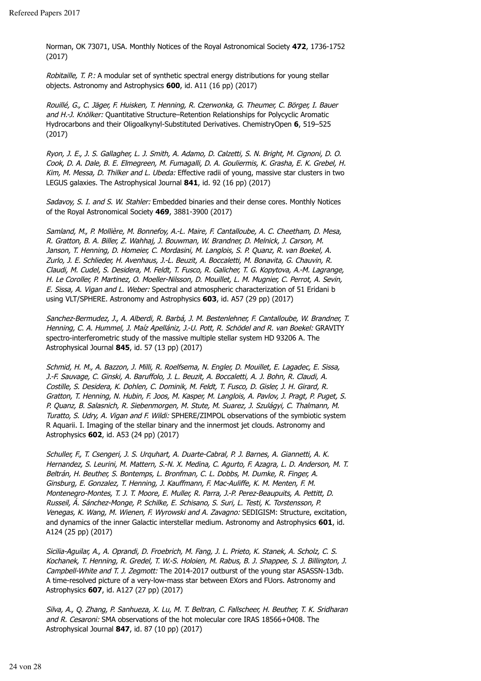Norman, OK 73071, USA. Monthly Notices of the Royal Astronomical Society **472**, 1736-1752 (2017)

Robitaille, T. P.: A modular set of synthetic spectral energy distributions for young stellar objects. Astronomy and Astrophysics **600**, id. A11 (16 pp) (2017)

Rouillé, G., C. Jäger, F. Huisken, T. Henning, R. Czerwonka, G. Theumer, C. Börger, I. Bauer and H.-J. Knölker: Quantitative Structure–Retention Relationships for Polycyclic Aromatic Hydrocarbons and their Oligoalkynyl-Substituted Derivatives. ChemistryOpen **6**, 519–525 (2017)

Ryon, J. E., J. S. Gallagher, L. J. Smith, A. Adamo, D. Calzetti, S. N. Bright, M. Cignoni, D. O. Cook, D. A. Dale, B. E. Elmegreen, M. Fumagalli, D. A. Gouliermis, K. Grasha, E. K. Grebel, H. Kim, M. Messa, D. Thilker and L. Ubeda: Effective radii of young, massive star clusters in two LEGUS galaxies. The Astrophysical Journal **841**, id. 92 (16 pp) (2017)

Sadavoy, S. I. and S. W. Stahler: Embedded binaries and their dense cores. Monthly Notices of the Royal Astronomical Society **469**, 3881-3900 (2017)

Samland, M., P. Mollière, M. Bonnefoy, A.-L. Maire, F. Cantalloube, A. C. Cheetham, D. Mesa, R. Gratton, B. A. Biller, Z. Wahhaj, J. Bouwman, W. Brandner, D. Melnick, J. Carson, M. Janson, T. Henning, D. Homeier, C. Mordasini, M. Langlois, S. P. Quanz, R. van Boekel, A. Zurlo, J. E. Schlieder, H. Avenhaus, J.-L. Beuzit, A. Boccaletti, M. Bonavita, G. Chauvin, R. Claudi, M. Cudel, S. Desidera, M. Feldt, T. Fusco, R. Galicher, T. G. Kopytova, A.-M. Lagrange, H. Le Coroller, P. Martinez, O. Moeller-Nilsson, D. Mouillet, L. M. Mugnier, C. Perrot, A. Sevin, E. Sissa, A. Vigan and L. Weber: Spectral and atmospheric characterization of 51 Eridani b using VLT/SPHERE. Astronomy and Astrophysics **603**, id. A57 (29 pp) (2017)

Sanchez-Bermudez, J., A. Alberdi, R. Barbá, J. M. Bestenlehner, F. Cantalloube, W. Brandner, T. Henning, C. A. Hummel, J. Maíz Apellániz, J.-U. Pott, R. Schödel and R. van Boekel: GRAVITY spectro-interferometric study of the massive multiple stellar system HD 93206 A. The Astrophysical Journal **845**, id. 57 (13 pp) (2017)

Schmid, H. M., A. Bazzon, J. Milli, R. Roelfsema, N. Engler, D. Mouillet, E. Lagadec, E. Sissa, J.-F. Sauvage, C. Ginski, A. Baruffolo, J. L. Beuzit, A. Boccaletti, A. J. Bohn, R. Claudi, A. Costille, S. Desidera, K. Dohlen, C. Dominik, M. Feldt, T. Fusco, D. Gisler, J. H. Girard, R. Gratton, T. Henning, N. Hubin, F. Joos, M. Kasper, M. Langlois, A. Pavlov, J. Pragt, P. Puget, S. P. Quanz, B. Salasnich, R. Siebenmorgen, M. Stute, M. Suarez, J. Szulágyi, C. Thalmann, M. Turatto, S. Udry, A. Vigan and F. Wildi: SPHERE/ZIMPOL observations of the symbiotic system R Aquarii. I. Imaging of the stellar binary and the innermost jet clouds. Astronomy and Astrophysics **602**, id. A53 (24 pp) (2017)

Schuller, F., T. Csengeri, J. S. Urquhart, A. Duarte-Cabral, P. J. Barnes, A. Giannetti, A. K. Hernandez, S. Leurini, M. Mattern, S.-N. X. Medina, C. Agurto, F. Azagra, L. D. Anderson, M. T. Beltrán, H. Beuther, S. Bontemps, L. Bronfman, C. L. Dobbs, M. Dumke, R. Finger, A. Ginsburg, E. Gonzalez, T. Henning, J. Kauffmann, F. Mac-Auliffe, K. M. Menten, F. M. Montenegro-Montes, T. J. T. Moore, E. Muller, R. Parra, J.-P. Perez-Beaupuits, A. Pettitt, D. Russeil, Á. Sánchez-Monge, P. Schilke, E. Schisano, S. Suri, L. Testi, K. Torstensson, P. Venegas, K. Wang, M. Wienen, F. Wyrowski and A. Zavagno: SEDIGISM: Structure, excitation, and dynamics of the inner Galactic interstellar medium. Astronomy and Astrophysics **601**, id. A124 (25 pp) (2017)

Sicilia-Aguilar, A., A. Oprandi, D. Froebrich, M. Fang, J. L. Prieto, K. Stanek, A. Scholz, C. S. Kochanek, T. Henning, R. Gredel, T. W.-S. Holoien, M. Rabus, B. J. Shappee, S. J. Billington, J. Campbell-White and T. J. Zegmott: The 2014-2017 outburst of the young star ASASSN-13db. A time-resolved picture of a very-low-mass star between EXors and FUors. Astronomy and Astrophysics **607**, id. A127 (27 pp) (2017)

Silva, A., Q. Zhang, P. Sanhueza, X. Lu, M. T. Beltran, C. Fallscheer, H. Beuther, T. K. Sridharan and R. Cesaroni: SMA observations of the hot molecular core IRAS 18566+0408. The Astrophysical Journal **847**, id. 87 (10 pp) (2017)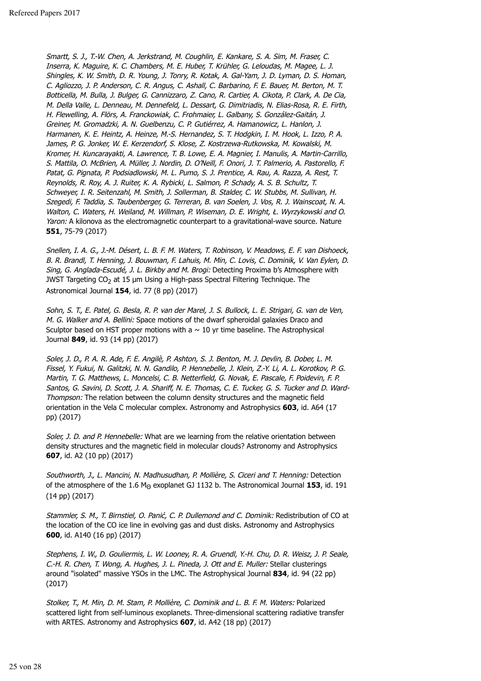Smartt, S. J., T.-W. Chen, A. Jerkstrand, M. Coughlin, E. Kankare, S. A. Sim, M. Fraser, C. Inserra, K. Maguire, K. C. Chambers, M. E. Huber, T. Krühler, G. Leloudas, M. Magee, L. J. Shingles, K. W. Smith, D. R. Young, J. Tonry, R. Kotak, A. Gal-Yam, J. D. Lyman, D. S. Homan, C. Agliozzo, J. P. Anderson, C. R. Angus, C. Ashall, C. Barbarino, F. E. Bauer, M. Berton, M. T. Botticella, M. Bulla, J. Bulger, G. Cannizzaro, Z. Cano, R. Cartier, A. Cikota, P. Clark, A. De Cia, M. Della Valle, L. Denneau, M. Dennefeld, L. Dessart, G. Dimitriadis, N. Elias-Rosa, R. E. Firth, H. Flewelling, A. Flörs, A. Franckowiak, C. Frohmaier, L. Galbany, S. González-Gaitán, J. Greiner, M. Gromadzki, A. N. Guelbenzu, C. P. Gutiérrez, A. Hamanowicz, L. Hanlon, J. Harmanen, K. E. Heintz, A. Heinze, M.-S. Hernandez, S. T. Hodgkin, I. M. Hook, L. Izzo, P. A. James, P. G. Jonker, W. E. Kerzendorf, S. Klose, Z. Kostrzewa-Rutkowska, M. Kowalski, M. Kromer, H. Kuncarayakti, A. Lawrence, T. B. Lowe, E. A. Magnier, I. Manulis, A. Martin-Carrillo, S. Mattila, O. McBrien, A. Müller, J. Nordin, D. O'Neill, F. Onori, J. T. Palmerio, A. Pastorello, F. Patat, G. Pignata, P. Podsiadlowski, M. L. Pumo, S. J. Prentice, A. Rau, A. Razza, A. Rest, T. Reynolds, R. Roy, A. J. Ruiter, K. A. Rybicki, L. Salmon, P. Schady, A. S. B. Schultz, T. Schweyer, I. R. Seitenzahl, M. Smith, J. Sollerman, B. Stalder, C. W. Stubbs, M. Sullivan, H. Szegedi, F. Taddia, S. Taubenberger, G. Terreran, B. van Soelen, J. Vos, R. J. Wainscoat, N. A. Walton, C. Waters, H. Weiland, M. Willman, P. Wiseman, D. E. Wright, Ł. Wyrzykowski and O. Yaron: A kilonova as the electromagnetic counterpart to a gravitational-wave source. Nature **551**, 75-79 (2017)

Snellen, I. A. G., J.-M. Désert, L. B. F. M. Waters, T. Robinson, V. Meadows, E. F. van Dishoeck, B. R. Brandl, T. Henning, J. Bouwman, F. Lahuis, M. Min, C. Lovis, C. Dominik, V. Van Eylen, D. Sing, G. Anglada-Escudé, J. L. Birkby and M. Brogi: Detecting Proxima b's Atmosphere with JWST Targeting CO<sub>2</sub> at 15 µm Using a High-pass Spectral Filtering Technique. The Astronomical Journal **154**, id. 77 (8 pp) (2017)

Sohn, S. T., E. Patel, G. Besla, R. P. van der Marel, J. S. Bullock, L. E. Strigari, G. van de Ven, M. G. Walker and A. Bellini: Space motions of the dwarf spheroidal galaxies Draco and Sculptor based on HST proper motions with a  $\sim$  10 yr time baseline. The Astrophysical Journal **849**, id. 93 (14 pp) (2017)

Soler, J. D., P. A. R. Ade, F. E. Angilè, P. Ashton, S. J. Benton, M. J. Devlin, B. Dober, L. M. Fissel, Y. Fukui, N. Galitzki, N. N. Gandilo, P. Hennebelle, J. Klein, Z.-Y. Li, A. L. Korotkov, P. G. Martin, T. G. Matthews, L. Moncelsi, C. B. Netterfield, G. Novak, E. Pascale, F. Poidevin, F. P. Santos, G. Savini, D. Scott, J. A. Shariff, N. E. Thomas, C. E. Tucker, G. S. Tucker and D. Ward-Thompson: The relation between the column density structures and the magnetic field orientation in the Vela C molecular complex. Astronomy and Astrophysics **603**, id. A64 (17 pp) (2017)

Soler, J. D. and P. Hennebelle: What are we learning from the relative orientation between density structures and the magnetic field in molecular clouds? Astronomy and Astrophysics **607**, id. A2 (10 pp) (2017)

Southworth, J., L. Mancini, N. Madhusudhan, P. Mollière, S. Ciceri and T. Henning: Detection of the atmosphere of the 1.6 MΘ exoplanet GJ 1132 b. The Astronomical Journal **153**, id. 191 (14 pp) (2017)

Stammler, S. M., T. Birnstiel, O. Panić, C. P. Dullemond and C. Dominik: Redistribution of CO at the location of the CO ice line in evolving gas and dust disks. Astronomy and Astrophysics **600**, id. A140 (16 pp) (2017)

Stephens, I. W., D. Gouliermis, L. W. Looney, R. A. Gruendl, Y.-H. Chu, D. R. Weisz, J. P. Seale, C.-H. R. Chen, T. Wong, A. Hughes, J. L. Pineda, J. Ott and E. Muller: Stellar clusterings around "isolated" massive YSOs in the LMC. The Astrophysical Journal **834**, id. 94 (22 pp) (2017)

Stolker, T., M. Min, D. M. Stam, P. Mollière, C. Dominik and L. B. F. M. Waters: Polarized scattered light from self-luminous exoplanets. Three-dimensional scattering radiative transfer with ARTES. Astronomy and Astrophysics **607**, id. A42 (18 pp) (2017)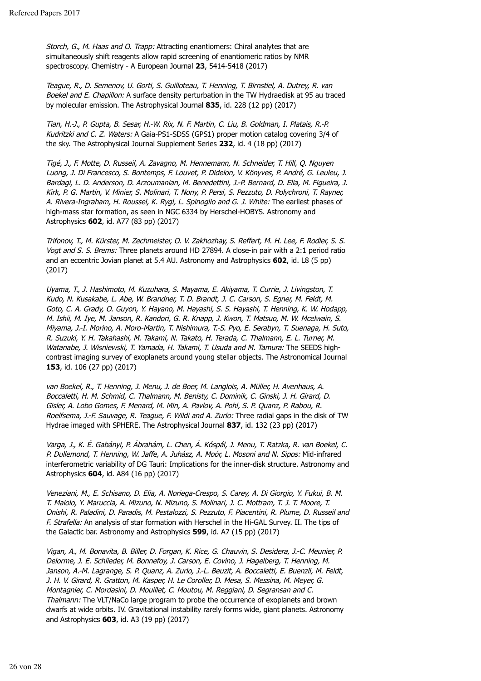Storch, G., M. Haas and O. Trapp: Attracting enantiomers: Chiral analytes that are simultaneously shift reagents allow rapid screening of enantiomeric ratios by NMR spectroscopy. Chemistry - A European Journal **23**, 5414-5418 (2017)

Teague, R., D. Semenov, U. Gorti, S. Guilloteau, T. Henning, T. Birnstiel, A. Dutrey, R. van Boekel and E. Chapillon: A surface density perturbation in the TW Hydraedisk at 95 au traced by molecular emission. The Astrophysical Journal **835**, id. 228 (12 pp) (2017)

Tian, H.-J., P. Gupta, B. Sesar, H.-W. Rix, N. F. Martin, C. Liu, B. Goldman, I. Platais, R.-P. Kudritzki and C. Z. Waters: A Gaia-PS1-SDSS (GPS1) proper motion catalog covering 3/4 of the sky. The Astrophysical Journal Supplement Series **232**, id. 4 (18 pp) (2017)

Tigé, J., F. Motte, D. Russeil, A. Zavagno, M. Hennemann, N. Schneider, T. Hill, Q. Nguyen Luong, J. Di Francesco, S. Bontemps, F. Louvet, P. Didelon, V. Könyves, P. André, G. Leuleu, J. Bardagi, L. D. Anderson, D. Arzoumanian, M. Benedettini, J.-P. Bernard, D. Elia, M. Figueira, J. Kirk, P. G. Martin, V. Minier, S. Molinari, T. Nony, P. Persi, S. Pezzuto, D. Polychroni, T. Rayner, A. Rivera-Ingraham, H. Roussel, K. Rygl, L. Spinoglio and G. J. White: The earliest phases of high-mass star formation, as seen in NGC 6334 by Herschel-HOBYS. Astronomy and Astrophysics **602**, id. A77 (83 pp) (2017)

Trifonov, T., M. Kürster, M. Zechmeister, O. V. Zakhozhay, S. Reffert, M. H. Lee, F. Rodler, S. S. Vogt and S. S. Brems: Three planets around HD 27894. A close-in pair with a 2:1 period ratio and an eccentric Jovian planet at 5.4 AU. Astronomy and Astrophysics **602**, id. L8 (5 pp) (2017)

Uyama, T., J. Hashimoto, M. Kuzuhara, S. Mayama, E. Akiyama, T. Currie, J. Livingston, T. Kudo, N. Kusakabe, L. Abe, W. Brandner, T. D. Brandt, J. C. Carson, S. Egner, M. Feldt, M. Goto, C. A. Grady, O. Guyon, Y. Hayano, M. Hayashi, S. S. Hayashi, T. Henning, K. W. Hodapp, M. Ishii, M. Iye, M. Janson, R. Kandori, G. R. Knapp, J. Kwon, T. Matsuo, M. W. Mcelwain, S. Miyama, J.-I. Morino, A. Moro-Martin, T. Nishimura, T.-S. Pyo, E. Serabyn, T. Suenaga, H. Suto, R. Suzuki, Y. H. Takahashi, M. Takami, N. Takato, H. Terada, C. Thalmann, E. L. Turner, M. Watanabe, J. Wisniewski, T. Yamada, H. Takami, T. Usuda and M. Tamura: The SEEDS highcontrast imaging survey of exoplanets around young stellar objects. The Astronomical Journal **153**, id. 106 (27 pp) (2017)

van Boekel, R., T. Henning, J. Menu, J. de Boer, M. Langlois, A. Müller, H. Avenhaus, A. Boccaletti, H. M. Schmid, C. Thalmann, M. Benisty, C. Dominik, C. Ginski, J. H. Girard, D. Gisler, A. Lobo Gomes, F. Menard, M. Min, A. Pavlov, A. Pohl, S. P. Quanz, P. Rabou, R. Roelfsema, J.-F. Sauvage, R. Teague, F. Wildi and A. Zurlo: Three radial gaps in the disk of TW Hydrae imaged with SPHERE. The Astrophysical Journal **837**, id. 132 (23 pp) (2017)

Varga, J., K. É. Gabányi, P. Ábrahám, L. Chen, Á. Kóspál, J. Menu, T. Ratzka, R. van Boekel, C. P. Dullemond, T. Henning, W. Jaffe, A. Juhász, A. Moór, L. Mosoni and N. Sipos: Mid-infrared interferometric variability of DG Tauri: Implications for the inner-disk structure. Astronomy and Astrophysics **604**, id. A84 (16 pp) (2017)

Veneziani, M., E. Schisano, D. Elia, A. Noriega-Crespo, S. Carey, A. Di Giorgio, Y. Fukui, B. M. T. Maiolo, Y. Maruccia, A. Mizuno, N. Mizuno, S. Molinari, J. C. Mottram, T. J. T. Moore, T. Onishi, R. Paladini, D. Paradis, M. Pestalozzi, S. Pezzuto, F. Piacentini, R. Plume, D. Russeil and F. Strafella: An analysis of star formation with Herschel in the Hi-GAL Survey. II. The tips of the Galactic bar. Astronomy and Astrophysics **599**, id. A7 (15 pp) (2017)

Vigan, A., M. Bonavita, B. Biller, D. Forgan, K. Rice, G. Chauvin, S. Desidera, J.-C. Meunier, P. Delorme, J. E. Schlieder, M. Bonnefoy, J. Carson, E. Covino, J. Hagelberg, T. Henning, M. Janson, A.-M. Lagrange, S. P. Quanz, A. Zurlo, J.-L. Beuzit, A. Boccaletti, E. Buenzli, M. Feldt, J. H. V. Girard, R. Gratton, M. Kasper, H. Le Coroller, D. Mesa, S. Messina, M. Meyer, G. Montagnier, C. Mordasini, D. Mouillet, C. Moutou, M. Reggiani, D. Segransan and C. Thalmann: The VLT/NaCo large program to probe the occurrence of exoplanets and brown dwarfs at wide orbits. IV. Gravitational instability rarely forms wide, giant planets. Astronomy and Astrophysics **603**, id. A3 (19 pp) (2017)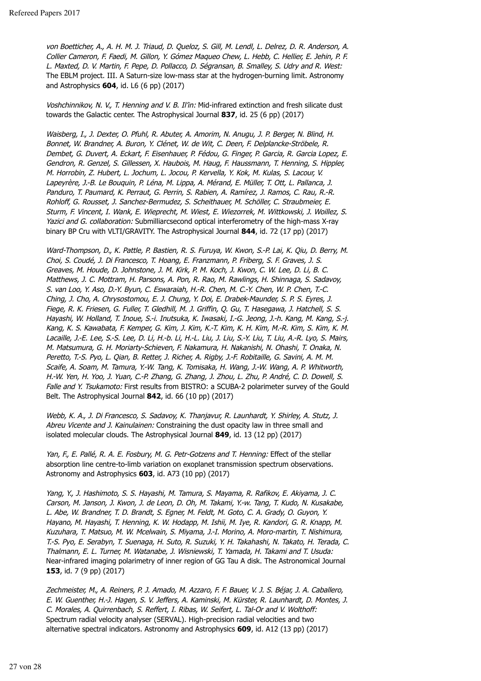von Boetticher, A., A. H. M. J. Triaud, D. Queloz, S. Gill, M. Lendl, L. Delrez, D. R. Anderson, A. Collier Cameron, F. Faedi, M. Gillon, Y. Gómez Maqueo Chew, L. Hebb, C. Hellier, E. Jehin, P. F. L. Maxted, D. V. Martin, F. Pepe, D. Pollacco, D. Ségransan, B. Smalley, S. Udry and R. West: The EBLM project. III. A Saturn-size low-mass star at the hydrogen-burning limit. Astronomy and Astrophysics **604**, id. L6 (6 pp) (2017)

Voshchinnikov, N. V., T. Henning and V. B. Il'in: Mid-infrared extinction and fresh silicate dust towards the Galactic center. The Astrophysical Journal **837**, id. 25 (6 pp) (2017)

Waisberg, I., J. Dexter, O. Pfuhl, R. Abuter, A. Amorim, N. Anugu, J. P. Berger, N. Blind, H. Bonnet, W. Brandner, A. Buron, Y. Clénet, W. de Wit, C. Deen, F. Delplancke-Ströbele, R. Dembet, G. Duvert, A. Eckart, F. Eisenhauer, P. Fédou, G. Finger, P. Garcia, R. Garcia Lopez, E. Gendron, R. Genzel, S. Gillessen, X. Haubois, M. Haug, F. Haussmann, T. Henning, S. Hippler, M. Horrobin, Z. Hubert, L. Jochum, L. Jocou, P. Kervella, Y. Kok, M. Kulas, S. Lacour, V. Lapeyrère, J.-B. Le Bouquin, P. Léna, M. Lippa, A. Mérand, E. Müller, T. Ott, L. Pallanca, J. Panduro, T. Paumard, K. Perraut, G. Perrin, S. Rabien, A. Ramírez, J. Ramos, C. Rau, R.-R. Rohloff, G. Rousset, J. Sanchez-Bermudez, S. Scheithauer, M. Schöller, C. Straubmeier, E. Sturm, F. Vincent, I. Wank, E. Wieprecht, M. Wiest, E. Wiezorrek, M. Wittkowski, J. Woillez, S. Yazici and G. collaboration: Submilliarcsecond optical interferometry of the high-mass X-ray binary BP Cru with VLTI/GRAVITY. The Astrophysical Journal **844**, id. 72 (17 pp) (2017)

Ward-Thompson, D., K. Pattle, P. Bastien, R. S. Furuya, W. Kwon, S.-P. Lai, K. Qiu, D. Berry, M. Choi, S. Coudé, J. Di Francesco, T. Hoang, E. Franzmann, P. Friberg, S. F. Graves, J. S. Greaves, M. Houde, D. Johnstone, J. M. Kirk, P. M. Koch, J. Kwon, C. W. Lee, D. Li, B. C. Matthews, J. C. Mottram, H. Parsons, A. Pon, R. Rao, M. Rawlings, H. Shinnaga, S. Sadavoy, S. van Loo, Y. Aso, D.-Y. Byun, C. Eswaraiah, H.-R. Chen, M. C.-Y. Chen, W. P. Chen, T.-C. Ching, J. Cho, A. Chrysostomou, E. J. Chung, Y. Doi, E. Drabek-Maunder, S. P. S. Eyres, J. Fiege, R. K. Friesen, G. Fuller, T. Gledhill, M. J. Griffin, Q. Gu, T. Hasegawa, J. Hatchell, S. S. Hayashi, W. Holland, T. Inoue, S.-i. Inutsuka, K. Iwasaki, I.-G. Jeong, J.-h. Kang, M. Kang, S.-j. Kang, K. S. Kawabata, F. Kemper, G. Kim, J. Kim, K.-T. Kim, K. H. Kim, M.-R. Kim, S. Kim, K. M. Lacaille, J.-E. Lee, S.-S. Lee, D. Li, H.-b. Li, H.-L. Liu, J. Liu, S.-Y. Liu, T. Liu, A.-R. Lyo, S. Mairs, M. Matsumura, G. H. Moriarty-Schieven, F. Nakamura, H. Nakanishi, N. Ohashi, T. Onaka, N. Peretto, T.-S. Pyo, L. Qian, B. Retter, J. Richer, A. Rigby, J.-F. Robitaille, G. Savini, A. M. M. Scaife, A. Soam, M. Tamura, Y.-W. Tang, K. Tomisaka, H. Wang, J.-W. Wang, A. P. Whitworth, H.-W. Yen, H. Yoo, J. Yuan, C.-P. Zhang, G. Zhang, J. Zhou, L. Zhu, P. André, C. D. Dowell, S. Falle and Y. Tsukamoto: First results from BISTRO: a SCUBA-2 polarimeter survey of the Gould Belt. The Astrophysical Journal **842**, id. 66 (10 pp) (2017)

Webb, K. A., J. Di Francesco, S. Sadavoy, K. Thanjavur, R. Launhardt, Y. Shirley, A. Stutz, J. Abreu Vicente and J. Kainulainen: Constraining the dust opacity law in three small and isolated molecular clouds. The Astrophysical Journal **849**, id. 13 (12 pp) (2017)

Yan, F., E. Pallé, R. A. E. Fosbury, M. G. Petr-Gotzens and T. Henning: Effect of the stellar absorption line centre-to-limb variation on exoplanet transmission spectrum observations. Astronomy and Astrophysics **603**, id. A73 (10 pp) (2017)

Yang, Y., J. Hashimoto, S. S. Hayashi, M. Tamura, S. Mayama, R. Rafikov, E. Akiyama, J. C. Carson, M. Janson, J. Kwon, J. de Leon, D. Oh, M. Takami, Y.-w. Tang, T. Kudo, N. Kusakabe, L. Abe, W. Brandner, T. D. Brandt, S. Egner, M. Feldt, M. Goto, C. A. Grady, O. Guyon, Y. Hayano, M. Hayashi, T. Henning, K. W. Hodapp, M. Ishii, M. Iye, R. Kandori, G. R. Knapp, M. Kuzuhara, T. Matsuo, M. W. Mcelwain, S. Miyama, J.-I. Morino, A. Moro-martin, T. Nishimura, T.-S. Pyo, E. Serabyn, T. Suenaga, H. Suto, R. Suzuki, Y. H. Takahashi, N. Takato, H. Terada, C. Thalmann, E. L. Turner, M. Watanabe, J. Wisniewski, T. Yamada, H. Takami and T. Usuda: Near-infrared imaging polarimetry of inner region of GG Tau A disk. The Astronomical Journal **153**, id. 7 (9 pp) (2017)

Zechmeister, M., A. Reiners, P. J. Amado, M. Azzaro, F. F. Bauer, V. J. S. Béjar, J. A. Caballero, E. W. Guenther, H.-J. Hagen, S. V. Jeffers, A. Kaminski, M. Kürster, R. Launhardt, D. Montes, J. C. Morales, A. Quirrenbach, S. Reffert, I. Ribas, W. Seifert, L. Tal-Or and V. Wolthoff: Spectrum radial velocity analyser (SERVAL). High-precision radial velocities and two alternative spectral indicators. Astronomy and Astrophysics **609**, id. A12 (13 pp) (2017)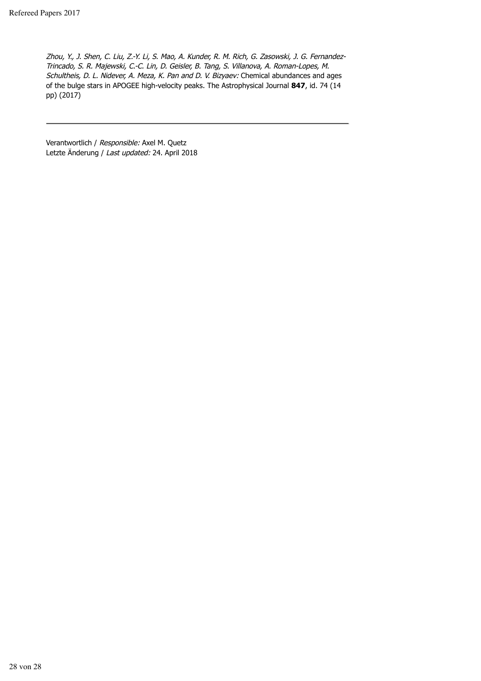Zhou, Y., J. Shen, C. Liu, Z.-Y. Li, S. Mao, A. Kunder, R. M. Rich, G. Zasowski, J. G. Fernandez-Trincado, S. R. Majewski, C.-C. Lin, D. Geisler, B. Tang, S. Villanova, A. Roman-Lopes, M. Schultheis, D. L. Nidever, A. Meza, K. Pan and D. V. Bizyaev: Chemical abundances and ages of the bulge stars in APOGEE high-velocity peaks. The Astrophysical Journal **847**, id. 74 (14 pp) (2017)

Verantwortlich / Responsible: Axel M. Quetz Letzte Änderung / Last updated: 24. April 2018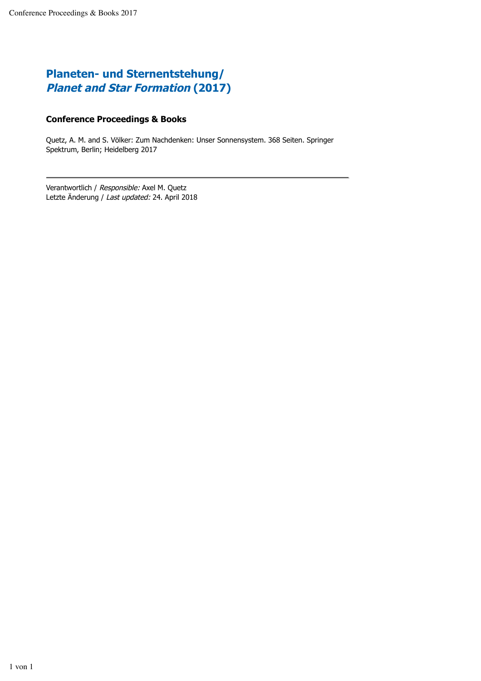# **Planeten- und Sternentstehung/ Planet and Star Formation (2017)**

### **Conference Proceedings & Books**

Quetz, A. M. and S. Völker: Zum Nachdenken: Unser Sonnensystem. 368 Seiten. Springer Spektrum, Berlin; Heidelberg 2017

Verantwortlich / Responsible: Axel M. Quetz Letzte Änderung / Last updated: 24. April 2018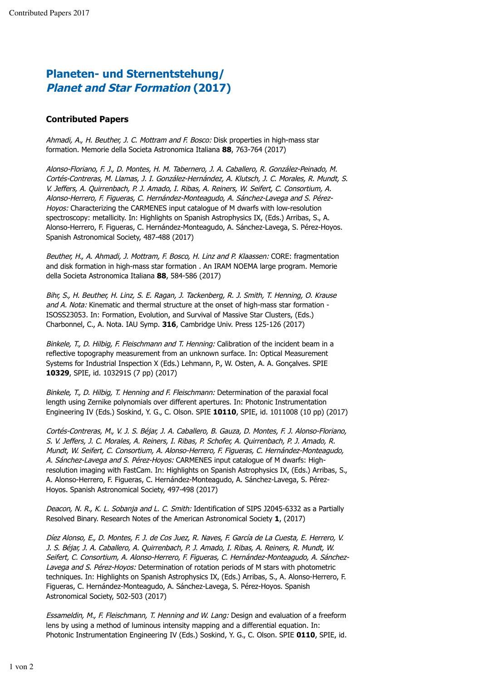# **Planeten- und Sternentstehung/ Planet and Star Formation (2017)**

### **Contributed Papers**

Ahmadi, A., H. Beuther, J. C. Mottram and F. Bosco: Disk properties in high-mass star formation. Memorie della Societa Astronomica Italiana **88**, 763-764 (2017)

Alonso-Floriano, F. J., D. Montes, H. M. Tabernero, J. A. Caballero, R. González-Peinado, M. Cortés-Contreras, M. Llamas, J. I. González-Hernández, A. Klutsch, J. C. Morales, R. Mundt, S. V. Jeffers, A. Quirrenbach, P. J. Amado, I. Ribas, A. Reiners, W. Seifert, C. Consortium, A. Alonso-Herrero, F. Figueras, C. Hernández-Monteagudo, A. Sánchez-Lavega and S. Pérez-Hoyos: Characterizing the CARMENES input catalogue of M dwarfs with low-resolution spectroscopy: metallicity. In: Highlights on Spanish Astrophysics IX, (Eds.) Arribas, S., A. Alonso-Herrero, F. Figueras, C. Hernández-Monteagudo, A. Sánchez-Lavega, S. Pérez-Hoyos. Spanish Astronomical Society, 487-488 (2017)

Beuther, H., A. Ahmadi, J. Mottram, F. Bosco, H. Linz and P. Klaassen: CORE: fragmentation and disk formation in high-mass star formation . An IRAM NOEMA large program. Memorie della Societa Astronomica Italiana **88**, 584-586 (2017)

Bihr, S., H. Beuther, H. Linz, S. E. Ragan, J. Tackenberg, R. J. Smith, T. Henning, O. Krause and A. Nota: Kinematic and thermal structure at the onset of high-mass star formation -ISOSS23053. In: Formation, Evolution, and Survival of Massive Star Clusters, (Eds.) Charbonnel, C., A. Nota. IAU Symp. **316**, Cambridge Univ. Press 125-126 (2017)

Binkele, T., D. Hilbig, F. Fleischmann and T. Henning: Calibration of the incident beam in a reflective topography measurement from an unknown surface. In: Optical Measurement Systems for Industrial Inspection X (Eds.) Lehmann, P., W. Osten, A. A. Gonçalves. SPIE **10329**, SPIE, id. 103291S (7 pp) (2017)

Binkele, T., D. Hilbig, T. Henning and F. Fleischmann: Determination of the paraxial focal length using Zernike polynomials over different apertures. In: Photonic Instrumentation Engineering IV (Eds.) Soskind, Y. G., C. Olson. SPIE **10110**, SPIE, id. 1011008 (10 pp) (2017)

Cortés-Contreras, M., V. J. S. Béjar, J. A. Caballero, B. Gauza, D. Montes, F. J. Alonso-Floriano, S. V. Jeffers, J. C. Morales, A. Reiners, I. Ribas, P. Schofer, A. Quirrenbach, P. J. Amado, R. Mundt, W. Seifert, C. Consortium, A. Alonso-Herrero, F. Figueras, C. Hernández-Monteagudo, A. Sánchez-Lavega and S. Pérez-Hoyos: CARMENES input catalogue of M dwarfs: Highresolution imaging with FastCam. In: Highlights on Spanish Astrophysics IX, (Eds.) Arribas, S., A. Alonso-Herrero, F. Figueras, C. Hernández-Monteagudo, A. Sánchez-Lavega, S. Pérez-Hoyos. Spanish Astronomical Society, 497-498 (2017)

Deacon, N. R., K. L. Sobanja and L. C. Smith: Identification of SIPS J2045-6332 as a Partially Resolved Binary. Research Notes of the American Astronomical Society **1**, (2017)

Díez Alonso, E., D. Montes, F. J. de Cos Juez, R. Naves, F. García de La Cuesta, E. Herrero, V. J. S. Béjar, J. A. Caballero, A. Quirrenbach, P. J. Amado, I. Ribas, A. Reiners, R. Mundt, W. Seifert, C. Consortium, A. Alonso-Herrero, F. Figueras, C. Hernández-Monteagudo, A. Sánchez-Lavega and S. Pérez-Hoyos: Determination of rotation periods of M stars with photometric techniques. In: Highlights on Spanish Astrophysics IX, (Eds.) Arribas, S., A. Alonso-Herrero, F. Figueras, C. Hernández-Monteagudo, A. Sánchez-Lavega, S. Pérez-Hoyos. Spanish Astronomical Society, 502-503 (2017)

Essameldin, M., F. Fleischmann, T. Henning and W. Lang: Design and evaluation of a freeform lens by using a method of luminous intensity mapping and a differential equation. In: Photonic Instrumentation Engineering IV (Eds.) Soskind, Y. G., C. Olson. SPIE **0110**, SPIE, id.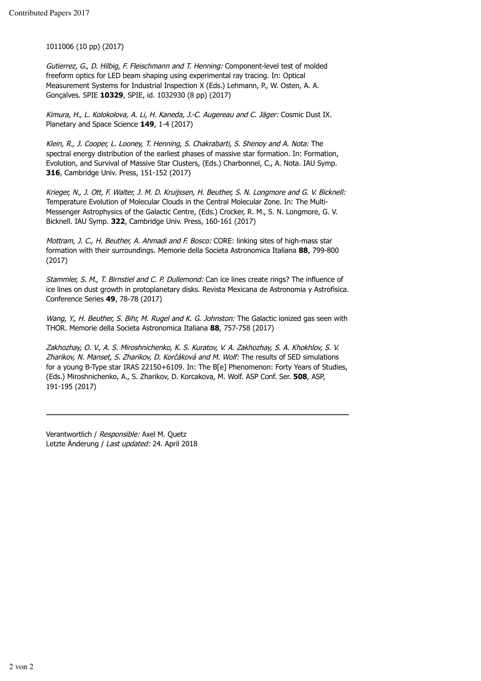1011006 (10 pp) (2017)

Gutierrez, G., D. Hilbig, F. Fleischmann and T. Henning: Component-level test of molded freeform optics for LED beam shaping using experimental ray tracing. In: Optical Measurement Systems for Industrial Inspection X (Eds.) Lehmann, P., W. Osten, A. A. Gonçalves. SPIE **10329**, SPIE, id. 1032930 (8 pp) (2017)

Kimura, H., L. Kolokolova, A. Li, H. Kaneda, J.-C. Augereau and C. Jäger: Cosmic Dust IX. Planetary and Space Science **149**, 1-4 (2017)

Klein, R., J. Cooper, L. Looney, T. Henning, S. Chakrabarti, S. Shenoy and A. Nota: The spectral energy distribution of the earliest phases of massive star formation. In: Formation, Evolution, and Survival of Massive Star Clusters, (Eds.) Charbonnel, C., A. Nota. IAU Symp. **316**, Cambridge Univ. Press, 151-152 (2017)

Krieger, N., J. Ott, F. Walter, J. M. D. Kruijssen, H. Beuther, S. N. Longmore and G. V. Bicknell: Temperature Evolution of Molecular Clouds in the Central Molecular Zone. In: The Multi-Messenger Astrophysics of the Galactic Centre, (Eds.) Crocker, R. M., S. N. Longmore, G. V. Bicknell. IAU Symp. **322**, Cambridge Univ. Press, 160-161 (2017)

Mottram, J. C., H. Beuther, A. Ahmadi and F. Bosco: CORE: linking sites of high-mass star formation with their surroundings. Memorie della Societa Astronomica Italiana **88**, 799-800 (2017)

Stammler, S. M., T. Birnstiel and C. P. Dullemond: Can ice lines create rings? The influence of ice lines on dust growth in protoplanetary disks. Revista Mexicana de Astronomia y Astrofisica. Conference Series **49**, 78-78 (2017)

Wang, Y., H. Beuther, S. Bihr, M. Rugel and K. G. Johnston: The Galactic ionized gas seen with THOR. Memorie della Societa Astronomica Italiana **88**, 757-758 (2017)

Zakhozhay, O. V., A. S. Miroshnichenko, K. S. Kuratov, V. A. Zakhozhay, S. A. Khokhlov, S. V. Zharikov, N. Manset, S. Zharikov, D. Korčáková and M. Wolf: The results of SED simulations for a young B-Type star IRAS 22150+6109. In: The B[e] Phenomenon: Forty Years of Studies, (Eds.) Miroshnichenko, A., S. Zharikov, D. Korcakova, M. Wolf. ASP Conf. Ser. **508**, ASP, 191-195 (2017)

Verantwortlich / Responsible: Axel M. Quetz Letzte Änderung / Last updated: 24. April 2018